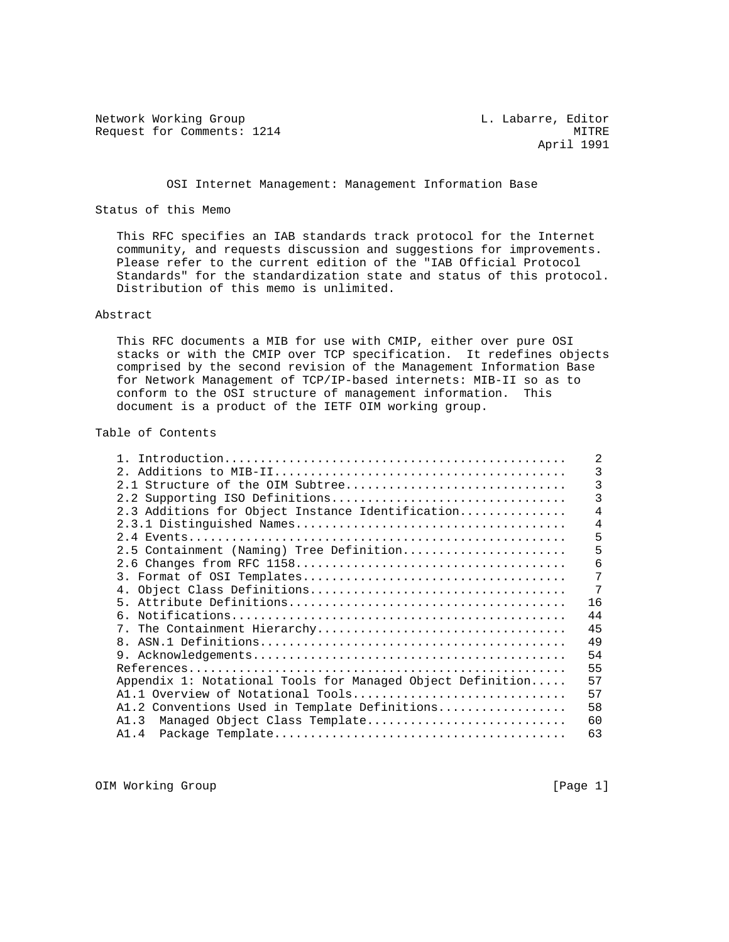Network Working Group and Month Communications of the L. Labarre, Editor Request for Comments: 1214 MITRE

April 1991

## OSI Internet Management: Management Information Base

# Status of this Memo

 This RFC specifies an IAB standards track protocol for the Internet community, and requests discussion and suggestions for improvements. Please refer to the current edition of the "IAB Official Protocol Standards" for the standardization state and status of this protocol. Distribution of this memo is unlimited.

# Abstract

 This RFC documents a MIB for use with CMIP, either over pure OSI stacks or with the CMIP over TCP specification. It redefines objects comprised by the second revision of the Management Information Base for Network Management of TCP/IP-based internets: MIB-II so as to conform to the OSI structure of management information. This document is a product of the IETF OIM working group.

# Table of Contents

|                                                            | 2  |
|------------------------------------------------------------|----|
| $2^{\circ}$                                                | 3  |
| 2.1 Structure of the OIM Subtree                           | 3  |
| 2.2 Supporting ISO Definitions                             | 3  |
| 2.3 Additions for Object Instance Identification           | 4  |
|                                                            | 4  |
|                                                            | 5  |
| 2.5 Containment (Naming) Tree Definition                   | 5  |
|                                                            | 6  |
|                                                            | 7  |
|                                                            | 7  |
|                                                            | 16 |
|                                                            | 44 |
|                                                            | 45 |
| $\mathsf{R}$                                               | 49 |
|                                                            | 54 |
|                                                            | 55 |
| Appendix 1: Notational Tools for Managed Object Definition | 57 |
| Al.1 Overview of Notational Tools                          | 57 |
| A1.2 Conventions Used in Template Definitions              | 58 |
| Managed Object Class Template<br>A1.3                      | 60 |
| A1.4                                                       | 63 |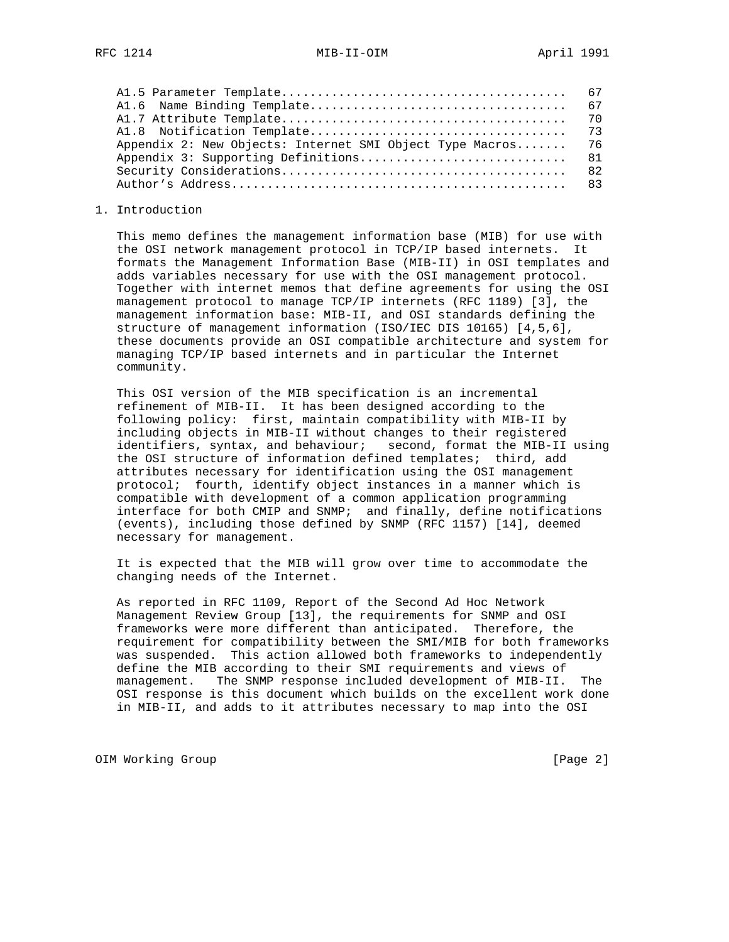| Appendix 2: New Objects: Internet SMI Object Type Macros 76 |  |
|-------------------------------------------------------------|--|
|                                                             |  |
|                                                             |  |
|                                                             |  |

### 1. Introduction

 This memo defines the management information base (MIB) for use with the OSI network management protocol in TCP/IP based internets. It formats the Management Information Base (MIB-II) in OSI templates and adds variables necessary for use with the OSI management protocol. Together with internet memos that define agreements for using the OSI management protocol to manage TCP/IP internets (RFC 1189) [3], the management information base: MIB-II, and OSI standards defining the structure of management information (ISO/IEC DIS 10165) [4,5,6], these documents provide an OSI compatible architecture and system for managing TCP/IP based internets and in particular the Internet community.

 This OSI version of the MIB specification is an incremental refinement of MIB-II. It has been designed according to the following policy: first, maintain compatibility with MIB-II by including objects in MIB-II without changes to their registered identifiers, syntax, and behaviour; second, format the MIB-II using the OSI structure of information defined templates; third, add attributes necessary for identification using the OSI management protocol; fourth, identify object instances in a manner which is compatible with development of a common application programming interface for both CMIP and SNMP; and finally, define notifications (events), including those defined by SNMP (RFC 1157) [14], deemed necessary for management.

 It is expected that the MIB will grow over time to accommodate the changing needs of the Internet.

 As reported in RFC 1109, Report of the Second Ad Hoc Network Management Review Group [13], the requirements for SNMP and OSI frameworks were more different than anticipated. Therefore, the requirement for compatibility between the SMI/MIB for both frameworks was suspended. This action allowed both frameworks to independently define the MIB according to their SMI requirements and views of management. The SNMP response included development of MIB-II. The OSI response is this document which builds on the excellent work done in MIB-II, and adds to it attributes necessary to map into the OSI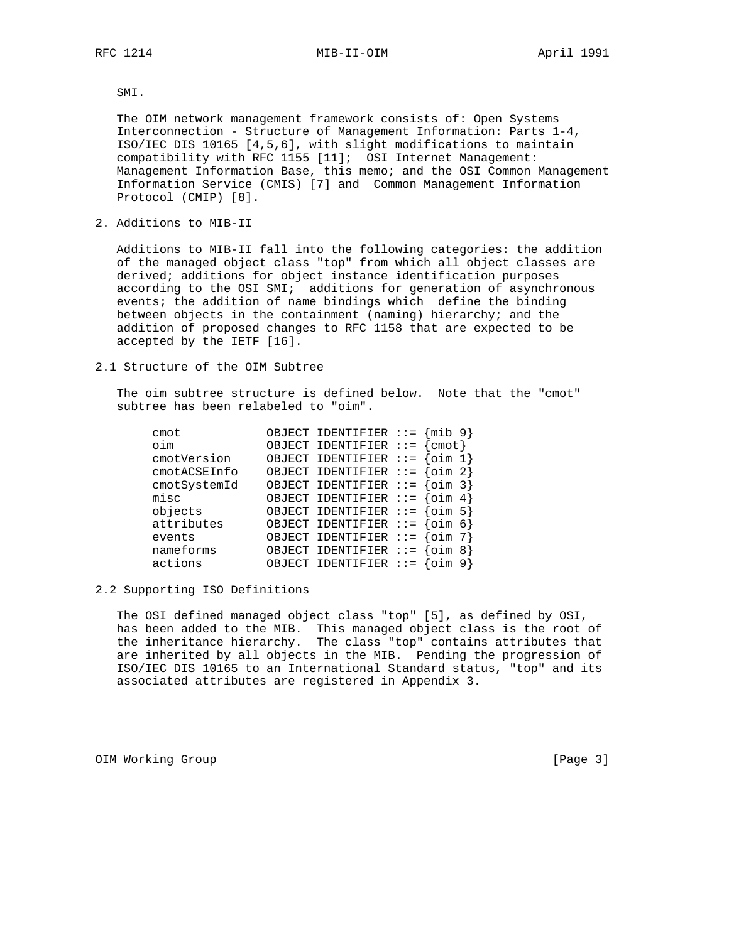RFC 1214 MIB-II-OIM MONTHL April 1991

SMI.

 The OIM network management framework consists of: Open Systems Interconnection - Structure of Management Information: Parts 1-4, ISO/IEC DIS 10165 [4,5,6], with slight modifications to maintain compatibility with RFC 1155 [11]; OSI Internet Management: Management Information Base, this memo; and the OSI Common Management Information Service (CMIS) [7] and Common Management Information Protocol (CMIP) [8].

2. Additions to MIB-II

 Additions to MIB-II fall into the following categories: the addition of the managed object class "top" from which all object classes are derived; additions for object instance identification purposes according to the OSI SMI; additions for generation of asynchronous events; the addition of name bindings which define the binding between objects in the containment (naming) hierarchy; and the addition of proposed changes to RFC 1158 that are expected to be accepted by the IETF [16].

2.1 Structure of the OIM Subtree

 The oim subtree structure is defined below. Note that the "cmot" subtree has been relabeled to "oim".

| cmot         | OBJECT IDENTIFIER ::=   | $\{min\ 9\}$    |
|--------------|-------------------------|-----------------|
| oim          | OBJECT IDENTIFIER ::=   | cmot            |
| cmotVersion  | OBJECT IDENTIFIER ::=   | oim             |
| cmotACSEInfo | OBJECT IDENTIFIER $::=$ | $\{oim 2\}$     |
| cmotSystemId | OBJECT IDENTIFIER ::=   | oim 3           |
| misc         | OBJECT IDENTIFIER $::=$ | $\text{oim } 4$ |
| objects      | OBJECT IDENTIFIER ::=   | oim 5           |
| attributes   | OBJECT IDENTIFIER ::=   | oim 6           |
| events       | OBJECT IDENTIFIER ::=   | oim             |
| nameforms    | OBJECT IDENTIFIER ::=   | 8               |
| actions      | OBJECT IDENTIFIER ::=   |                 |

# 2.2 Supporting ISO Definitions

 The OSI defined managed object class "top" [5], as defined by OSI, has been added to the MIB. This managed object class is the root of the inheritance hierarchy. The class "top" contains attributes that are inherited by all objects in the MIB. Pending the progression of ISO/IEC DIS 10165 to an International Standard status, "top" and its associated attributes are registered in Appendix 3.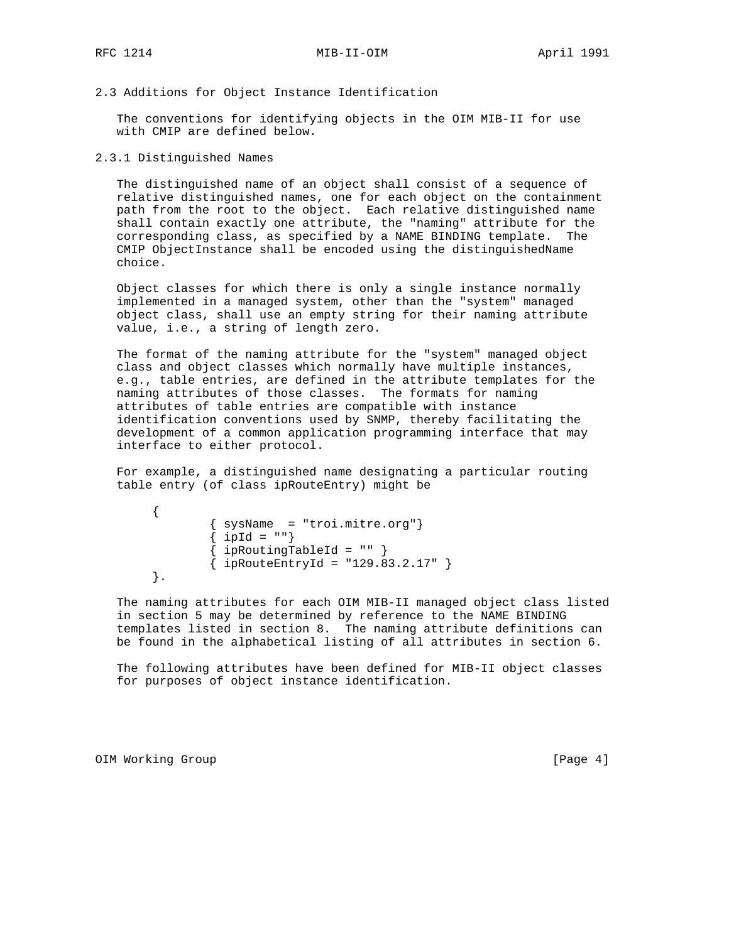# 2.3 Additions for Object Instance Identification

 The conventions for identifying objects in the OIM MIB-II for use with CMIP are defined below.

2.3.1 Distinguished Names

 The distinguished name of an object shall consist of a sequence of relative distinguished names, one for each object on the containment path from the root to the object. Each relative distinguished name shall contain exactly one attribute, the "naming" attribute for the corresponding class, as specified by a NAME BINDING template. The CMIP ObjectInstance shall be encoded using the distinguishedName choice.

 Object classes for which there is only a single instance normally implemented in a managed system, other than the "system" managed object class, shall use an empty string for their naming attribute value, i.e., a string of length zero.

 The format of the naming attribute for the "system" managed object class and object classes which normally have multiple instances, e.g., table entries, are defined in the attribute templates for the naming attributes of those classes. The formats for naming attributes of table entries are compatible with instance identification conventions used by SNMP, thereby facilitating the development of a common application programming interface that may interface to either protocol.

 For example, a distinguished name designating a particular routing table entry (of class ipRouteEntry) might be

```
 {
         { sysName = "troi.mitre.org"}
        \{ ipId = ""\}\{ ipRoutingTableId = "" \}\{ ipRouteEntryId = "129.83.2.17" \} }.
```
 The naming attributes for each OIM MIB-II managed object class listed in section 5 may be determined by reference to the NAME BINDING templates listed in section 8. The naming attribute definitions can be found in the alphabetical listing of all attributes in section 6.

 The following attributes have been defined for MIB-II object classes for purposes of object instance identification.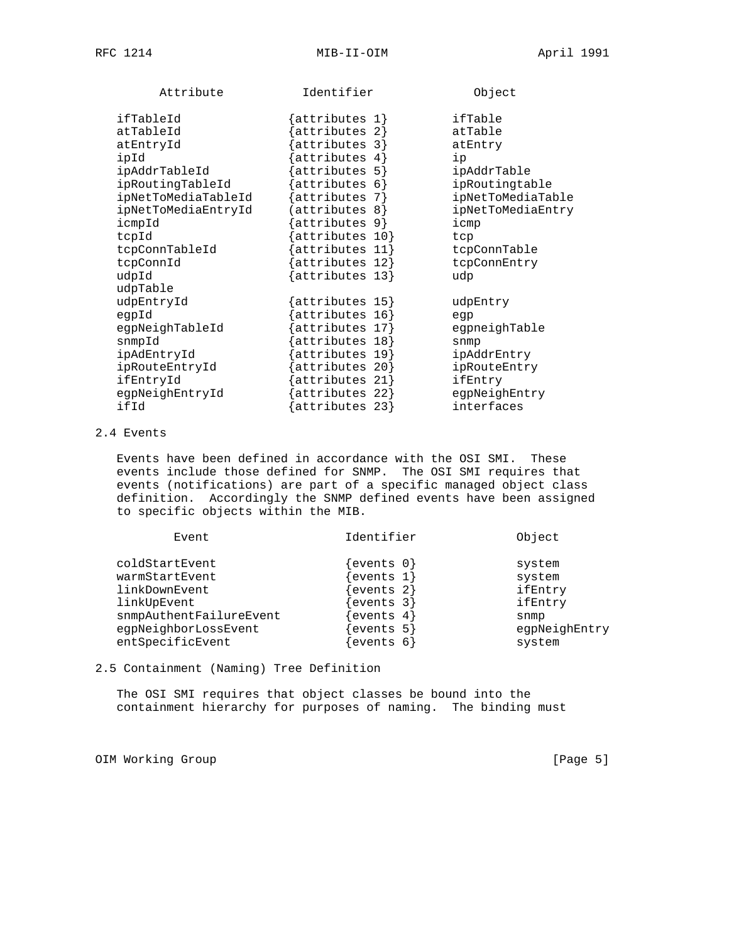| Attribute           | Identifier                                   | Object            |
|---------------------|----------------------------------------------|-------------------|
| ifTableId           | $\{$ attributes 1 $\}$                       | ifTable           |
| atTableId           | attributes 2}                                | atTable           |
| atEntryId           | $attributes$ 3}                              | atEntry           |
| ipId                | attributes 4                                 | ip                |
| ipAddrTableId       | attributes 5}                                | ipAddrTable       |
| ipRoutingTableId    | attributes 6}                                | ipRoutingtable    |
| ipNetToMediaTableId | $\{attributes 7\}$                           | ipNetToMediaTable |
| ipNetToMediaEntryId | ${ \texttt{attributes} \; 8 }$               | ipNetToMediaEntry |
| icmpId              | $\{ \textsf{attributes} \; \; \textsf{9} \}$ | icmp              |
| tcpId               | attributes 10}                               | tcp               |
| tcpConnTableId      | $attributes 11$ }                            | tcpConnTable      |
| tcpConnId           | attributes 12}                               | tcpConnEntry      |
| udpId               | {attributes 13}                              | udp               |
| udpTable            |                                              |                   |
| udpEntryId          | $\{$ attributes 15 $\}$                      | udpEntry          |
| eqpId               | attributes 16}                               | eqp               |
| eqpNeighTableId     | attributes 17}                               | eqpneighTable     |
| snmpId              | attributes 18}                               | snmp              |
| ipAdEntryId         | attributes 19}                               | ipAddrEntry       |
| ipRouteEntryId      | attributes 20}                               | ipRouteEntry      |
| ifEntryId           | attributes 21}                               | ifEntry           |
| egpNeighEntryId     | attributes 22}                               | eqpNeighEntry     |
| ifId                | attributes 23}                               | interfaces        |
|                     |                                              |                   |

# 2.4 Events

 Events have been defined in accordance with the OSI SMI. These events include those defined for SNMP. The OSI SMI requires that events (notifications) are part of a specific managed object class definition. Accordingly the SNMP defined events have been assigned to specific objects within the MIB.

| Event                   | Identifier  | Object        |
|-------------------------|-------------|---------------|
| coldStartEvent          | events $0$  | system        |
| warmStartEvent          | ewents 1    | system        |
| linkDownEvent           | events 2)   | ifEntry       |
| linkUpEvent             | events 3    | ifEntry       |
| snmpAuthentFailureEvent | events 4    | snmp          |
| egpNeighborLossEvent    | events 5    | eqpNeighEntry |
| entSpecificEvent        | events<br>6 | system        |
|                         |             |               |

2.5 Containment (Naming) Tree Definition

 The OSI SMI requires that object classes be bound into the containment hierarchy for purposes of naming. The binding must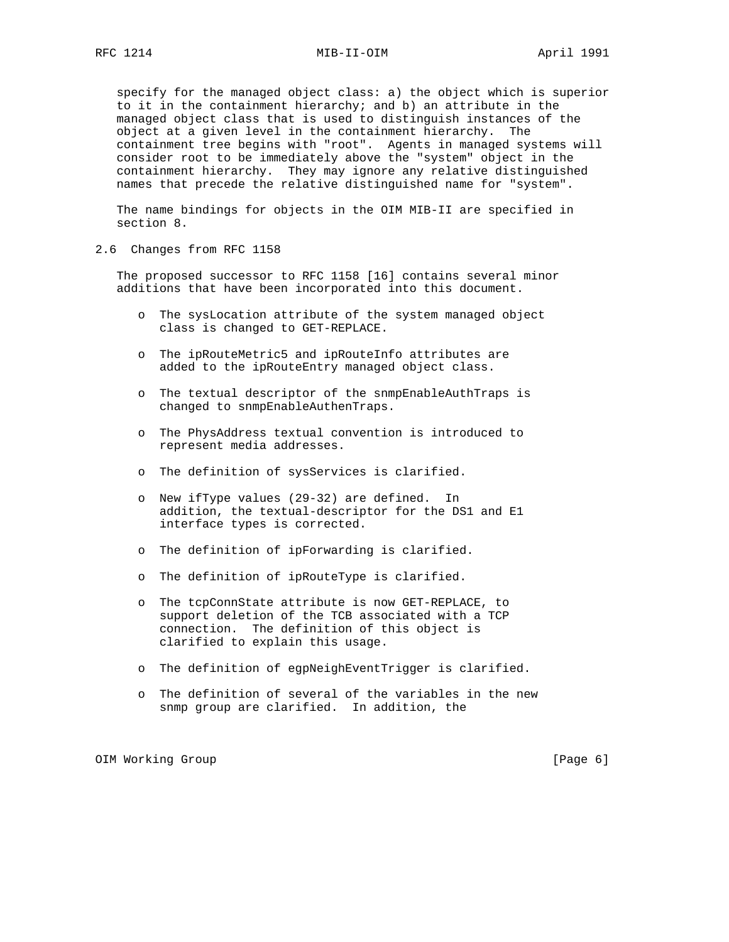specify for the managed object class: a) the object which is superior to it in the containment hierarchy; and b) an attribute in the managed object class that is used to distinguish instances of the object at a given level in the containment hierarchy. The containment tree begins with "root". Agents in managed systems will consider root to be immediately above the "system" object in the containment hierarchy. They may ignore any relative distinguished names that precede the relative distinguished name for "system".

 The name bindings for objects in the OIM MIB-II are specified in section 8.

2.6 Changes from RFC 1158

 The proposed successor to RFC 1158 [16] contains several minor additions that have been incorporated into this document.

- o The sysLocation attribute of the system managed object class is changed to GET-REPLACE.
- o The ipRouteMetric5 and ipRouteInfo attributes are added to the ipRouteEntry managed object class.
- o The textual descriptor of the snmpEnableAuthTraps is changed to snmpEnableAuthenTraps.
- o The PhysAddress textual convention is introduced to represent media addresses.
- o The definition of sysServices is clarified.
- o New ifType values (29-32) are defined. In addition, the textual-descriptor for the DS1 and E1 interface types is corrected.
- o The definition of ipForwarding is clarified.
- o The definition of ipRouteType is clarified.
- o The tcpConnState attribute is now GET-REPLACE, to support deletion of the TCB associated with a TCP connection. The definition of this object is clarified to explain this usage.
- o The definition of egpNeighEventTrigger is clarified.
- o The definition of several of the variables in the new snmp group are clarified. In addition, the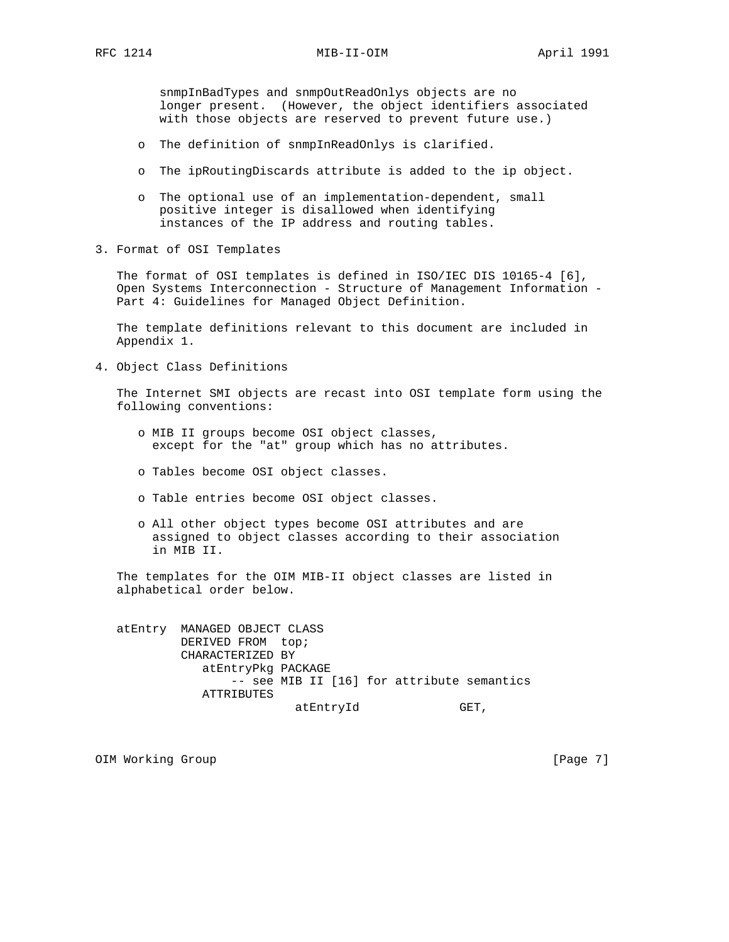snmpInBadTypes and snmpOutReadOnlys objects are no longer present. (However, the object identifiers associated with those objects are reserved to prevent future use.)

- o The definition of snmpInReadOnlys is clarified.
- o The ipRoutingDiscards attribute is added to the ip object.
- o The optional use of an implementation-dependent, small positive integer is disallowed when identifying instances of the IP address and routing tables.
- 3. Format of OSI Templates

 The format of OSI templates is defined in ISO/IEC DIS 10165-4 [6], Open Systems Interconnection - Structure of Management Information - Part 4: Guidelines for Managed Object Definition.

 The template definitions relevant to this document are included in Appendix 1.

4. Object Class Definitions

 The Internet SMI objects are recast into OSI template form using the following conventions:

- o MIB II groups become OSI object classes, except for the "at" group which has no attributes.
- o Tables become OSI object classes.
- o Table entries become OSI object classes.
- o All other object types become OSI attributes and are assigned to object classes according to their association in MIB II.

 The templates for the OIM MIB-II object classes are listed in alphabetical order below.

 atEntry MANAGED OBJECT CLASS DERIVED FROM top; CHARACTERIZED BY atEntryPkg PACKAGE -- see MIB II [16] for attribute semantics ATTRIBUTES atEntryId GET,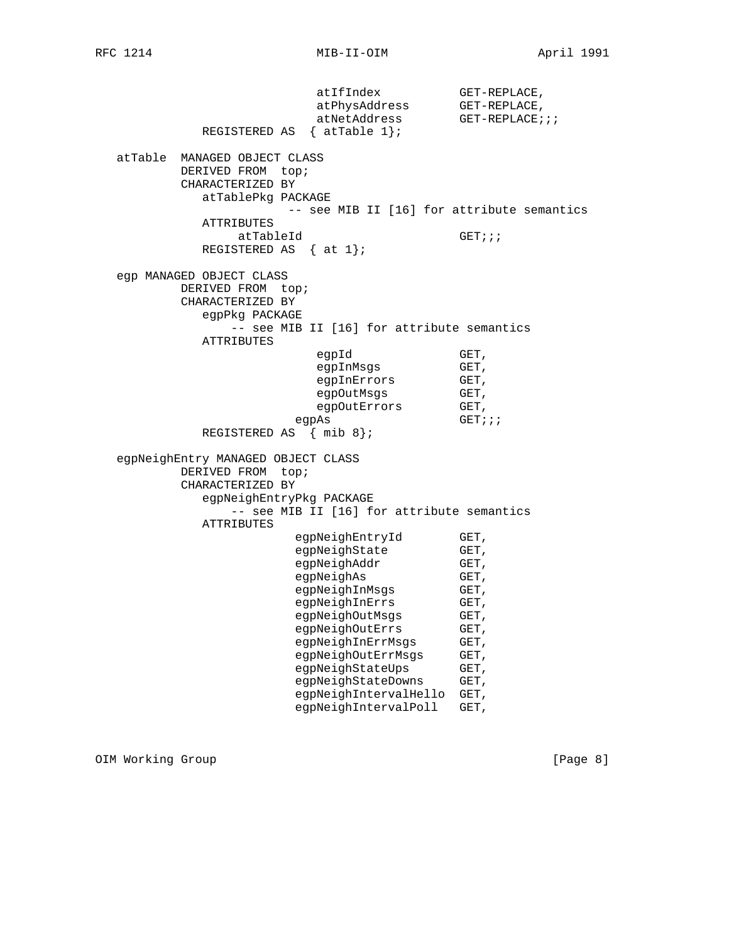atIfIndex GET-REPLACE, atPhysAddress GET-REPLACE, atNetAddress GET-REPLACE;;; REGISTERED AS { atTable 1}; atTable MANAGED OBJECT CLASS DERIVED FROM top; CHARACTERIZED BY atTablePkg PACKAGE -- see MIB II [16] for attribute semantics ATTRIBUTES atTableId GET;;; REGISTERED AS  $\{ at 1\}$ ; egp MANAGED OBJECT CLASS DERIVED FROM top; CHARACTERIZED BY egpPkg PACKAGE -- see MIB II [16] for attribute semantics ATTRIBUTES egpId GET, egpInMsgs GET, egpInErrors GET,<br>eqpOutMsgs GET, egpOutMsgs GET,<br>egpOutErrors GET, egpOutErrors egpAs GET;;; REGISTERED AS { mib 8}; egpNeighEntry MANAGED OBJECT CLASS DERIVED FROM top; CHARACTERIZED BY egpNeighEntryPkg PACKAGE -- see MIB II [16] for attribute semantics ATTRIBUTES egpNeighEntryId GET, egpNeighState GET, egpNeighAddr GET, egpNeighAs GET, egpNeighInMsgs GET,<br>egpNeighInErrs GET, egpNeighInErrs GET,<br>egpNeighOutMsgs GET, egpNeighOutMsgs<br>egpNeighOutMsgs egpNeighOutErrs GET, egpNeighInErrMsgs GET, egpNeighOutErrMsgs GET, egpNeighStateUps GET, egpNeighStateDowns GET, egpNeighIntervalHello GET, egpNeighIntervalPoll GET,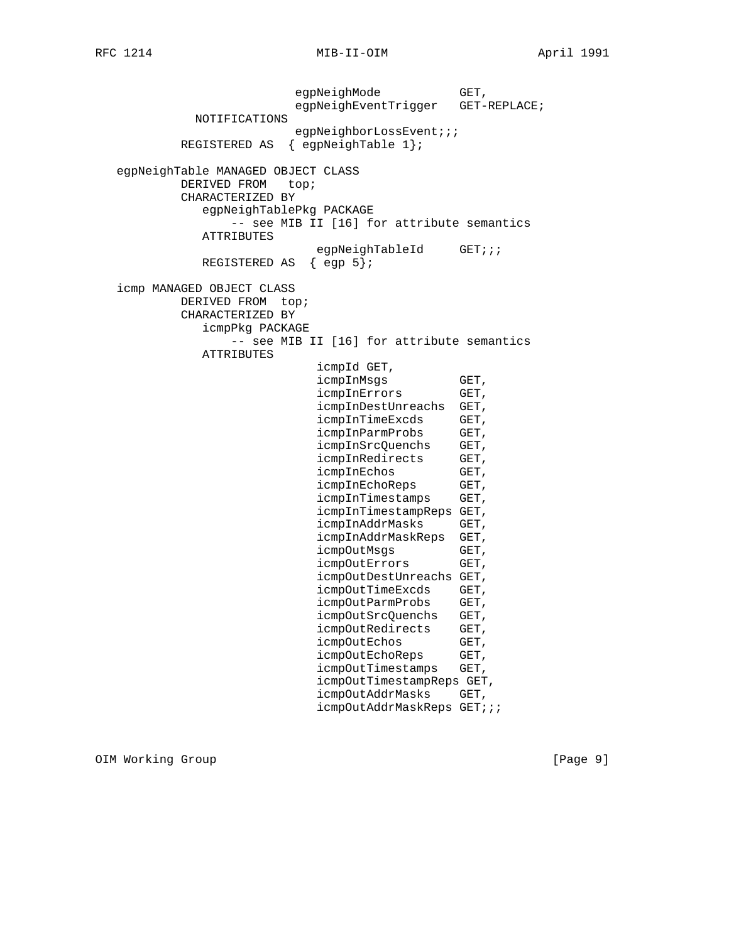egpNeighMode GET, egpNeighEventTrigger GET-REPLACE; NOTIFICATIONS egpNeighborLossEvent;;; REGISTERED AS { egpNeighTable 1}; egpNeighTable MANAGED OBJECT CLASS DERIVED FROM top; CHARACTERIZED BY egpNeighTablePkg PACKAGE -- see MIB II [16] for attribute semantics ATTRIBUTES egpNeighTableId GET;;; REGISTERED AS { egp 5}; icmp MANAGED OBJECT CLASS DERIVED FROM top; CHARACTERIZED BY icmpPkg PACKAGE -- see MIB II [16] for attribute semantics ATTRIBUTES icmpId GET, icmpInMsgs GET, icmpInErrors GET, icmpInDestUnreachs GET, icmpInTimeExcds GET, icmpInParmProbs GET, icmpInSrcQuenchs GET, icmpInRedirects GET, icmpInEchos GET,<br>icmpInEchoReps GET, icmpInEchoReps icmpInTimestamps GET, icmpInTimestampReps GET, icmpInAddrMasks GET, icmpInAddrMaskReps GET, icmpOutMsgs GET,<br>icmpOutErrors GET, icmpOutErrors icmpOutDestUnreachs GET, icmpOutTimeExcds GET, icmpOutParmProbs GET, icmpOutSrcQuenchs GET, icmpOutRedirects GET, icmpOutEchos GET, icmpOutEchoReps GET, icmpOutTimestamps GET, icmpOutTimestampReps GET, icmpOutAddrMasks GET, icmpOutAddrMaskReps GET;;;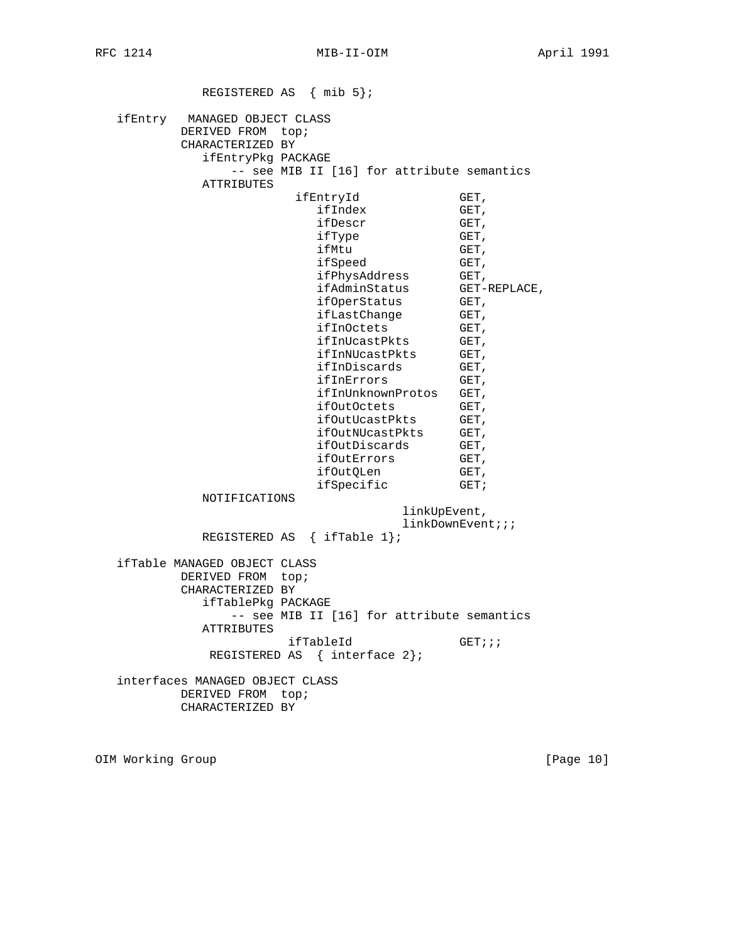REGISTERED AS { mib 5}; ifEntry MANAGED OBJECT CLASS DERIVED FROM top; CHARACTERIZED BY ifEntryPkg PACKAGE -- see MIB II [16] for attribute semantics ATTRIBUTES ifEntryId GET, ifIndex GET, ifDescr GET, ifType GET, ifMtu GET, ifSpeed GET, ifPhysAddress GET, ifAdminStatus GET-REPLACE, ifOperStatus GET, ifLastChange GET, ifInOctets GET, ifInUcastPkts GET, ifInNUcastPkts GET, ifInDiscards GET, ifInErrors GET, ifInUnknownProtos GET, ifOutOctets GET, ifOutUcastPkts GET, ifOutNUcastPkts GET, ifOutDiscards GET, ifOutErrors GET, ifOutQLen GET, ifSpecific GET; NOTIFICATIONS linkUpEvent, linkDownEvent;;; REGISTERED AS { ifTable 1}; ifTable MANAGED OBJECT CLASS DERIVED FROM top; CHARACTERIZED BY ifTablePkg PACKAGE -- see MIB II [16] for attribute semantics ATTRIBUTES ifTableId GET;;; REGISTERED AS { interface 2}; interfaces MANAGED OBJECT CLASS DERIVED FROM top; CHARACTERIZED BY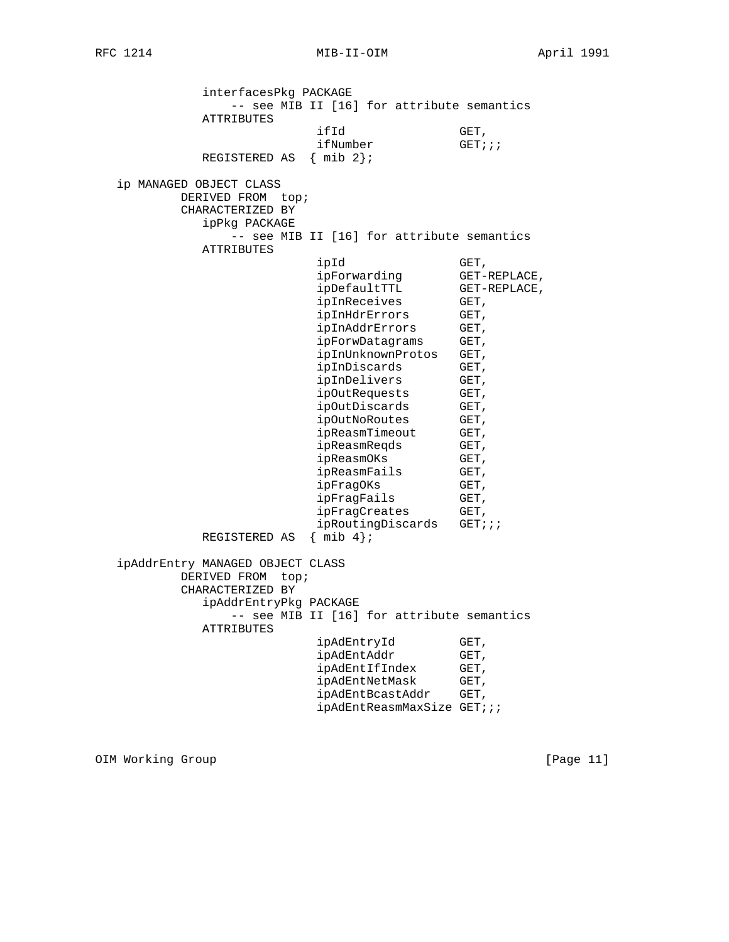interfacesPkg PACKAGE -- see MIB II [16] for attribute semantics ATTRIBUTES ifId GET, ifNumber GET;;; REGISTERED AS { mib 2}; ip MANAGED OBJECT CLASS DERIVED FROM top; CHARACTERIZED BY ipPkg PACKAGE -- see MIB II [16] for attribute semantics ATTRIBUTES ipId GET, ipForwarding GET-REPLACE,<br>ipDefaultTTL GET-REPLACE, ipDefaultTTL GET-<br>ipInReceives GET, ipInReceives ipInHdrErrors GET, ipInAddrErrors GET, ipForwDatagrams GET, ipInUnknownProtos GET, ipInDiscards GET, ipInDelivers GET,<br>ipOutRequests GET, ipOutRequests GET,<br>ipOutDiscards GET, ipOutDiscards GET,<br>ipOutNoRoutes GET,<br>ipReasmTimeout GET,<br>ipReasmReqds GET, ipOutNoRoutes ipReasmTimeout ipReasmReqds GET,<br>ipReasmOKs GET, ipReasmOKs ipReasmFails GET, ipFragOKs GET, ipFragFails GET, ipFragCreates GET, ipRoutingDiscards GET;;; REGISTERED AS { mib 4}; ipAddrEntry MANAGED OBJECT CLASS DERIVED FROM top; CHARACTERIZED BY ipAddrEntryPkg PACKAGE -- see MIB II [16] for attribute semantics ATTRIBUTES ipAdEntryId GET, ipAdEntAddr GET, ipAdEntIfIndex GET, ipAdEntNetMask GET, ipAdEntBcastAddr GET, ipAdEntReasmMaxSize GET;;;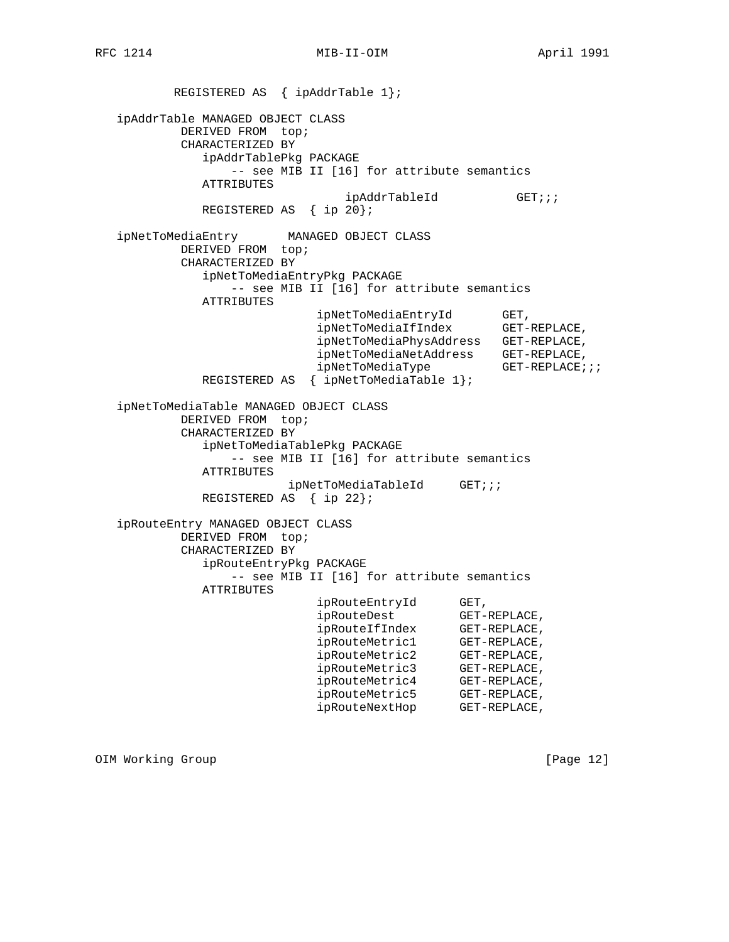REGISTERED AS { ipAddrTable 1}; ipAddrTable MANAGED OBJECT CLASS DERIVED FROM top; CHARACTERIZED BY ipAddrTablePkg PACKAGE -- see MIB II [16] for attribute semantics ATTRIBUTES ipAddrTableId GET;;; REGISTERED AS { ip 20}; ipNetToMediaEntry MANAGED OBJECT CLASS DERIVED FROM top; CHARACTERIZED BY ipNetToMediaEntryPkg PACKAGE -- see MIB II [16] for attribute semantics ATTRIBUTES ipNetToMediaEntryId GET, ipNetToMediaIfIndex GET-REPLACE, ipNetToMediaPhysAddress GET-REPLACE, ipNetToMediaNetAddress GET-REPLACE, ipNetToMediaType GET-REPLACE;;; REGISTERED AS { ipNetToMediaTable 1}; ipNetToMediaTable MANAGED OBJECT CLASS DERIVED FROM top; CHARACTERIZED BY ipNetToMediaTablePkg PACKAGE -- see MIB II [16] for attribute semantics ATTRIBUTES ipNetToMediaTableId GET;;; REGISTERED AS { ip 22}; ipRouteEntry MANAGED OBJECT CLASS DERIVED FROM top; CHARACTERIZED BY ipRouteEntryPkg PACKAGE -- see MIB II [16] for attribute semantics ATTRIBUTES ipRouteEntryId GET,<br>ipRouteDest GET-REPLACE, ipRouteDest GET-REPLACE, ipRouteIfIndex GET-REPLACE, ipRouteMetric1 GET-REPLACE, ipRouteMetric2 GET-REPLACE, ipRouteMetric3 GET-REPLACE, ipRouteMetric4 GET-REPLACE, ipRouteMetric5 GET-REPLACE, ipRouteNextHop GET-REPLACE,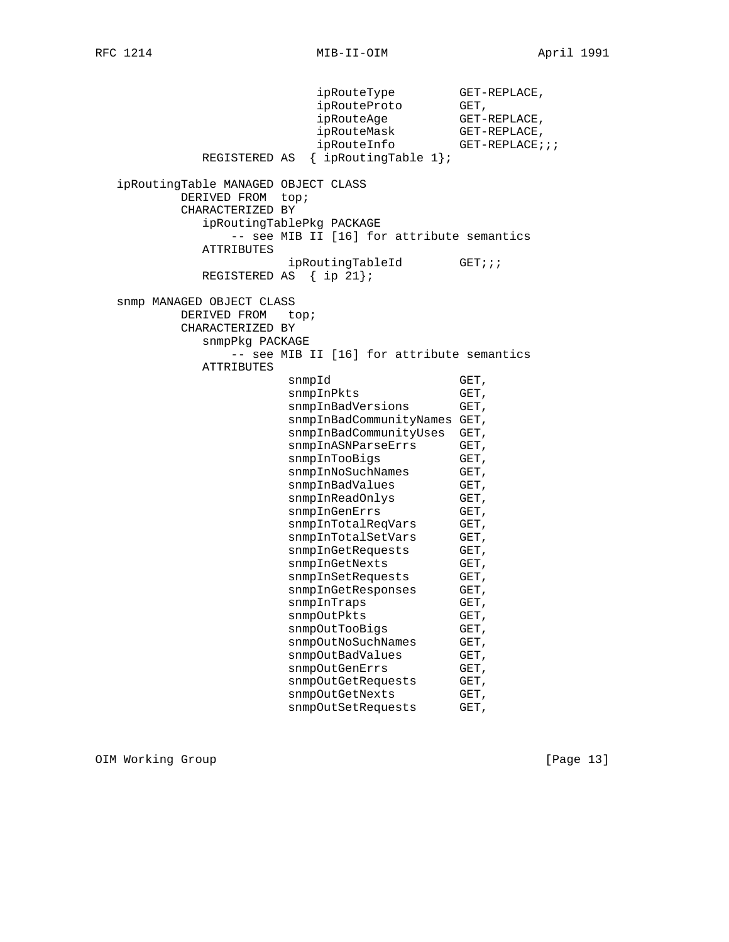ipRouteType GET-REPLACE, ipRouteProto ipRouteProto GET,<br>ipRouteAge GET-REPLACE, ipRouteMask GET-REPLACE,  $ip$ RouteInfo GET-REPLACE;;; REGISTERED AS { ipRoutingTable 1}; ipRoutingTable MANAGED OBJECT CLASS DERIVED FROM top; CHARACTERIZED BY ipRoutingTablePkg PACKAGE -- see MIB II [16] for attribute semantics ATTRIBUTES ipRoutingTableId GET;;; REGISTERED AS { ip 21}; snmp MANAGED OBJECT CLASS DERIVED FROM top; CHARACTERIZED BY snmpPkg PACKAGE -- see MIB II [16] for attribute semantics ATTRIBUTES snmpId GET, snmpInPkts GET, snmpInBadVersions GET, snmpInBadCommunityNames GET, snmpInBadCommunityUses GET, snmpInASNParseErrs GET, snmpInTooBigs GET,<br>snmpInNoSuchNames GET, snmpInNoSuchNames snmpInBadValues GET, snmpInReadOnlys GET, snmpInGenErrs GET, snmpInTotalReqVars GET, snmpInTotalSetVars GET, snmpInGetRequests GET, snmpInGetNexts GET, snmpInSetRequests GET, snmpInGetResponses GET, snmpInTraps GET, snmpOutPkts GET, snmpOutTooBigs GET, snmpOutNoSuchNames GET, snmpOutBadValues GET, snmpOutGenErrs GET, snmpOutGetRequests GET, snmpOutGetNexts GET, snmpOutSetRequests GET,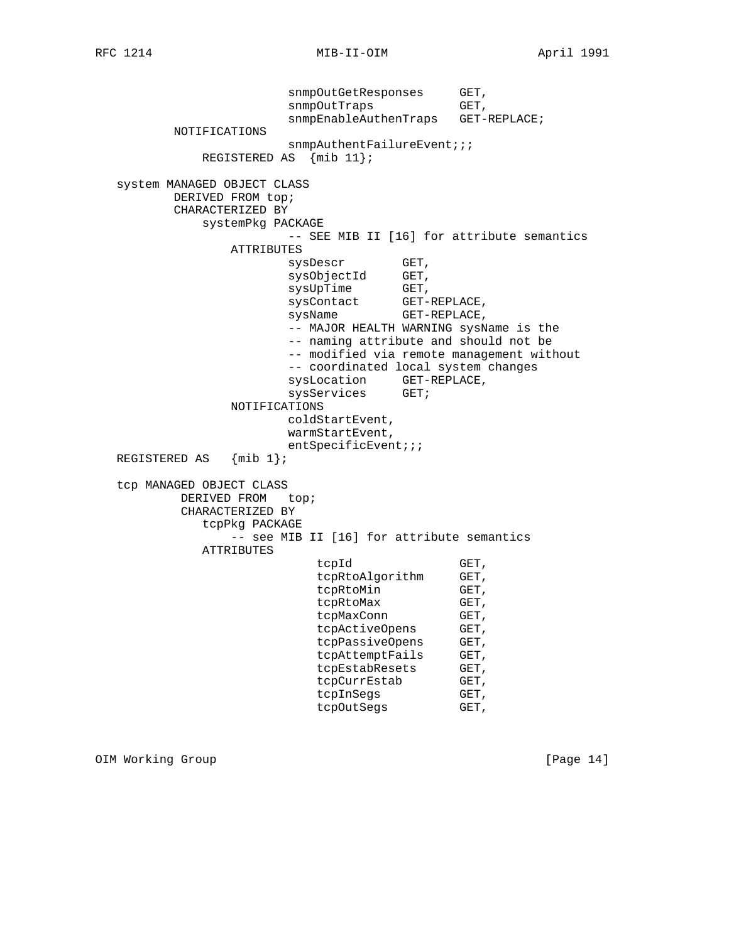snmpOutGetResponses GET, snmpOutTraps GET, snmpEnableAuthenTraps GET-REPLACE; NOTIFICATIONS snmpAuthentFailureEvent;;; REGISTERED AS {mib 11}; system MANAGED OBJECT CLASS DERIVED FROM top; CHARACTERIZED BY systemPkg PACKAGE -- SEE MIB II [16] for attribute semantics ATTRIBUTES sysDescr GET, sysObjectId GET, sysUpTime GET, sysContact GET-REPLACE, sysName GET-REPLACE, -- MAJOR HEALTH WARNING sysName is the -- naming attribute and should not be -- modified via remote management without -- coordinated local system changes sysLocation GET-REPLACE, sysServices GET; NOTIFICATIONS coldStartEvent, warmStartEvent, entSpecificEvent;;;<br>{mib 1}; REGISTERED AS tcp MANAGED OBJECT CLASS DERIVED FROM top; CHARACTERIZED BY tcpPkg PACKAGE -- see MIB II [16] for attribute semantics ATTRIBUTES tcpId GET, tcpRtoAlgorithm GET, tcpRtoMin GET,<br>tcpRtoMax GET, tcpRtoMax GET,<br>tcpMaxConn GET, tcpMaxConn GET,<br>tcpActiveOpens GET, tcpActiveOpens tcpPassiveOpens GET, tcpAttemptFails GET, tcpEstabResets GET, tcpCurrEstab GET, tcpInSegs GET, tcpOutSegs GET,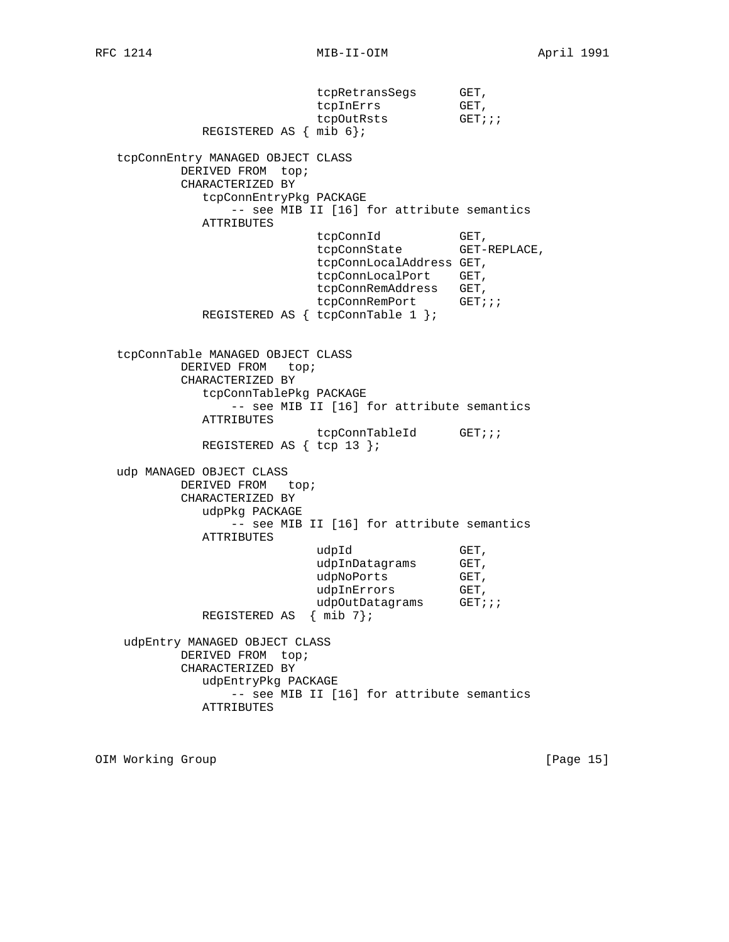tcpRetransSegs GET, tcpInErrs GET, tcpOutRsts GET;;; REGISTERED AS { mib 6}; tcpConnEntry MANAGED OBJECT CLASS DERIVED FROM top; CHARACTERIZED BY tcpConnEntryPkg PACKAGE -- see MIB II [16] for attribute semantics ATTRIBUTES tcpConnId
GET,
tcpConnState
GET-REPLACE, tcpConnState tcpConnLocalAddress GET, tcpConnLocalPort GET, tcpConnRemAddress GET,<br>tcpConnRemPort GET;;; tcpConnRemPort REGISTERED AS { tcpConnTable 1 }; tcpConnTable MANAGED OBJECT CLASS DERIVED FROM top; CHARACTERIZED BY tcpConnTablePkg PACKAGE -- see MIB II [16] for attribute semantics ATTRIBUTES tcpConnTableId GET;;; REGISTERED AS { tcp 13 }; udp MANAGED OBJECT CLASS DERIVED FROM top; CHARACTERIZED BY udpPkg PACKAGE -- see MIB II [16] for attribute semantics ATTRIBUTES  $\verb"udpId" \qquad \qquad \verb"GET",$ udpInDatagrams GET, udpNoPorts GET, udpInErrors GET,<br>udpOutDatagrams GET;;; udpOutDatagrams REGISTERED AS { mib 7}; udpEntry MANAGED OBJECT CLASS DERIVED FROM top; CHARACTERIZED BY udpEntryPkg PACKAGE -- see MIB II [16] for attribute semantics ATTRIBUTES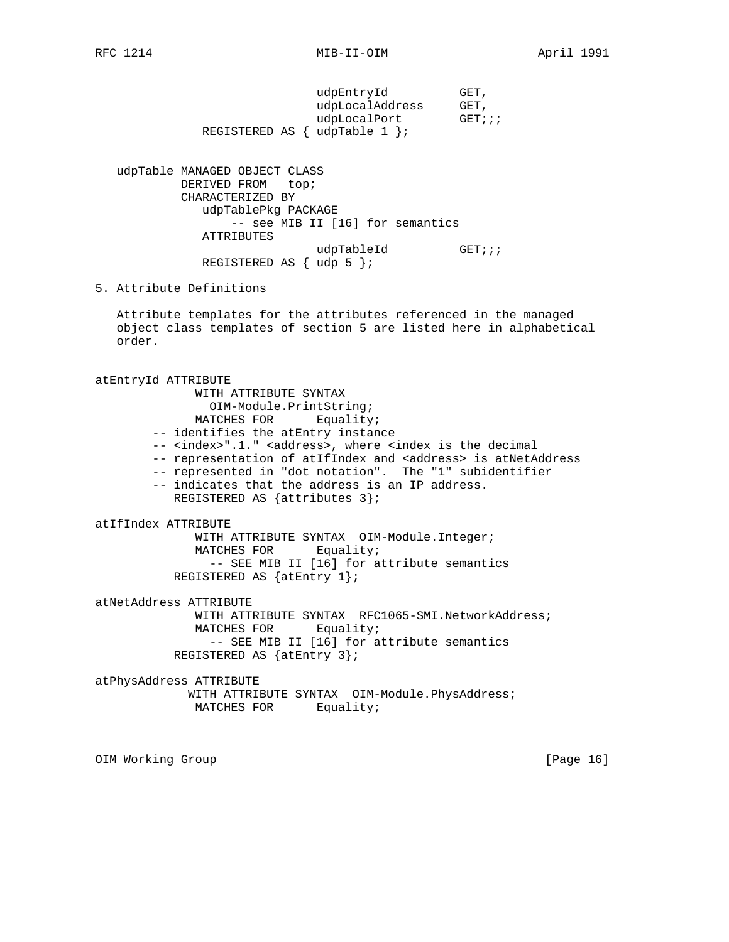| udpEntryId                              | GET.   |
|-----------------------------------------|--------|
| udpLocalAddress                         | GET,   |
| udpLocalPort                            | GET;;; |
| REGISTERED AS $\{ \text{udprable} 1 \}$ |        |

 udpTable MANAGED OBJECT CLASS DERIVED FROM top; CHARACTERIZED BY udpTablePkg PACKAGE -- see MIB II [16] for semantics ATTRIBUTES udpTableId GET;;; REGISTERED AS { udp 5 };

# 5. Attribute Definitions

 Attribute templates for the attributes referenced in the managed object class templates of section 5 are listed here in alphabetical order.

atEntryId ATTRIBUTE WITH ATTRIBUTE SYNTAX OIM-Module.PrintString; MATCHES FOR Equality; -- identifies the atEntry instance -- <index>".1." <address>, where <index is the decimal -- representation of atIfIndex and <address> is atNetAddress -- represented in "dot notation". The "1" subidentifier -- indicates that the address is an IP address. REGISTERED AS {attributes 3}; atIfIndex ATTRIBUTE WITH ATTRIBUTE SYNTAX OIM-Module.Integer; MATCHES FOR Equality; -- SEE MIB II [16] for attribute semantics REGISTERED AS {atEntry 1}; atNetAddress ATTRIBUTE WITH ATTRIBUTE SYNTAX RFC1065-SMI.NetworkAddress; MATCHES FOR Equality; -- SEE MIB II [16] for attribute semantics REGISTERED AS {atEntry 3}; atPhysAddress ATTRIBUTE WITH ATTRIBUTE SYNTAX OIM-Module. PhysAddress;

```
MATCHES FOR Equality;
```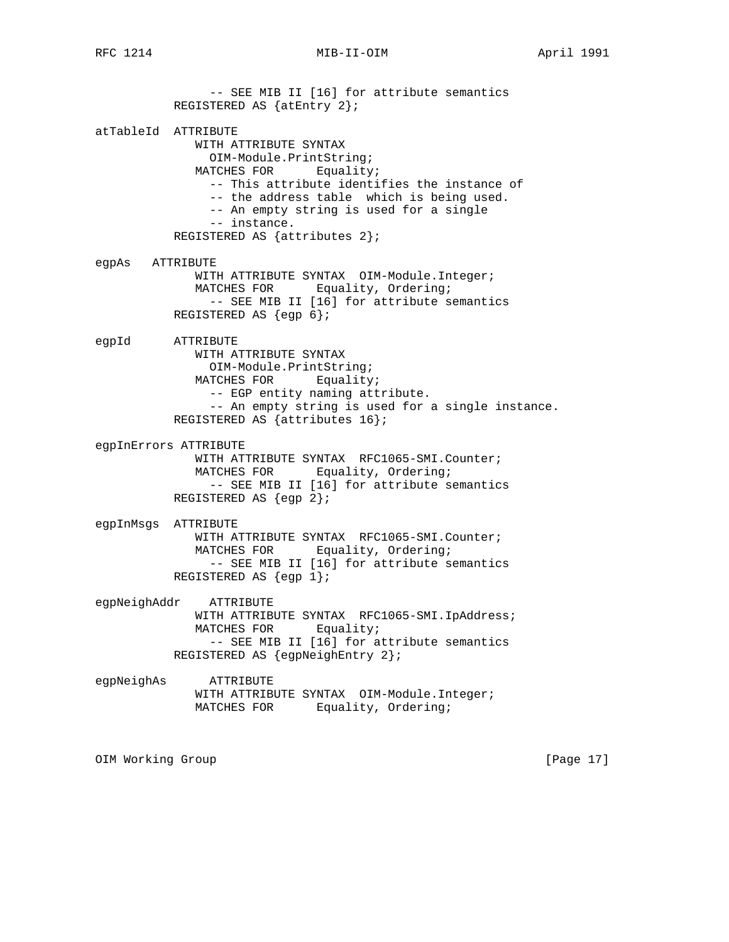RFC 1214 MIB-II-OIM MONTHL April 1991

 -- SEE MIB II [16] for attribute semantics REGISTERED AS {atEntry 2}; atTableId ATTRIBUTE WITH ATTRIBUTE SYNTAX OIM-Module.PrintString; MATCHES FOR Equality; -- This attribute identifies the instance of -- the address table which is being used. -- An empty string is used for a single -- instance. REGISTERED AS {attributes 2}; egpAs ATTRIBUTE WITH ATTRIBUTE SYNTAX OIM-Module.Integer; MATCHES FOR Equality, Ordering; -- SEE MIB II [16] for attribute semantics REGISTERED AS {egp 6}; egpId ATTRIBUTE WITH ATTRIBUTE SYNTAX OIM-Module.PrintString; MATCHES FOR Equality; -- EGP entity naming attribute. -- An empty string is used for a single instance. REGISTERED AS {attributes 16}; egpInErrors ATTRIBUTE WITH ATTRIBUTE SYNTAX RFC1065-SMI.Counter; MATCHES FOR Equality, Ordering; -- SEE MIB II [16] for attribute semantics REGISTERED AS {egp 2}; egpInMsgs ATTRIBUTE WITH ATTRIBUTE SYNTAX RFC1065-SMI.Counter; MATCHES FOR Equality, Ordering; -- SEE MIB II [16] for attribute semantics REGISTERED AS {egp 1}; egpNeighAddr ATTRIBUTE WITH ATTRIBUTE SYNTAX RFC1065-SMI.IpAddress; MATCHES FOR Equality; -- SEE MIB II [16] for attribute semantics REGISTERED AS {egpNeighEntry 2}; egpNeighAs ATTRIBUTE WITH ATTRIBUTE SYNTAX OIM-Module.Integer; MATCHES FOR Equality, Ordering;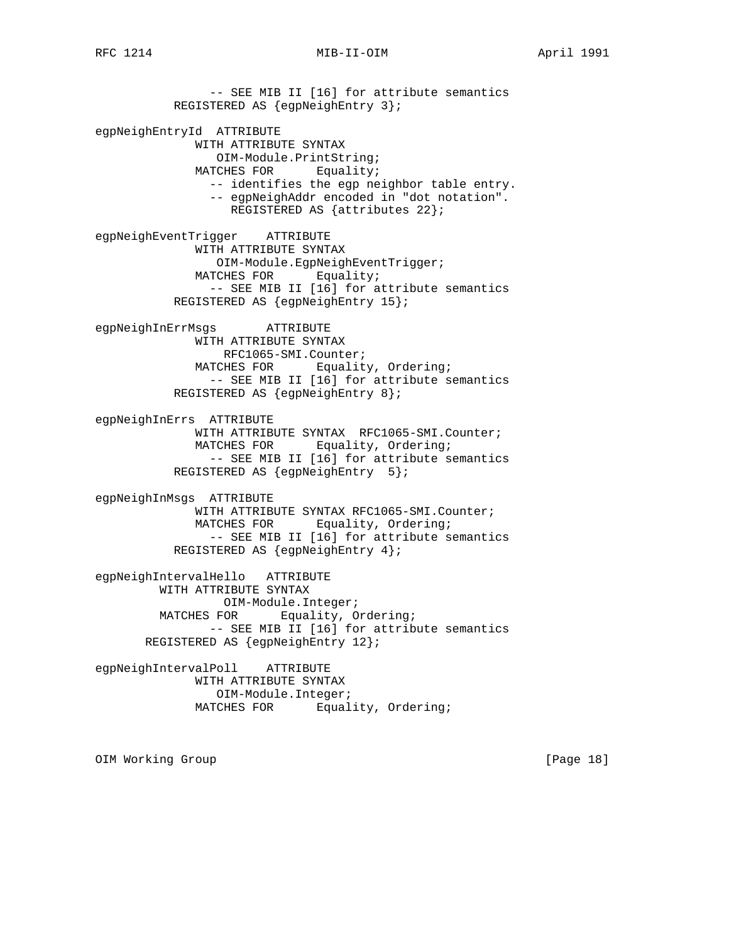-- SEE MIB II [16] for attribute semantics REGISTERED AS {egpNeighEntry 3}; egpNeighEntryId ATTRIBUTE WITH ATTRIBUTE SYNTAX OIM-Module.PrintString; MATCHES FOR Equality; -- identifies the egp neighbor table entry. -- egpNeighAddr encoded in "dot notation". REGISTERED AS {attributes 22}; egpNeighEventTrigger ATTRIBUTE WITH ATTRIBUTE SYNTAX OIM-Module.EgpNeighEventTrigger; MATCHES FOR Equality; -- SEE MIB II [16] for attribute semantics REGISTERED AS {egpNeighEntry 15}; egpNeighInErrMsgs ATTRIBUTE WITH ATTRIBUTE SYNTAX RFC1065-SMI.Counter; MATCHES FOR Equality, Ordering; -- SEE MIB II [16] for attribute semantics REGISTERED AS {egpNeighEntry 8}; egpNeighInErrs ATTRIBUTE WITH ATTRIBUTE SYNTAX RFC1065-SMI.Counter; MATCHES FOR Equality, Ordering; -- SEE MIB II [16] for attribute semantics REGISTERED AS {egpNeighEntry 5}; egpNeighInMsgs ATTRIBUTE WITH ATTRIBUTE SYNTAX RFC1065-SMI.Counter; MATCHES FOR Equality, Ordering; -- SEE MIB II [16] for attribute semantics REGISTERED AS {egpNeighEntry 4}; egpNeighIntervalHello ATTRIBUTE WITH ATTRIBUTE SYNTAX OIM-Module.Integer; MATCHES FOR Equality, Ordering; -- SEE MIB II [16] for attribute semantics REGISTERED AS {egpNeighEntry 12}; egpNeighIntervalPoll ATTRIBUTE WITH ATTRIBUTE SYNTAX OIM-Module.Integer; MATCHES FOR Equality, Ordering;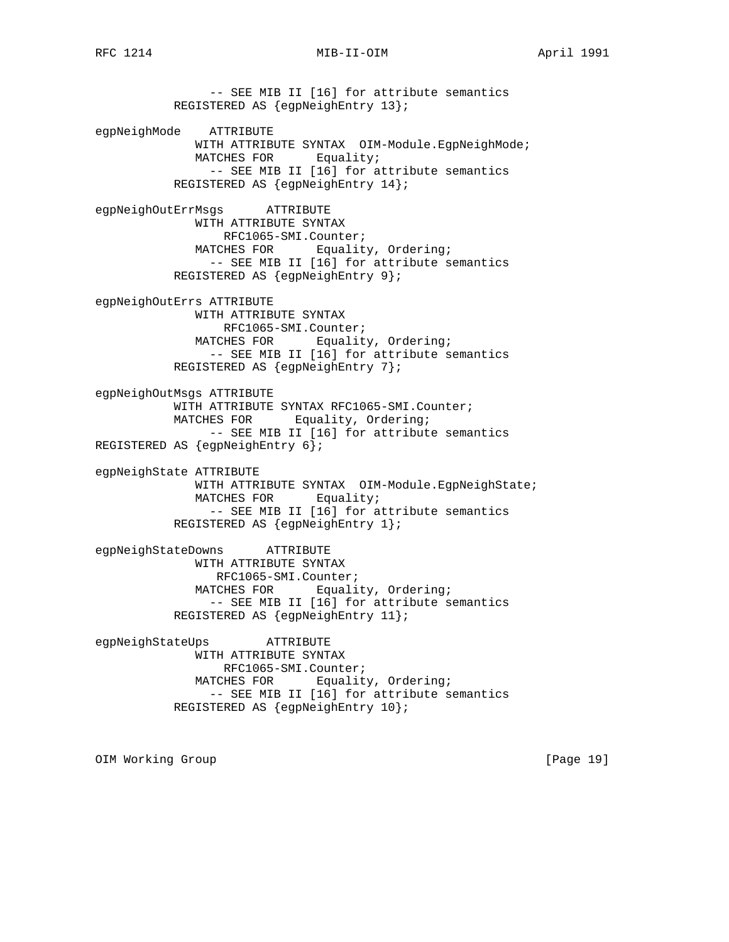RFC 1214 MIB-II-OIM MONTHL April 1991

 -- SEE MIB II [16] for attribute semantics REGISTERED AS {egpNeighEntry 13}; egpNeighMode ATTRIBUTE WITH ATTRIBUTE SYNTAX OIM-Module.EgpNeighMode; MATCHES FOR Equality; -- SEE MIB II [16] for attribute semantics REGISTERED AS {egpNeighEntry 14}; egpNeighOutErrMsgs ATTRIBUTE WITH ATTRIBUTE SYNTAX RFC1065-SMI.Counter; MATCHES FOR Equality, Ordering; -- SEE MIB II [16] for attribute semantics REGISTERED AS {egpNeighEntry 9}; egpNeighOutErrs ATTRIBUTE WITH ATTRIBUTE SYNTAX RFC1065-SMI.Counter; MATCHES FOR Equality, Ordering; -- SEE MIB II [16] for attribute semantics REGISTERED AS {egpNeighEntry 7}; egpNeighOutMsgs ATTRIBUTE WITH ATTRIBUTE SYNTAX RFC1065-SMI.Counter; MATCHES FOR Equality, Ordering; -- SEE MIB II [16] for attribute semantics REGISTERED AS {egpNeighEntry 6}; egpNeighState ATTRIBUTE WITH ATTRIBUTE SYNTAX OIM-Module.EgpNeighState; MATCHES FOR Equality; -- SEE MIB II [16] for attribute semantics REGISTERED AS {egpNeighEntry 1}; egpNeighStateDowns ATTRIBUTE WITH ATTRIBUTE SYNTAX RFC1065-SMI.Counter; MATCHES FOR Equality, Ordering; -- SEE MIB II [16] for attribute semantics REGISTERED AS {egpNeighEntry 11}; egpNeighStateUps ATTRIBUTE WITH ATTRIBUTE SYNTAX RFC1065-SMI.Counter; MATCHES FOR Equality, Ordering; -- SEE MIB II [16] for attribute semantics REGISTERED AS {egpNeighEntry 10};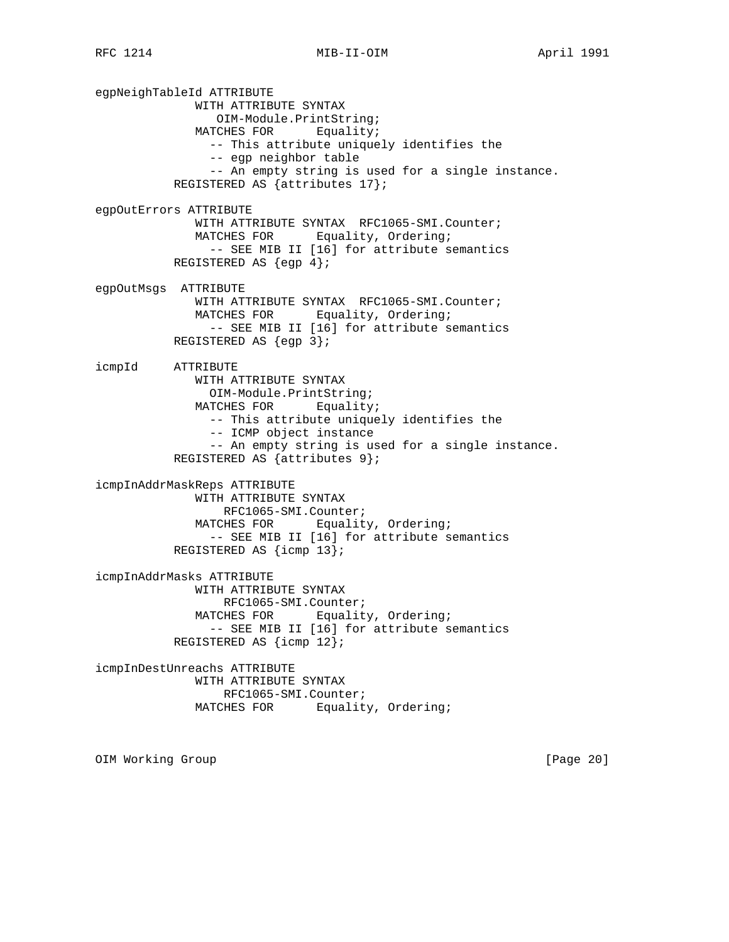egpNeighTableId ATTRIBUTE WITH ATTRIBUTE SYNTAX OIM-Module.PrintString; MATCHES FOR Equality; -- This attribute uniquely identifies the -- egp neighbor table -- An empty string is used for a single instance. REGISTERED AS {attributes 17}; egpOutErrors ATTRIBUTE WITH ATTRIBUTE SYNTAX RFC1065-SMI.Counter; MATCHES FOR Equality, Ordering; -- SEE MIB II [16] for attribute semantics REGISTERED AS  $\{eqp 4\}$ ; egpOutMsgs ATTRIBUTE WITH ATTRIBUTE SYNTAX RFC1065-SMI.Counter; MATCHES FOR Equality, Ordering; -- SEE MIB II [16] for attribute semantics REGISTERED AS {egp 3}; icmpId ATTRIBUTE WITH ATTRIBUTE SYNTAX OIM-Module.PrintString; MATCHES FOR Equality; -- This attribute uniquely identifies the -- ICMP object instance -- An empty string is used for a single instance. REGISTERED AS {attributes 9}; icmpInAddrMaskReps ATTRIBUTE WITH ATTRIBUTE SYNTAX RFC1065-SMI.Counter; MATCHES FOR Equality, Ordering; -- SEE MIB II [16] for attribute semantics REGISTERED AS {icmp 13}; icmpInAddrMasks ATTRIBUTE WITH ATTRIBUTE SYNTAX RFC1065-SMI.Counter; MATCHES FOR Equality, Ordering; -- SEE MIB II [16] for attribute semantics REGISTERED AS {icmp 12}; icmpInDestUnreachs ATTRIBUTE WITH ATTRIBUTE SYNTAX RFC1065-SMI.Counter; MATCHES FOR Equality, Ordering;

OIM Working Group **by the Community Community** (Page 20)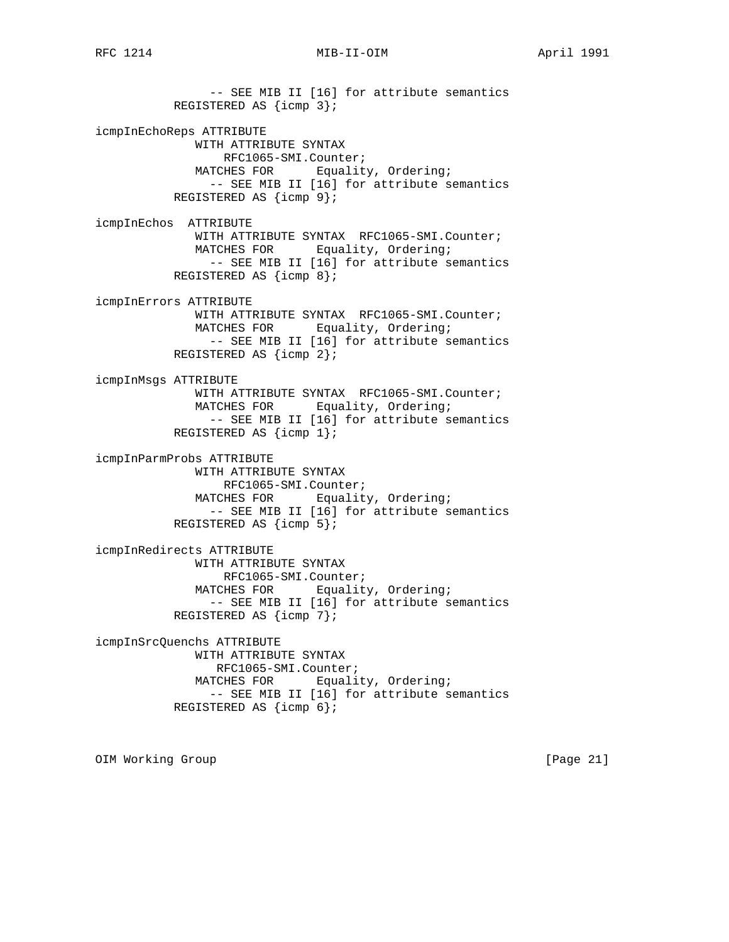-- SEE MIB II [16] for attribute semantics REGISTERED AS {icmp 3}; icmpInEchoReps ATTRIBUTE WITH ATTRIBUTE SYNTAX RFC1065-SMI.Counter; MATCHES FOR Equality, Ordering; -- SEE MIB II [16] for attribute semantics REGISTERED AS {icmp 9}; icmpInEchos ATTRIBUTE WITH ATTRIBUTE SYNTAX RFC1065-SMI.Counter; MATCHES FOR Equality, Ordering; -- SEE MIB II [16] for attribute semantics REGISTERED AS {icmp 8}; icmpInErrors ATTRIBUTE WITH ATTRIBUTE SYNTAX RFC1065-SMI.Counter; MATCHES FOR Equality, Ordering; -- SEE MIB II [16] for attribute semantics REGISTERED AS {icmp 2}; icmpInMsgs ATTRIBUTE WITH ATTRIBUTE SYNTAX RFC1065-SMI.Counter; MATCHES FOR Equality, Ordering; -- SEE MIB II [16] for attribute semantics REGISTERED AS {icmp 1}; icmpInParmProbs ATTRIBUTE WITH ATTRIBUTE SYNTAX RFC1065-SMI.Counter; MATCHES FOR Equality, Ordering; -- SEE MIB II [16] for attribute semantics REGISTERED AS {icmp 5}; icmpInRedirects ATTRIBUTE WITH ATTRIBUTE SYNTAX RFC1065-SMI.Counter; MATCHES FOR Equality, Ordering; -- SEE MIB II [16] for attribute semantics REGISTERED AS {icmp 7}; icmpInSrcQuenchs ATTRIBUTE WITH ATTRIBUTE SYNTAX RFC1065-SMI.Counter; MATCHES FOR Equality, Ordering; -- SEE MIB II [16] for attribute semantics REGISTERED AS {icmp 6};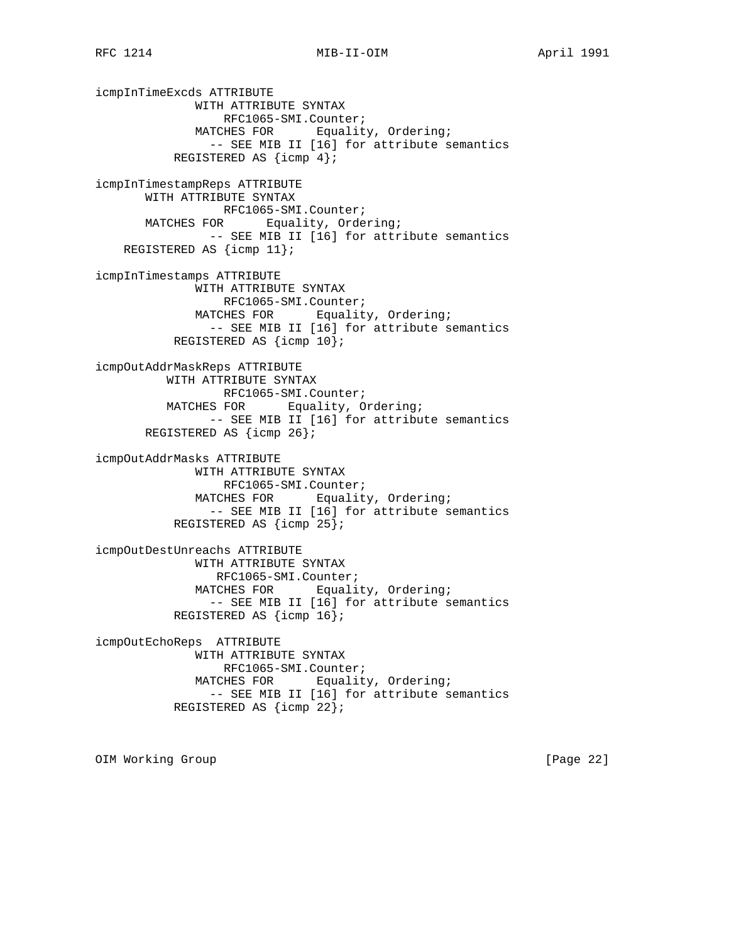icmpInTimeExcds ATTRIBUTE WITH ATTRIBUTE SYNTAX RFC1065-SMI.Counter; MATCHES FOR Equality, Ordering; -- SEE MIB II [16] for attribute semantics REGISTERED AS {icmp 4}; icmpInTimestampReps ATTRIBUTE WITH ATTRIBUTE SYNTAX RFC1065-SMI.Counter; MATCHES FOR Equality, Ordering; -- SEE MIB II [16] for attribute semantics REGISTERED AS {icmp 11}; icmpInTimestamps ATTRIBUTE WITH ATTRIBUTE SYNTAX RFC1065-SMI.Counter; MATCHES FOR Equality, Ordering; -- SEE MIB II [16] for attribute semantics REGISTERED AS {icmp 10}; icmpOutAddrMaskReps ATTRIBUTE WITH ATTRIBUTE SYNTAX RFC1065-SMI.Counter; MATCHES FOR Equality, Ordering; -- SEE MIB II [16] for attribute semantics REGISTERED AS {icmp 26}; icmpOutAddrMasks ATTRIBUTE WITH ATTRIBUTE SYNTAX RFC1065-SMI.Counter; MATCHES FOR Equality, Ordering; -- SEE MIB II [16] for attribute semantics REGISTERED AS {icmp 25}; icmpOutDestUnreachs ATTRIBUTE WITH ATTRIBUTE SYNTAX RFC1065-SMI.Counter; MATCHES FOR Equality, Ordering; -- SEE MIB II [16] for attribute semantics REGISTERED AS {icmp 16}; icmpOutEchoReps ATTRIBUTE WITH ATTRIBUTE SYNTAX RFC1065-SMI.Counter; MATCHES FOR Equality, Ordering; -- SEE MIB II [16] for attribute semantics REGISTERED AS {icmp 22};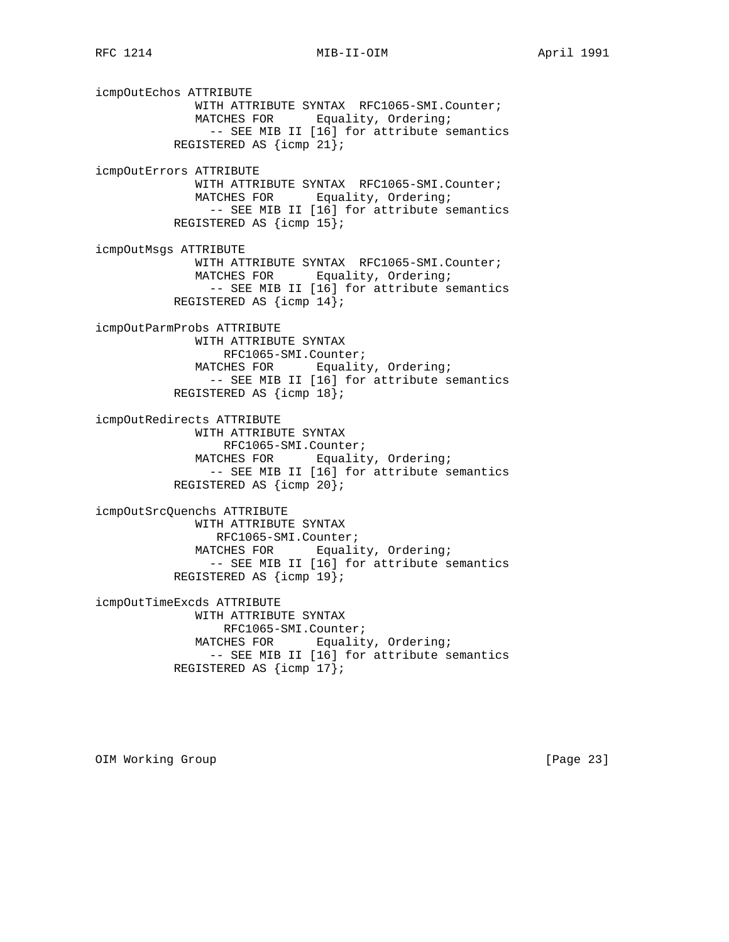icmpOutEchos ATTRIBUTE WITH ATTRIBUTE SYNTAX RFC1065-SMI.Counter; MATCHES FOR Equality, Ordering; -- SEE MIB II [16] for attribute semantics REGISTERED AS {icmp 21}; icmpOutErrors ATTRIBUTE WITH ATTRIBUTE SYNTAX RFC1065-SMI.Counter; MATCHES FOR Equality, Ordering; -- SEE MIB II [16] for attribute semantics REGISTERED AS {icmp 15}; icmpOutMsgs ATTRIBUTE WITH ATTRIBUTE SYNTAX RFC1065-SMI.Counter; MATCHES FOR Equality, Ordering; -- SEE MIB II [16] for attribute semantics REGISTERED AS {icmp 14}; icmpOutParmProbs ATTRIBUTE WITH ATTRIBUTE SYNTAX RFC1065-SMI.Counter; MATCHES FOR Equality, Ordering; -- SEE MIB II [16] for attribute semantics REGISTERED AS {icmp 18}; icmpOutRedirects ATTRIBUTE WITH ATTRIBUTE SYNTAX RFC1065-SMI.Counter; MATCHES FOR Equality, Ordering; -- SEE MIB II [16] for attribute semantics REGISTERED AS {icmp 20}; icmpOutSrcQuenchs ATTRIBUTE WITH ATTRIBUTE SYNTAX RFC1065-SMI.Counter; MATCHES FOR Equality, Ordering; -- SEE MIB II [16] for attribute semantics REGISTERED AS {icmp 19}; icmpOutTimeExcds ATTRIBUTE WITH ATTRIBUTE SYNTAX RFC1065-SMI.Counter; MATCHES FOR Equality, Ordering; -- SEE MIB II [16] for attribute semantics REGISTERED AS {icmp 17};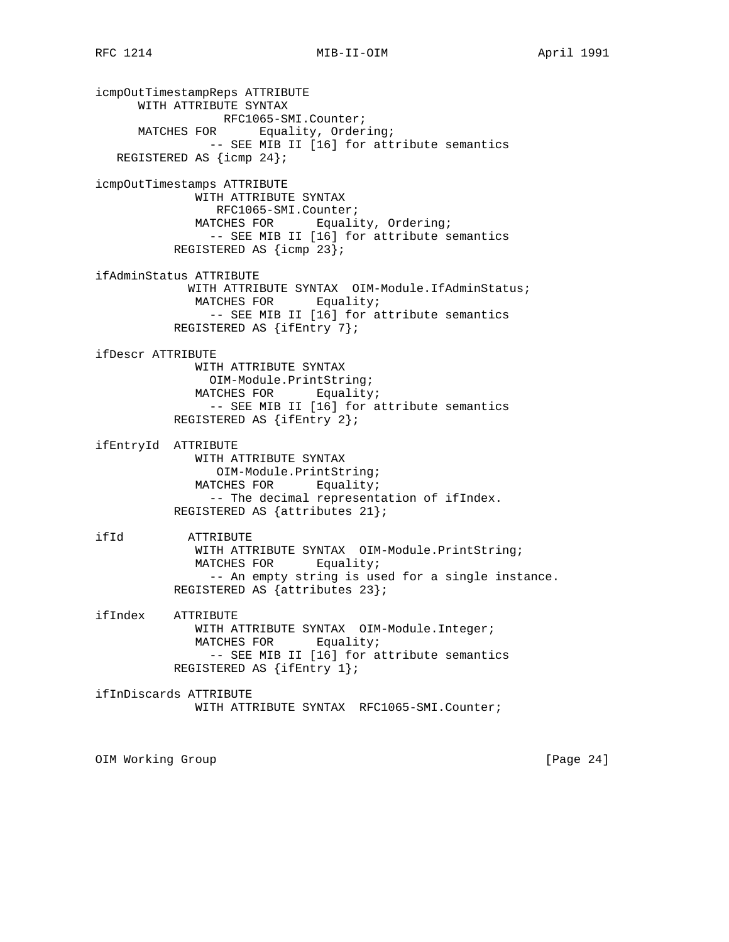icmpOutTimestampReps ATTRIBUTE WITH ATTRIBUTE SYNTAX RFC1065-SMI.Counter; MATCHES FOR Equality, Ordering; -- SEE MIB II [16] for attribute semantics REGISTERED AS {icmp 24}; icmpOutTimestamps ATTRIBUTE WITH ATTRIBUTE SYNTAX RFC1065-SMI.Counter;<br>MATCHES FOR Equali Equality, Ordering; -- SEE MIB II [16] for attribute semantics REGISTERED AS {icmp 23}; ifAdminStatus ATTRIBUTE WITH ATTRIBUTE SYNTAX OIM-Module.IfAdminStatus; MATCHES FOR Equality; -- SEE MIB II [16] for attribute semantics REGISTERED AS {ifEntry 7}; ifDescr ATTRIBUTE WITH ATTRIBUTE SYNTAX OIM-Module.PrintString; MATCHES FOR Equality; -- SEE MIB II [16] for attribute semantics REGISTERED AS {ifEntry 2}; ifEntryId ATTRIBUTE WITH ATTRIBUTE SYNTAX OIM-Module.PrintString; MATCHES FOR Equality; -- The decimal representation of ifIndex. REGISTERED AS {attributes 21}; ifId ATTRIBUTE WITH ATTRIBUTE SYNTAX OIM-Module.PrintString; MATCHES FOR Equality; -- An empty string is used for a single instance. REGISTERED AS {attributes 23}; ifIndex ATTRIBUTE WITH ATTRIBUTE SYNTAX OIM-Module.Integer; MATCHES FOR Equality; -- SEE MIB II [16] for attribute semantics REGISTERED AS {ifEntry 1}; ifInDiscards ATTRIBUTE WITH ATTRIBUTE SYNTAX RFC1065-SMI.Counter; OIM Working Group and the contract of the contract of the contract of the contract of the contract of the contract of the contract of the contract of the contract of the contract of the contract of the contract of the cont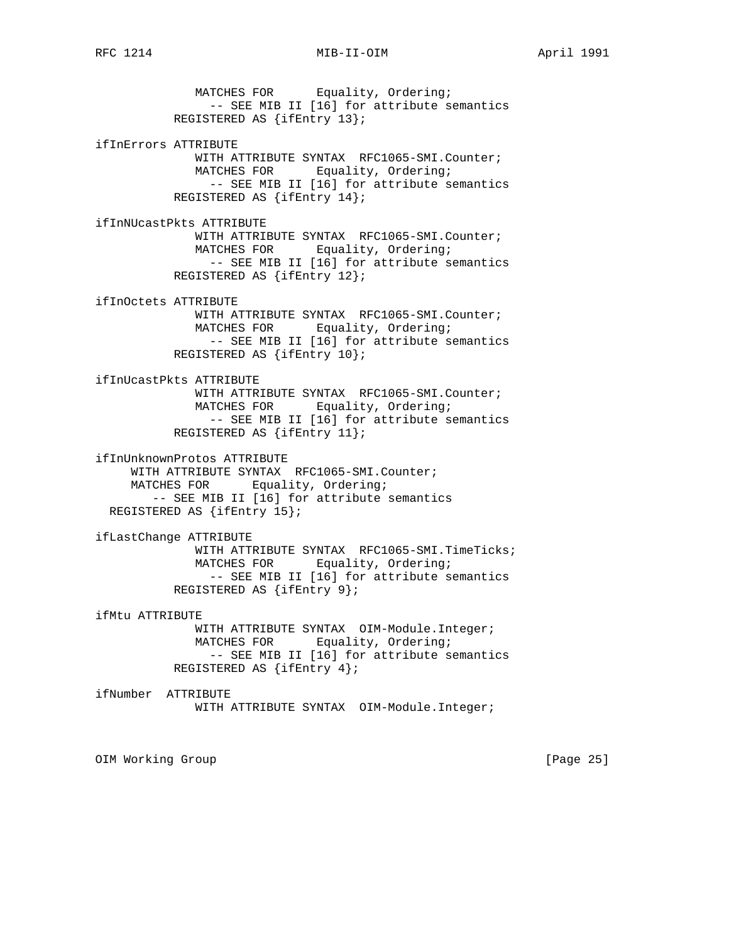MATCHES FOR Equality, Ordering; -- SEE MIB II [16] for attribute semantics REGISTERED AS {ifEntry 13}; ifInErrors ATTRIBUTE WITH ATTRIBUTE SYNTAX RFC1065-SMI.Counter; MATCHES FOR Equality, Ordering; -- SEE MIB II [16] for attribute semantics REGISTERED AS {ifEntry 14}; ifInNUcastPkts ATTRIBUTE WITH ATTRIBUTE SYNTAX RFC1065-SMI.Counter; MATCHES FOR Equality, Ordering; -- SEE MIB II [16] for attribute semantics REGISTERED AS {ifEntry 12}; ifInOctets ATTRIBUTE WITH ATTRIBUTE SYNTAX RFC1065-SMI.Counter; MATCHES FOR Equality, Ordering; -- SEE MIB II [16] for attribute semantics REGISTERED AS {ifEntry 10}; ifInUcastPkts ATTRIBUTE WITH ATTRIBUTE SYNTAX RFC1065-SMI.Counter; MATCHES FOR Equality, Ordering; -- SEE MIB II [16] for attribute semantics REGISTERED AS {ifEntry 11}; ifInUnknownProtos ATTRIBUTE WITH ATTRIBUTE SYNTAX RFC1065-SMI.Counter; MATCHES FOR Equality, Ordering; -- SEE MIB II [16] for attribute semantics REGISTERED AS {ifEntry 15}; ifLastChange ATTRIBUTE WITH ATTRIBUTE SYNTAX RFC1065-SMI.TimeTicks; MATCHES FOR Equality, Ordering; -- SEE MIB II [16] for attribute semantics REGISTERED AS {ifEntry 9}; ifMtu ATTRIBUTE WITH ATTRIBUTE SYNTAX OIM-Module.Integer; MATCHES FOR Equality, Ordering; -- SEE MIB II [16] for attribute semantics REGISTERED AS {ifEntry 4}; ifNumber ATTRIBUTE WITH ATTRIBUTE SYNTAX OIM-Module.Integer;

OIM Working Group [Page 25]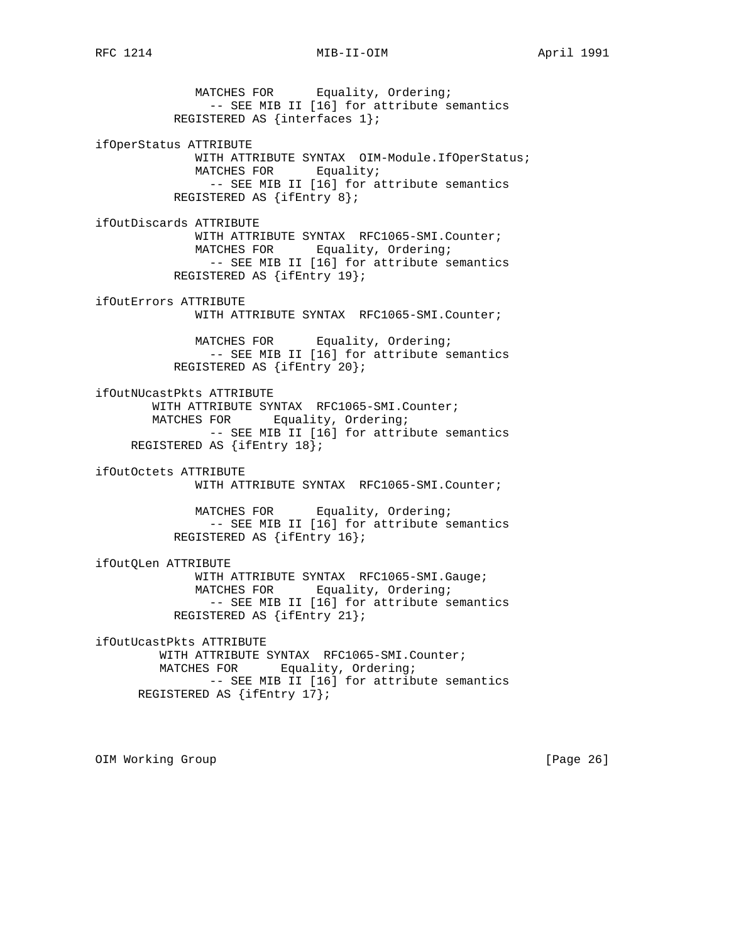MATCHES FOR Equality, Ordering; -- SEE MIB II [16] for attribute semantics REGISTERED AS {interfaces 1}; ifOperStatus ATTRIBUTE WITH ATTRIBUTE SYNTAX OIM-Module.IfOperStatus; MATCHES FOR Equality; -- SEE MIB II [16] for attribute semantics REGISTERED AS {ifEntry 8}; ifOutDiscards ATTRIBUTE WITH ATTRIBUTE SYNTAX RFC1065-SMI.Counter; MATCHES FOR Equality, Ordering; -- SEE MIB II [16] for attribute semantics REGISTERED AS {ifEntry 19}; ifOutErrors ATTRIBUTE WITH ATTRIBUTE SYNTAX RFC1065-SMI.Counter; MATCHES FOR Equality, Ordering; -- SEE MIB II [16] for attribute semantics REGISTERED AS {ifEntry 20}; ifOutNUcastPkts ATTRIBUTE WITH ATTRIBUTE SYNTAX RFC1065-SMI.Counter; MATCHES FOR Equality, Ordering; -- SEE MIB II [16] for attribute semantics REGISTERED AS {ifEntry 18}; ifOutOctets ATTRIBUTE WITH ATTRIBUTE SYNTAX RFC1065-SMI.Counter; MATCHES FOR Equality, Ordering; -- SEE MIB II [16] for attribute semantics REGISTERED AS {ifEntry 16}; ifOutQLen ATTRIBUTE WITH ATTRIBUTE SYNTAX RFC1065-SMI.Gauge; MATCHES FOR Equality, Ordering; -- SEE MIB II [16] for attribute semantics REGISTERED AS {ifEntry 21}; ifOutUcastPkts ATTRIBUTE WITH ATTRIBUTE SYNTAX RFC1065-SMI.Counter; MATCHES FOR Equality, Ordering; -- SEE MIB II [16] for attribute semantics REGISTERED AS {ifEntry 17};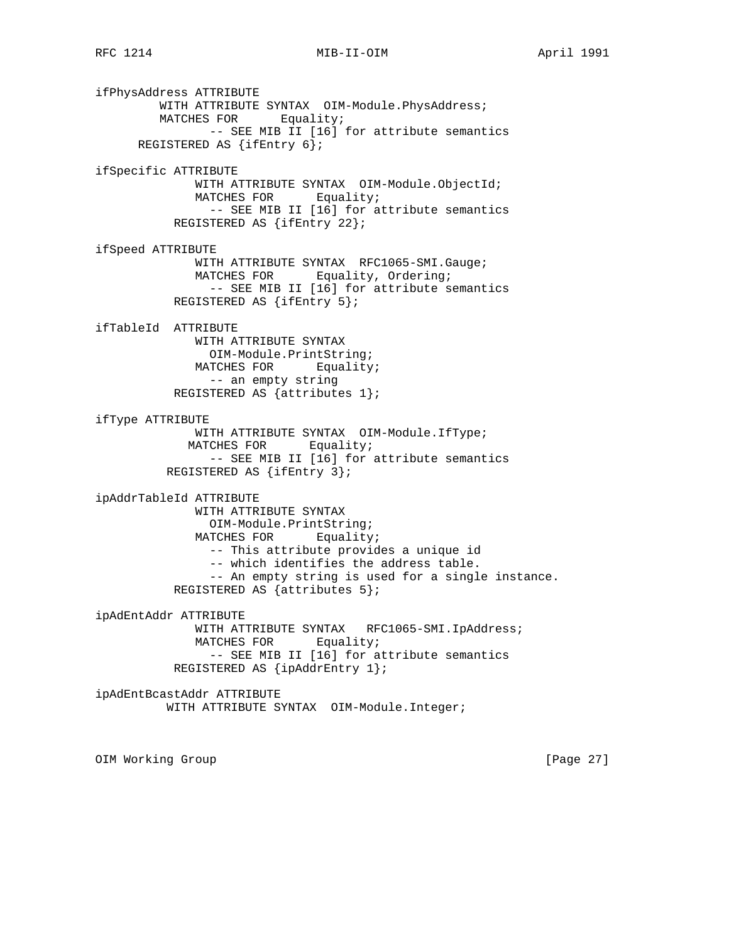ifPhysAddress ATTRIBUTE WITH ATTRIBUTE SYNTAX OIM-Module. PhysAddress; MATCHES FOR Equality; -- SEE MIB II [16] for attribute semantics REGISTERED AS {ifEntry 6}; ifSpecific ATTRIBUTE WITH ATTRIBUTE SYNTAX OIM-Module.ObjectId; MATCHES FOR Equality; -- SEE MIB II [16] for attribute semantics REGISTERED AS {ifEntry 22}; ifSpeed ATTRIBUTE WITH ATTRIBUTE SYNTAX RFC1065-SMI.Gauge; MATCHES FOR Equality, Ordering; -- SEE MIB II [16] for attribute semantics REGISTERED AS {ifEntry 5}; ifTableId ATTRIBUTE WITH ATTRIBUTE SYNTAX OIM-Module.PrintString; MATCHES FOR Equality; -- an empty string REGISTERED AS {attributes 1}; ifType ATTRIBUTE WITH ATTRIBUTE SYNTAX OIM-Module.IfType; MATCHES FOR Equality; -- SEE MIB II [16] for attribute semantics REGISTERED AS {ifEntry 3}; ipAddrTableId ATTRIBUTE WITH ATTRIBUTE SYNTAX OIM-Module.PrintString; MATCHES FOR Equality; -- This attribute provides a unique id -- which identifies the address table. -- An empty string is used for a single instance. REGISTERED AS {attributes 5}; ipAdEntAddr ATTRIBUTE WITH ATTRIBUTE SYNTAX RFC1065-SMI.IpAddress; MATCHES FOR Equality; -- SEE MIB II [16] for attribute semantics REGISTERED AS {ipAddrEntry 1}; ipAdEntBcastAddr ATTRIBUTE WITH ATTRIBUTE SYNTAX OIM-Module.Integer;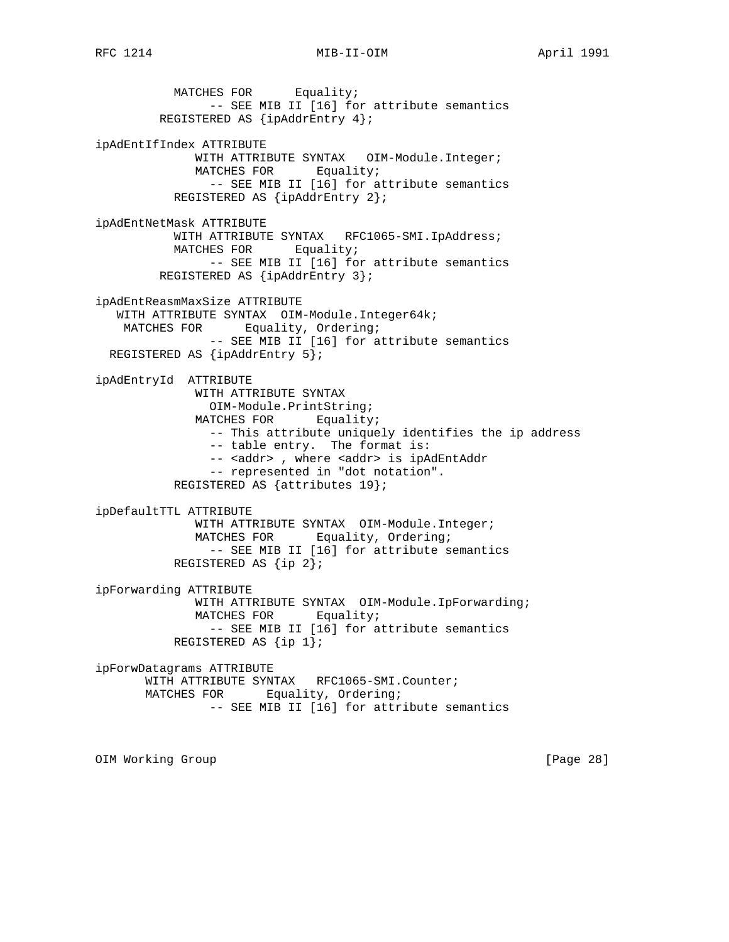MATCHES FOR Equality; -- SEE MIB II [16] for attribute semantics REGISTERED AS {ipAddrEntry 4}; ipAdEntIfIndex ATTRIBUTE WITH ATTRIBUTE SYNTAX OIM-Module.Integer; MATCHES FOR Equality; -- SEE MIB II [16] for attribute semantics REGISTERED AS {ipAddrEntry 2}; ipAdEntNetMask ATTRIBUTE WITH ATTRIBUTE SYNTAX RFC1065-SMI.IpAddress; MATCHES FOR Equality; -- SEE MIB II [16] for attribute semantics REGISTERED AS {ipAddrEntry 3}; ipAdEntReasmMaxSize ATTRIBUTE WITH ATTRIBUTE SYNTAX OIM-Module.Integer64k; MATCHES FOR Equality, Ordering; -- SEE MIB II [16] for attribute semantics REGISTERED AS {ipAddrEntry 5}; ipAdEntryId ATTRIBUTE WITH ATTRIBUTE SYNTAX OIM-Module.PrintString; MATCHES FOR Equality; -- This attribute uniquely identifies the ip address -- table entry. The format is: -- <addr> , where <addr> is ipAdEntAddr -- represented in "dot notation". REGISTERED AS {attributes 19}; ipDefaultTTL ATTRIBUTE WITH ATTRIBUTE SYNTAX OIM-Module.Integer; MATCHES FOR Equality, Ordering; -- SEE MIB II [16] for attribute semantics REGISTERED AS {ip 2}; ipForwarding ATTRIBUTE WITH ATTRIBUTE SYNTAX OIM-Module.IpForwarding; MATCHES FOR Equality; -- SEE MIB II [16] for attribute semantics REGISTERED AS {ip 1}; ipForwDatagrams ATTRIBUTE WITH ATTRIBUTE SYNTAX RFC1065-SMI.Counter; MATCHES FOR Equality, Ordering; -- SEE MIB II [16] for attribute semantics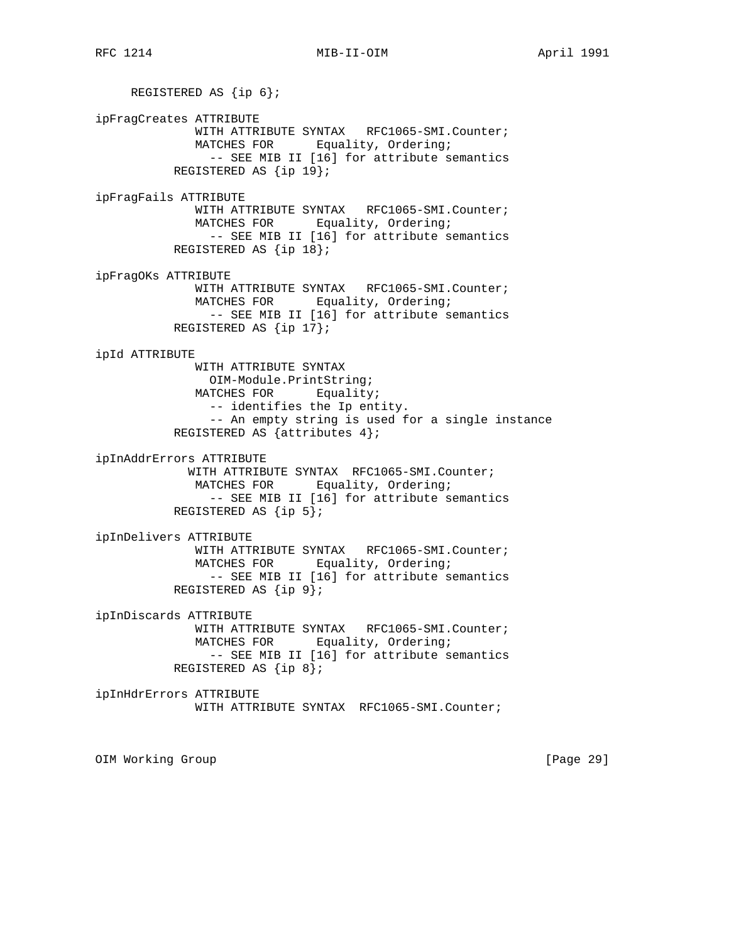REGISTERED AS {ip 6}; ipFragCreates ATTRIBUTE WITH ATTRIBUTE SYNTAX RFC1065-SMI.Counter; MATCHES FOR Equality, Ordering; -- SEE MIB II [16] for attribute semantics REGISTERED AS {ip 19}; ipFragFails ATTRIBUTE WITH ATTRIBUTE SYNTAX RFC1065-SMI.Counter; MATCHES FOR Equality, Ordering; -- SEE MIB II [16] for attribute semantics REGISTERED AS {ip 18}; ipFragOKs ATTRIBUTE WITH ATTRIBUTE SYNTAX RFC1065-SMI.Counter; MATCHES FOR Equality, Ordering; -- SEE MIB II [16] for attribute semantics REGISTERED AS {ip 17}; ipId ATTRIBUTE WITH ATTRIBUTE SYNTAX OIM-Module.PrintString; MATCHES FOR Equality; -- identifies the Ip entity. -- An empty string is used for a single instance REGISTERED AS {attributes 4}; ipInAddrErrors ATTRIBUTE WITH ATTRIBUTE SYNTAX RFC1065-SMI.Counter; MATCHES FOR Equality, Ordering; -- SEE MIB II [16] for attribute semantics REGISTERED AS {ip 5}; ipInDelivers ATTRIBUTE WITH ATTRIBUTE SYNTAX RFC1065-SMI.Counter; MATCHES FOR Equality, Ordering; -- SEE MIB II [16] for attribute semantics REGISTERED AS {ip 9}; ipInDiscards ATTRIBUTE WITH ATTRIBUTE SYNTAX RFC1065-SMI.Counter; MATCHES FOR Equality, Ordering; -- SEE MIB II [16] for attribute semantics REGISTERED AS {ip 8}; ipInHdrErrors ATTRIBUTE WITH ATTRIBUTE SYNTAX RFC1065-SMI.Counter;

OIM Working Group **business and Community Community** [Page 29]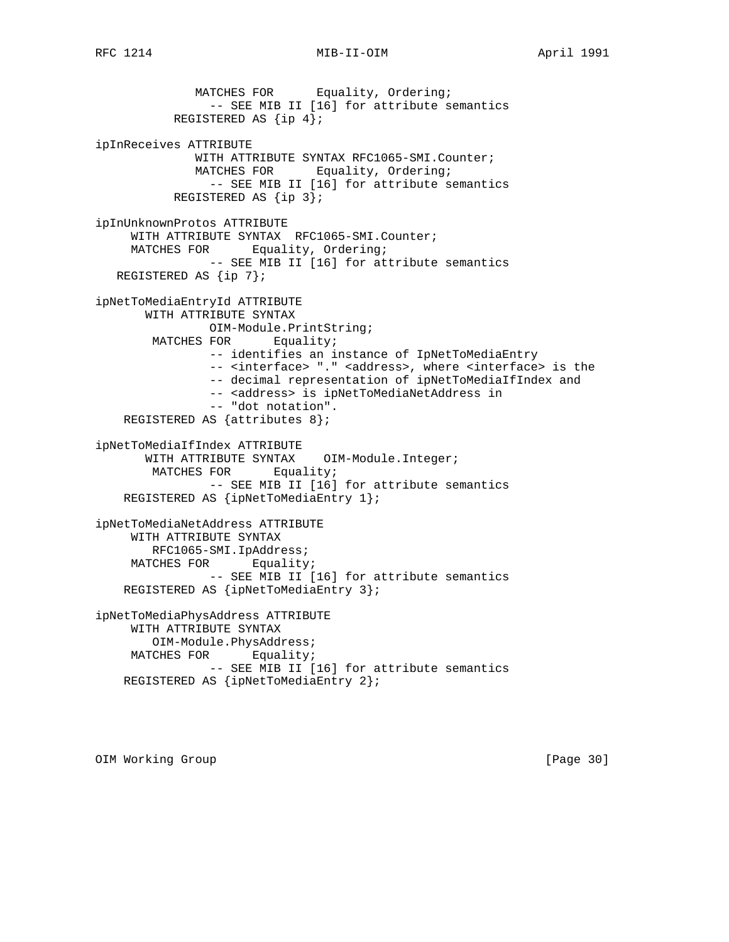MATCHES FOR Equality, Ordering; -- SEE MIB II [16] for attribute semantics REGISTERED AS {ip 4}; ipInReceives ATTRIBUTE WITH ATTRIBUTE SYNTAX RFC1065-SMI.Counter; MATCHES FOR Equality, Ordering; -- SEE MIB II [16] for attribute semantics REGISTERED AS {ip 3}; ipInUnknownProtos ATTRIBUTE WITH ATTRIBUTE SYNTAX RFC1065-SMI.Counter; MATCHES FOR Equality, Ordering; -- SEE MIB II [16] for attribute semantics REGISTERED AS {ip 7}; ipNetToMediaEntryId ATTRIBUTE WITH ATTRIBUTE SYNTAX OIM-Module.PrintString; MATCHES FOR Equality; -- identifies an instance of IpNetToMediaEntry -- <interface> "." <address>, where <interface> is the -- decimal representation of ipNetToMediaIfIndex and -- <address> is ipNetToMediaNetAddress in -- "dot notation". REGISTERED AS {attributes 8}; ipNetToMediaIfIndex ATTRIBUTE WITH ATTRIBUTE SYNTAX OIM-Module.Integer; MATCHES FOR Equality; -- SEE MIB II [16] for attribute semantics REGISTERED AS {ipNetToMediaEntry 1}; ipNetToMediaNetAddress ATTRIBUTE WITH ATTRIBUTE SYNTAX RFC1065-SMI.IpAddress; MATCHES FOR Equality; -- SEE MIB II [16] for attribute semantics REGISTERED AS {ipNetToMediaEntry 3}; ipNetToMediaPhysAddress ATTRIBUTE WITH ATTRIBUTE SYNTAX OIM-Module.PhysAddress; MATCHES FOR Equality; -- SEE MIB II [16] for attribute semantics REGISTERED AS {ipNetToMediaEntry 2};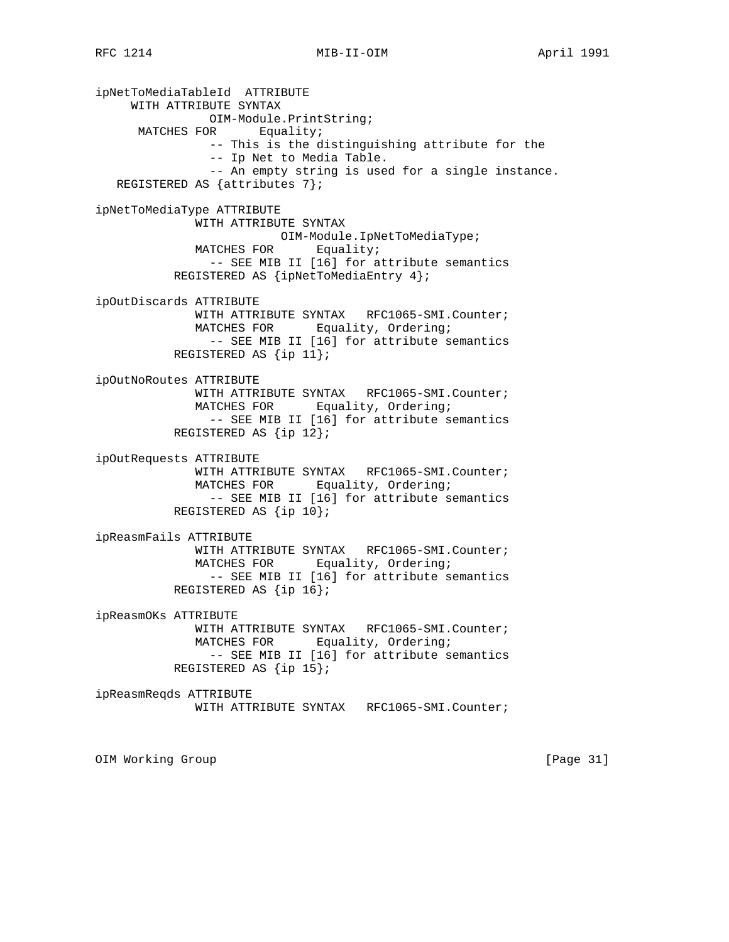ipNetToMediaTableId ATTRIBUTE WITH ATTRIBUTE SYNTAX OIM-Module.PrintString; MATCHES FOR Equality; -- This is the distinguishing attribute for the -- Ip Net to Media Table. -- An empty string is used for a single instance. REGISTERED AS {attributes 7}; ipNetToMediaType ATTRIBUTE WITH ATTRIBUTE SYNTAX OIM-Module.IpNetToMediaType; MATCHES FOR Equality; -- SEE MIB II [16] for attribute semantics REGISTERED AS {ipNetToMediaEntry 4}; ipOutDiscards ATTRIBUTE WITH ATTRIBUTE SYNTAX RFC1065-SMI.Counter; MATCHES FOR Equality, Ordering; -- SEE MIB II [16] for attribute semantics REGISTERED AS {ip 11}; ipOutNoRoutes ATTRIBUTE WITH ATTRIBUTE SYNTAX RFC1065-SMI.Counter; MATCHES FOR Equality, Ordering; -- SEE MIB II [16] for attribute semantics REGISTERED AS {ip 12}; ipOutRequests ATTRIBUTE WITH ATTRIBUTE SYNTAX RFC1065-SMI.Counter; MATCHES FOR Equality, Ordering; -- SEE MIB II [16] for attribute semantics REGISTERED AS {ip 10}; ipReasmFails ATTRIBUTE WITH ATTRIBUTE SYNTAX RFC1065-SMI.Counter; MATCHES FOR Equality, Ordering; -- SEE MIB II [16] for attribute semantics REGISTERED AS {ip 16}; ipReasmOKs ATTRIBUTE WITH ATTRIBUTE SYNTAX RFC1065-SMI.Counter; MATCHES FOR Equality, Ordering; -- SEE MIB II [16] for attribute semantics REGISTERED AS {ip 15}; ipReasmReqds ATTRIBUTE WITH ATTRIBUTE SYNTAX RFC1065-SMI.Counter; OIM Working Group and the contract of the contract of the contract of the contract of the contract of the contract of the contract of the contract of the contract of the contract of the contract of the contract of the cont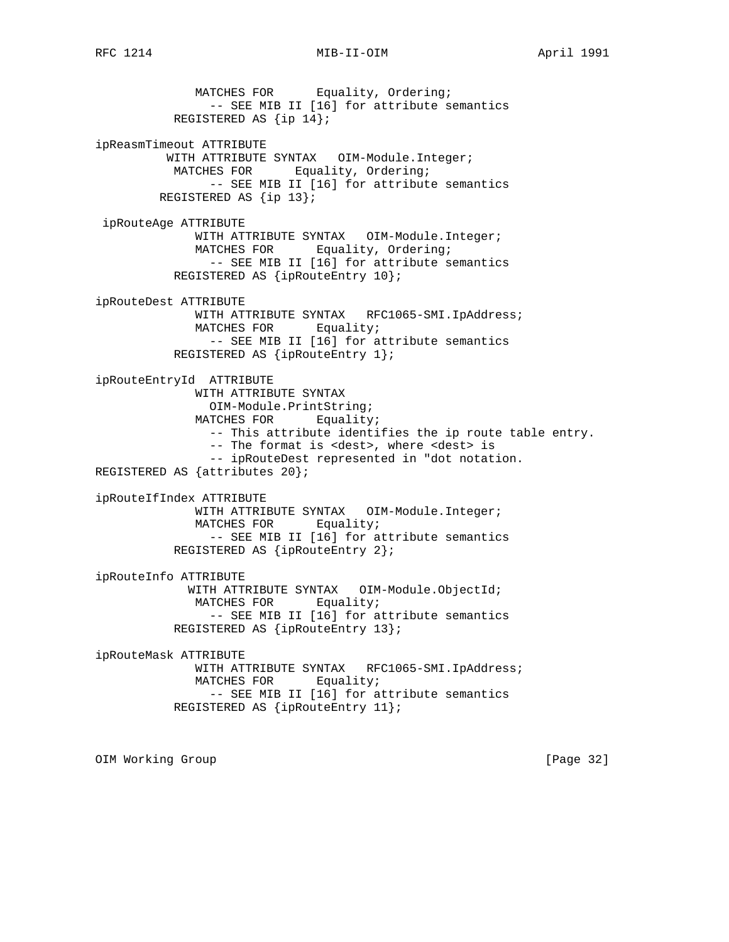# RFC 1214 MIB-II-OIM MONTHL April 1991

 MATCHES FOR Equality, Ordering; -- SEE MIB II [16] for attribute semantics REGISTERED AS {ip 14}; ipReasmTimeout ATTRIBUTE WITH ATTRIBUTE SYNTAX OIM-Module.Integer; MATCHES FOR Equality, Ordering; -- SEE MIB II [16] for attribute semantics REGISTERED AS {ip 13}; ipRouteAge ATTRIBUTE WITH ATTRIBUTE SYNTAX OIM-Module.Integer; MATCHES FOR Equality, Ordering; -- SEE MIB II [16] for attribute semantics REGISTERED AS {ipRouteEntry 10}; ipRouteDest ATTRIBUTE WITH ATTRIBUTE SYNTAX RFC1065-SMI.IpAddress; MATCHES FOR Equality; -- SEE MIB II [16] for attribute semantics REGISTERED AS {ipRouteEntry 1}; ipRouteEntryId ATTRIBUTE WITH ATTRIBUTE SYNTAX OIM-Module.PrintString; MATCHES FOR Equality; -- This attribute identifies the ip route table entry. -- The format is <dest>, where <dest> is -- ipRouteDest represented in "dot notation. REGISTERED AS {attributes 20}; ipRouteIfIndex ATTRIBUTE WITH ATTRIBUTE SYNTAX OIM-Module.Integer; MATCHES FOR Equality; -- SEE MIB II [16] for attribute semantics REGISTERED AS {ipRouteEntry 2}; ipRouteInfo ATTRIBUTE WITH ATTRIBUTE SYNTAX OIM-Module.ObjectId; MATCHES FOR Equality; -- SEE MIB II [16] for attribute semantics REGISTERED AS {ipRouteEntry 13}; ipRouteMask ATTRIBUTE WITH ATTRIBUTE SYNTAX RFC1065-SMI.IpAddress; MATCHES FOR Equality; -- SEE MIB II [16] for attribute semantics REGISTERED AS {ipRouteEntry 11};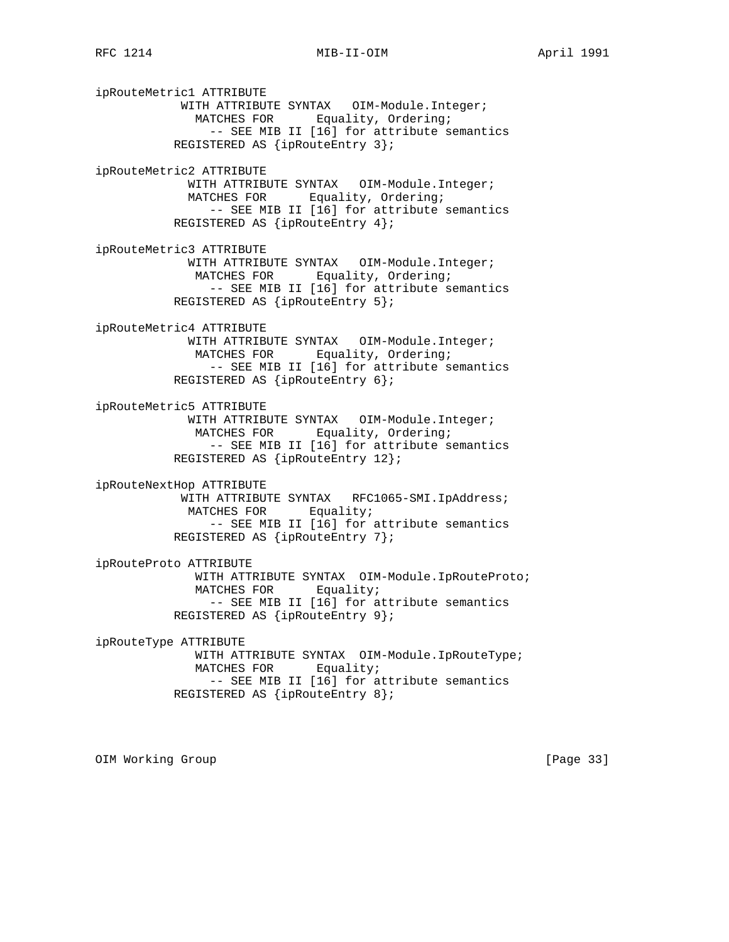ipRouteMetric1 ATTRIBUTE WITH ATTRIBUTE SYNTAX OIM-Module.Integer; MATCHES FOR Equality, Ordering; -- SEE MIB II [16] for attribute semantics REGISTERED AS {ipRouteEntry 3}; ipRouteMetric2 ATTRIBUTE WITH ATTRIBUTE SYNTAX OIM-Module.Integer; MATCHES FOR Equality, Ordering; -- SEE MIB II [16] for attribute semantics REGISTERED AS {ipRouteEntry 4}; ipRouteMetric3 ATTRIBUTE WITH ATTRIBUTE SYNTAX OIM-Module.Integer; MATCHES FOR Equality, Ordering; -- SEE MIB II [16] for attribute semantics REGISTERED AS {ipRouteEntry 5}; ipRouteMetric4 ATTRIBUTE WITH ATTRIBUTE SYNTAX OIM-Module.Integer; MATCHES FOR Equality, Ordering; -- SEE MIB II [16] for attribute semantics REGISTERED AS {ipRouteEntry 6}; ipRouteMetric5 ATTRIBUTE WITH ATTRIBUTE SYNTAX OIM-Module.Integer; MATCHES FOR Equality, Ordering; -- SEE MIB II [16] for attribute semantics REGISTERED AS {ipRouteEntry 12}; ipRouteNextHop ATTRIBUTE WITH ATTRIBUTE SYNTAX RFC1065-SMI.IpAddress; MATCHES FOR Equality; -- SEE MIB II [16] for attribute semantics REGISTERED AS {ipRouteEntry 7}; ipRouteProto ATTRIBUTE WITH ATTRIBUTE SYNTAX OIM-Module.IpRouteProto; MATCHES FOR Equality; -- SEE MIB II [16] for attribute semantics REGISTERED AS {ipRouteEntry 9}; ipRouteType ATTRIBUTE WITH ATTRIBUTE SYNTAX OIM-Module.IpRouteType; MATCHES FOR Equality; -- SEE MIB II [16] for attribute semantics REGISTERED AS {ipRouteEntry 8};

OIM Working Group [Page 33]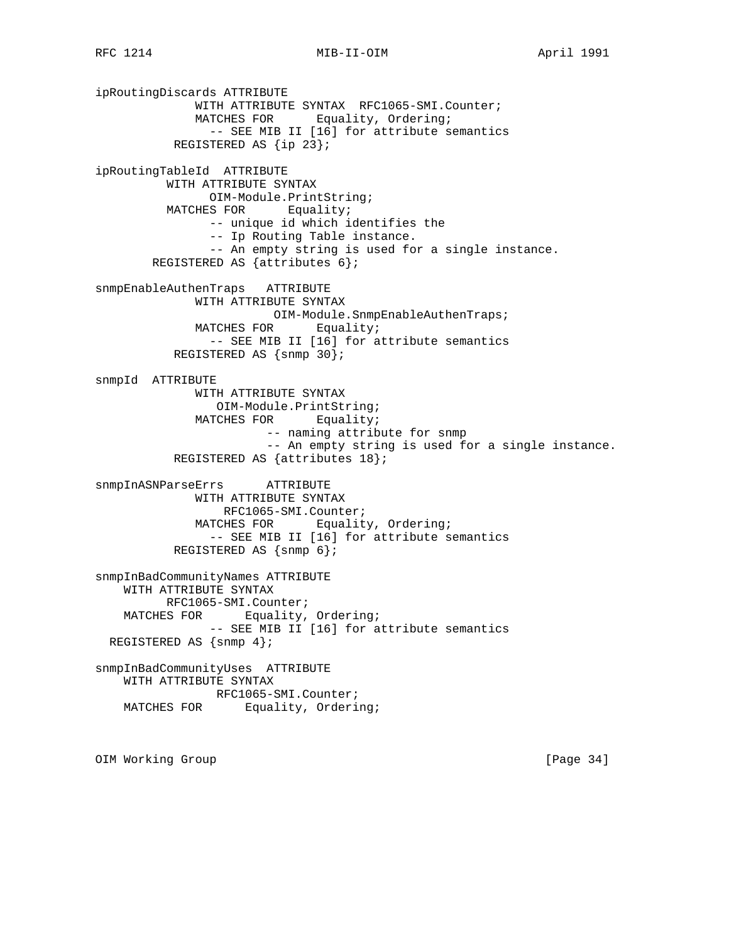ipRoutingDiscards ATTRIBUTE WITH ATTRIBUTE SYNTAX RFC1065-SMI.Counter; MATCHES FOR Equality, Ordering; -- SEE MIB II [16] for attribute semantics REGISTERED AS {ip 23}; ipRoutingTableId ATTRIBUTE WITH ATTRIBUTE SYNTAX OIM-Module.PrintString; MATCHES FOR Equality; -- unique id which identifies the -- Ip Routing Table instance. -- An empty string is used for a single instance. REGISTERED AS {attributes 6}; snmpEnableAuthenTraps ATTRIBUTE WITH ATTRIBUTE SYNTAX OIM-Module.SnmpEnableAuthenTraps; MATCHES FOR Equality; -- SEE MIB II [16] for attribute semantics REGISTERED AS {snmp 30}; snmpId ATTRIBUTE WITH ATTRIBUTE SYNTAX OIM-Module.PrintString; MATCHES FOR Equality; -- naming attribute for snmp -- An empty string is used for a single instance. REGISTERED AS {attributes 18}; snmpInASNParseErrs ATTRIBUTE WITH ATTRIBUTE SYNTAX RFC1065-SMI.Counter; MATCHES FOR Equality, Ordering; -- SEE MIB II [16] for attribute semantics REGISTERED AS {snmp 6}; snmpInBadCommunityNames ATTRIBUTE WITH ATTRIBUTE SYNTAX RFC1065-SMI.Counter; MATCHES FOR Equality, Ordering; -- SEE MIB II [16] for attribute semantics REGISTERED AS {snmp 4}; snmpInBadCommunityUses ATTRIBUTE WITH ATTRIBUTE SYNTAX RFC1065-SMI.Counter; MATCHES FOR Equality, Ordering;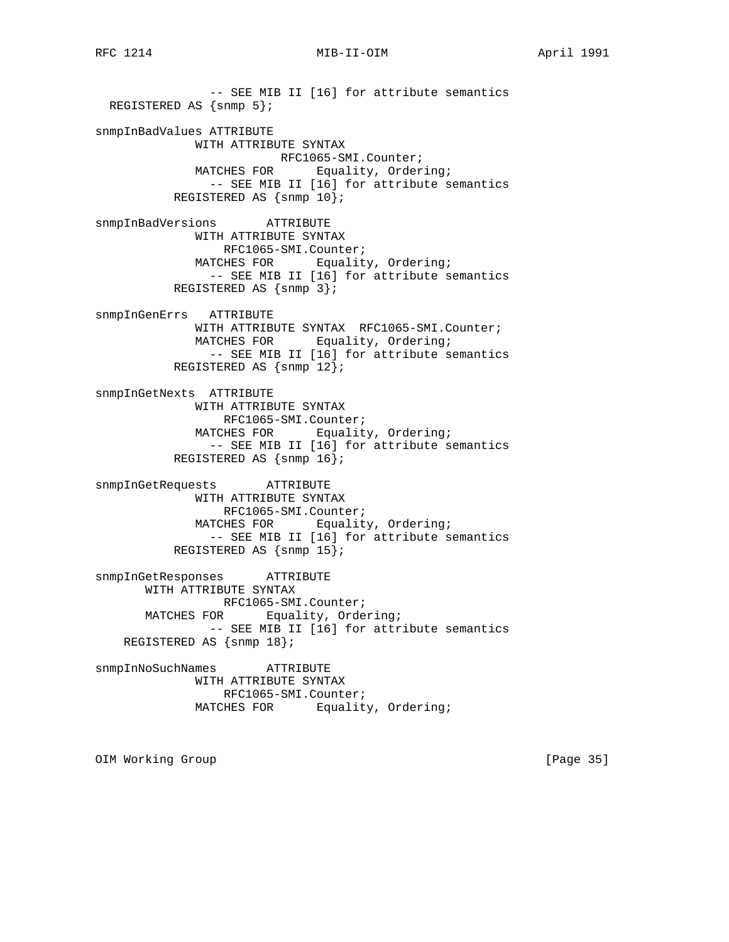RFC 1214 MIB-II-OIM MONTHL April 1991

 -- SEE MIB II [16] for attribute semantics REGISTERED AS  $\{snmp 5\}$ ; snmpInBadValues ATTRIBUTE WITH ATTRIBUTE SYNTAX RFC1065-SMI.Counter;<br>MATCHES FOR Equality, Order Equality, Ordering; -- SEE MIB II [16] for attribute semantics REGISTERED AS {snmp 10}; snmpInBadVersions ATTRIBUTE WITH ATTRIBUTE SYNTAX RFC1065-SMI.Counter; MATCHES FOR Equality, Ordering; -- SEE MIB II [16] for attribute semantics REGISTERED AS {snmp 3}; snmpInGenErrs ATTRIBUTE WITH ATTRIBUTE SYNTAX RFC1065-SMI.Counter; MATCHES FOR Equality, Ordering; -- SEE MIB II [16] for attribute semantics REGISTERED AS {snmp 12}; snmpInGetNexts ATTRIBUTE WITH ATTRIBUTE SYNTAX RFC1065-SMI.Counter; MATCHES FOR Equality, Ordering; -- SEE MIB II [16] for attribute semantics REGISTERED AS {snmp 16}; snmpInGetRequests ATTRIBUTE WITH ATTRIBUTE SYNTAX RFC1065-SMI.Counter; MATCHES FOR Equality, Ordering; -- SEE MIB II [16] for attribute semantics REGISTERED AS {snmp 15}; snmpInGetResponses ATTRIBUTE WITH ATTRIBUTE SYNTAX RFC1065-SMI.Counter; MATCHES FOR Equality, Ordering; -- SEE MIB II [16] for attribute semantics REGISTERED AS {snmp 18}; snmpInNoSuchNames ATTRIBUTE WITH ATTRIBUTE SYNTAX RFC1065-SMI.Counter; MATCHES FOR Equality, Ordering;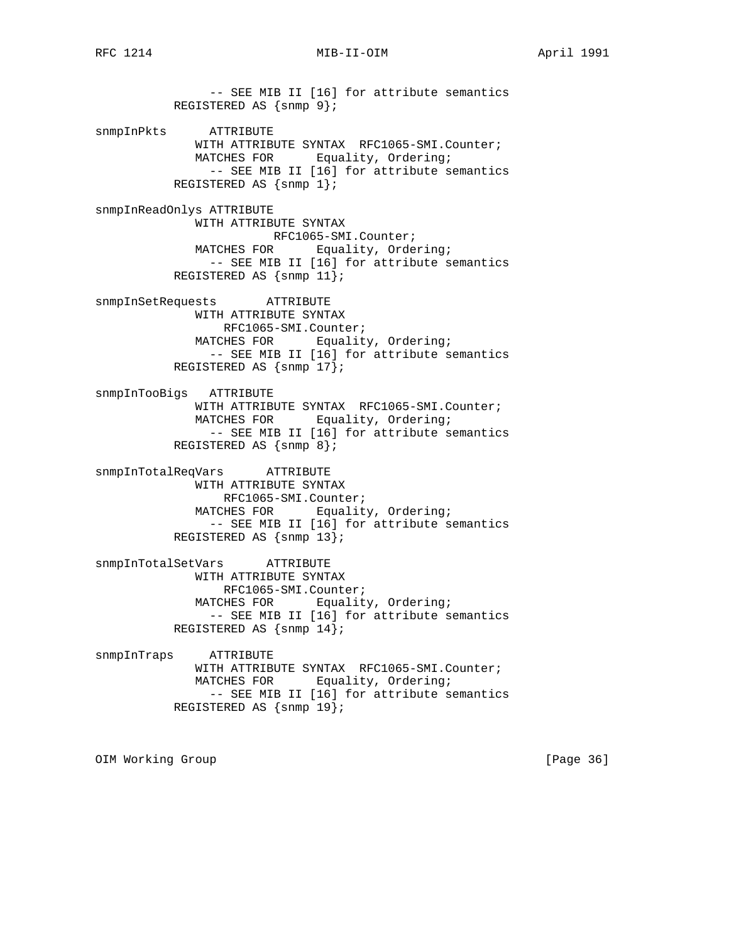-- SEE MIB II [16] for attribute semantics REGISTERED AS {snmp 9}; snmpInPkts ATTRIBUTE WITH ATTRIBUTE SYNTAX RFC1065-SMI.Counter; MATCHES FOR Equality, Ordering; -- SEE MIB II [16] for attribute semantics REGISTERED AS  $\{\text{snmp 1}\}\$ snmpInReadOnlys ATTRIBUTE WITH ATTRIBUTE SYNTAX RFC1065-SMI.Counter;<br>MATCHES FOR Equality, Orde Equality, Ordering; -- SEE MIB II [16] for attribute semantics REGISTERED AS {snmp 11}; snmpInSetRequests ATTRIBUTE WITH ATTRIBUTE SYNTAX RFC1065-SMI.Counter; MATCHES FOR Equality, Ordering; -- SEE MIB II [16] for attribute semantics REGISTERED AS {snmp 17}; snmpInTooBigs ATTRIBUTE WITH ATTRIBUTE SYNTAX RFC1065-SMI.Counter; MATCHES FOR Equality, Ordering; -- SEE MIB II [16] for attribute semantics REGISTERED AS {snmp 8}; snmpInTotalReqVars ATTRIBUTE WITH ATTRIBUTE SYNTAX RFC1065-SMI.Counter; MATCHES FOR Equality, Ordering; -- SEE MIB II [16] for attribute semantics REGISTERED AS {snmp 13}; snmpInTotalSetVars ATTRIBUTE WITH ATTRIBUTE SYNTAX RFC1065-SMI.Counter; MATCHES FOR Equality, Ordering; -- SEE MIB II [16] for attribute semantics REGISTERED AS {snmp 14}; snmpInTraps ATTRIBUTE WITH ATTRIBUTE SYNTAX RFC1065-SMI.Counter; MATCHES FOR Equality, Ordering; -- SEE MIB II [16] for attribute semantics REGISTERED AS {snmp 19};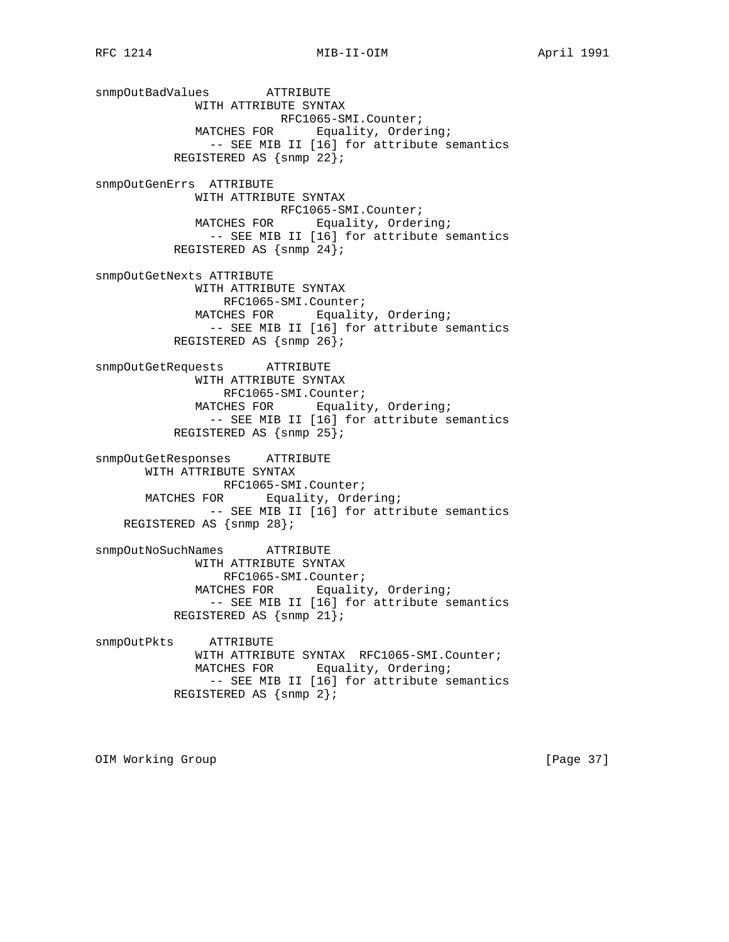snmpOutBadValues ATTRIBUTE WITH ATTRIBUTE SYNTAX RFC1065-SMI.Counter; MATCHES FOR Equality, Ordering; -- SEE MIB II [16] for attribute semantics REGISTERED AS {snmp 22}; snmpOutGenErrs ATTRIBUTE WITH ATTRIBUTE SYNTAX RFC1065-SMI.Counter; MATCHES FOR Equality, Ordering; -- SEE MIB II [16] for attribute semantics REGISTERED AS {snmp 24}; snmpOutGetNexts ATTRIBUTE WITH ATTRIBUTE SYNTAX RFC1065-SMI.Counter; MATCHES FOR Equality, Ordering; -- SEE MIB II [16] for attribute semantics REGISTERED AS {snmp 26}; snmpOutGetRequests ATTRIBUTE WITH ATTRIBUTE SYNTAX RFC1065-SMI.Counter; MATCHES FOR Equality, Ordering; -- SEE MIB II [16] for attribute semantics REGISTERED AS {snmp 25}; snmpOutGetResponses ATTRIBUTE WITH ATTRIBUTE SYNTAX RFC1065-SMI.Counter; MATCHES FOR Equality, Ordering; -- SEE MIB II [16] for attribute semantics REGISTERED AS {snmp 28}; snmpOutNoSuchNames ATTRIBUTE WITH ATTRIBUTE SYNTAX RFC1065-SMI.Counter; MATCHES FOR Equality, Ordering; -- SEE MIB II [16] for attribute semantics REGISTERED AS {snmp 21}; snmpOutPkts ATTRIBUTE WITH ATTRIBUTE SYNTAX RFC1065-SMI.Counter; MATCHES FOR Equality, Ordering; -- SEE MIB II [16] for attribute semantics REGISTERED AS {snmp 2};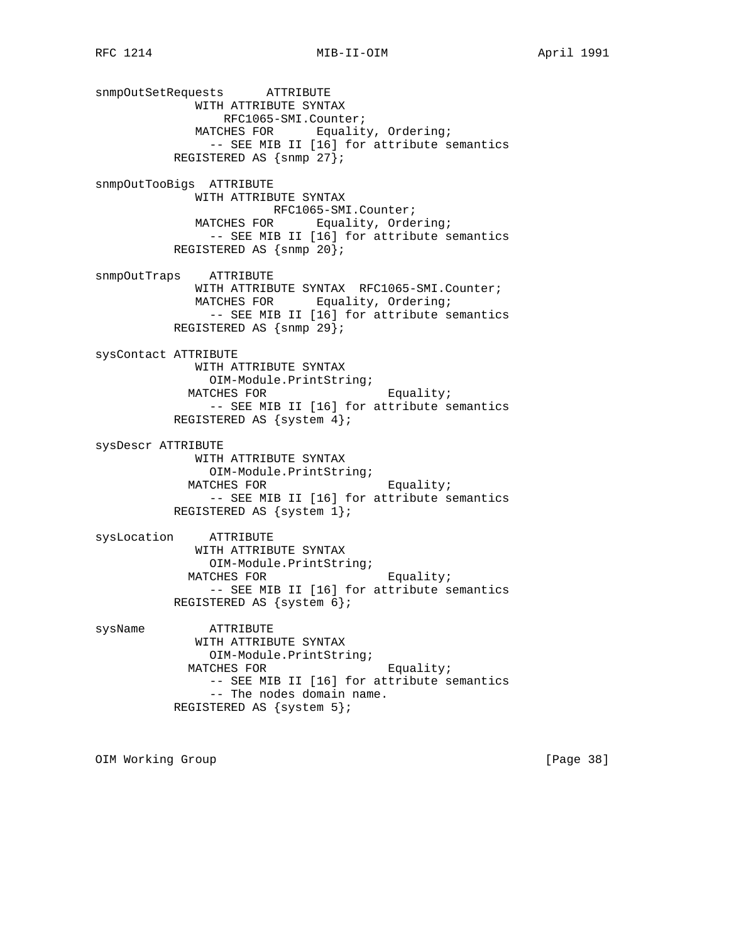snmpOutSetRequests ATTRIBUTE WITH ATTRIBUTE SYNTAX RFC1065-SMI.Counter; MATCHES FOR Equality, Ordering; -- SEE MIB II [16] for attribute semantics REGISTERED AS {snmp 27}; snmpOutTooBigs ATTRIBUTE WITH ATTRIBUTE SYNTAX RFC1065-SMI.Counter; MATCHES FOR Equality, Ordering; -- SEE MIB II [16] for attribute semantics REGISTERED AS {snmp 20}; snmpOutTraps ATTRIBUTE WITH ATTRIBUTE SYNTAX RFC1065-SMI.Counter; MATCHES FOR Equality, Ordering; -- SEE MIB II [16] for attribute semantics REGISTERED AS {snmp 29}; sysContact ATTRIBUTE WITH ATTRIBUTE SYNTAX OIM-Module.PrintString; MATCHES FOR Equality; -- SEE MIB II [16] for attribute semantics REGISTERED AS {system 4}; sysDescr ATTRIBUTE WITH ATTRIBUTE SYNTAX OIM-Module.PrintString; MATCHES FOR Equality; -- SEE MIB II [16] for attribute semantics REGISTERED AS {system 1}; sysLocation ATTRIBUTE WITH ATTRIBUTE SYNTAX OIM-Module.PrintString; MATCHES FOR Equality; -- SEE MIB II [16] for attribute semantics REGISTERED AS {system 6}; sysName ATTRIBUTE WITH ATTRIBUTE SYNTAX OIM-Module.PrintString; MATCHES FOR Equality; -- SEE MIB II [16] for attribute semantics -- The nodes domain name. REGISTERED AS {system 5};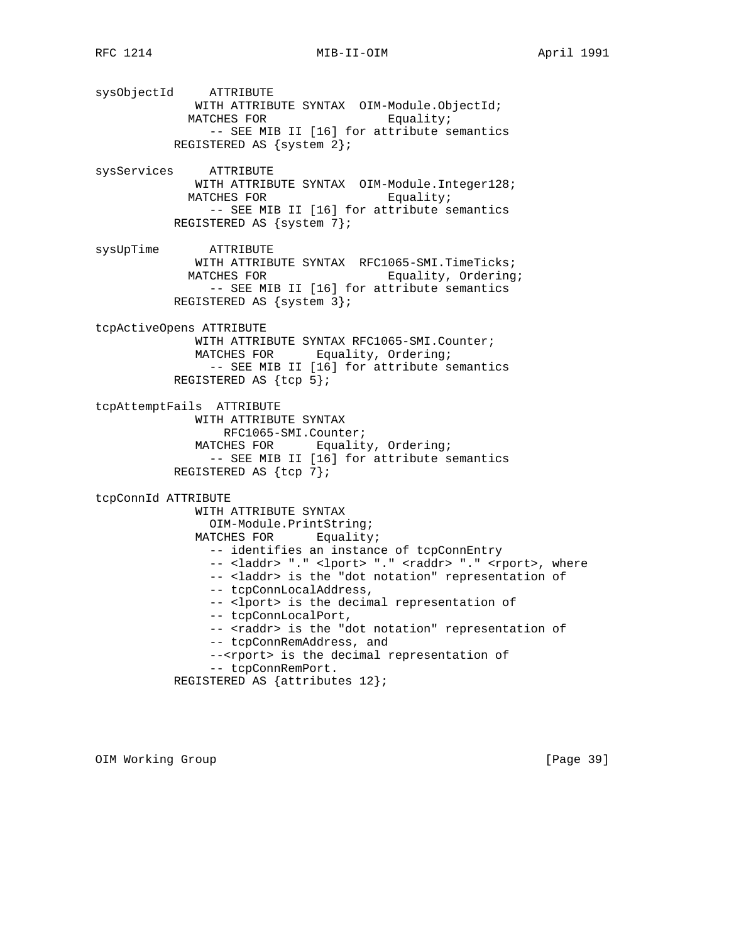sysObjectId ATTRIBUTE WITH ATTRIBUTE SYNTAX OIM-Module.ObjectId; MATCHES FOR Equality; -- SEE MIB II [16] for attribute semantics REGISTERED AS {system 2}; sysServices ATTRIBUTE WITH ATTRIBUTE SYNTAX OIM-Module.Integer128;

MATCHES FOR Equality; -- SEE MIB II [16] for attribute semantics REGISTERED AS {system 7};

sysUpTime ATTRIBUTE WITH ATTRIBUTE SYNTAX RFC1065-SMI.TimeTicks; MATCHES FOR Equality, Ordering; -- SEE MIB II [16] for attribute semantics REGISTERED AS {system 3};

tcpActiveOpens ATTRIBUTE WITH ATTRIBUTE SYNTAX RFC1065-SMI.Counter; MATCHES FOR Equality, Ordering; -- SEE MIB II [16] for attribute semantics REGISTERED AS {tcp 5};

tcpAttemptFails ATTRIBUTE WITH ATTRIBUTE SYNTAX RFC1065-SMI.Counter; MATCHES FOR Equality, Ordering; -- SEE MIB II [16] for attribute semantics REGISTERED AS {tcp 7};

tcpConnId ATTRIBUTE WITH ATTRIBUTE SYNTAX OIM-Module.PrintString; MATCHES FOR Equality; -- identifies an instance of tcpConnEntry -- <laddr> "." <lport> "." <raddr> "." <rport>, where -- <laddr> is the "dot notation" representation of -- tcpConnLocalAddress, -- <lport> is the decimal representation of -- tcpConnLocalPort, -- <raddr> is the "dot notation" representation of -- tcpConnRemAddress, and --<rport> is the decimal representation of -- tcpConnRemPort. REGISTERED AS {attributes 12};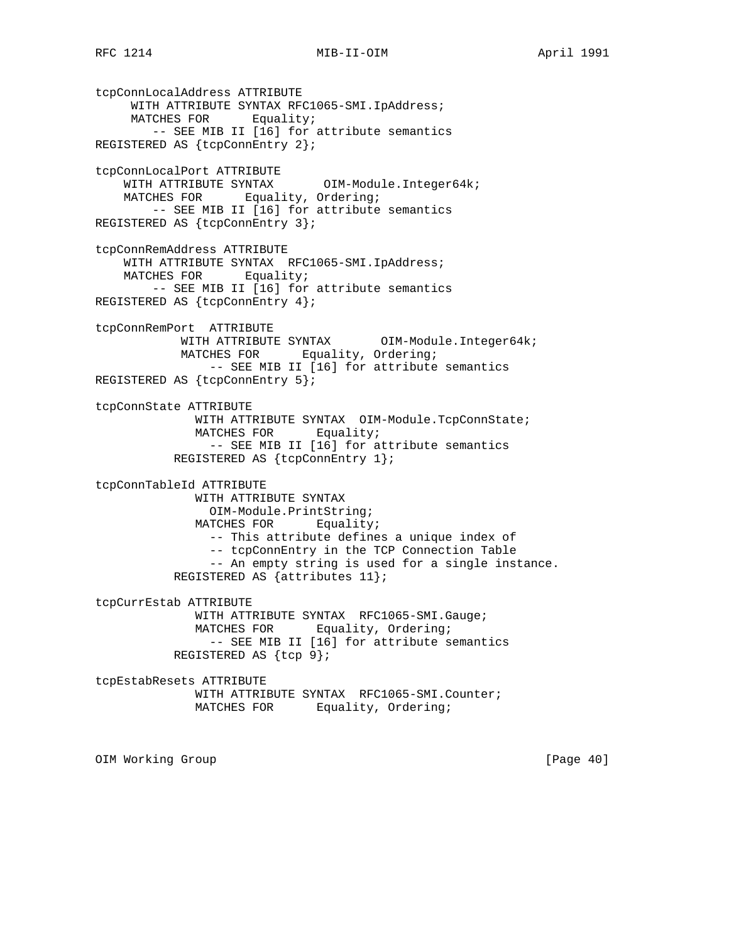# RFC 1214 MIB-II-OIM MONTHL April 1991

tcpConnLocalAddress ATTRIBUTE WITH ATTRIBUTE SYNTAX RFC1065-SMI.IpAddress; MATCHES FOR Equality; -- SEE MIB II [16] for attribute semantics REGISTERED AS {tcpConnEntry 2}; tcpConnLocalPort ATTRIBUTE WITH ATTRIBUTE SYNTAX OIM-Module.Integer64k; MATCHES FOR Equality, Ordering; -- SEE MIB II [16] for attribute semantics REGISTERED AS {tcpConnEntry 3}; tcpConnRemAddress ATTRIBUTE WITH ATTRIBUTE SYNTAX RFC1065-SMI.IpAddress; MATCHES FOR Equality; -- SEE MIB II [16] for attribute semantics REGISTERED AS {tcpConnEntry 4}; tcpConnRemPort ATTRIBUTE WITH ATTRIBUTE SYNTAX OIM-Module.Integer64k; MATCHES FOR Equality, Ordering; -- SEE MIB II [16] for attribute semantics REGISTERED AS {tcpConnEntry 5}; tcpConnState ATTRIBUTE WITH ATTRIBUTE SYNTAX OIM-Module.TcpConnState; MATCHES FOR Equality; -- SEE MIB II [16] for attribute semantics REGISTERED AS {tcpConnEntry 1}; tcpConnTableId ATTRIBUTE WITH ATTRIBUTE SYNTAX OIM-Module.PrintString; MATCHES FOR Equality; -- This attribute defines a unique index of -- tcpConnEntry in the TCP Connection Table -- An empty string is used for a single instance. REGISTERED AS {attributes 11}; tcpCurrEstab ATTRIBUTE WITH ATTRIBUTE SYNTAX RFC1065-SMI.Gauge; MATCHES FOR Equality, Ordering; -- SEE MIB II [16] for attribute semantics REGISTERED AS {tcp 9}; tcpEstabResets ATTRIBUTE WITH ATTRIBUTE SYNTAX RFC1065-SMI.Counter; MATCHES FOR Equality, Ordering;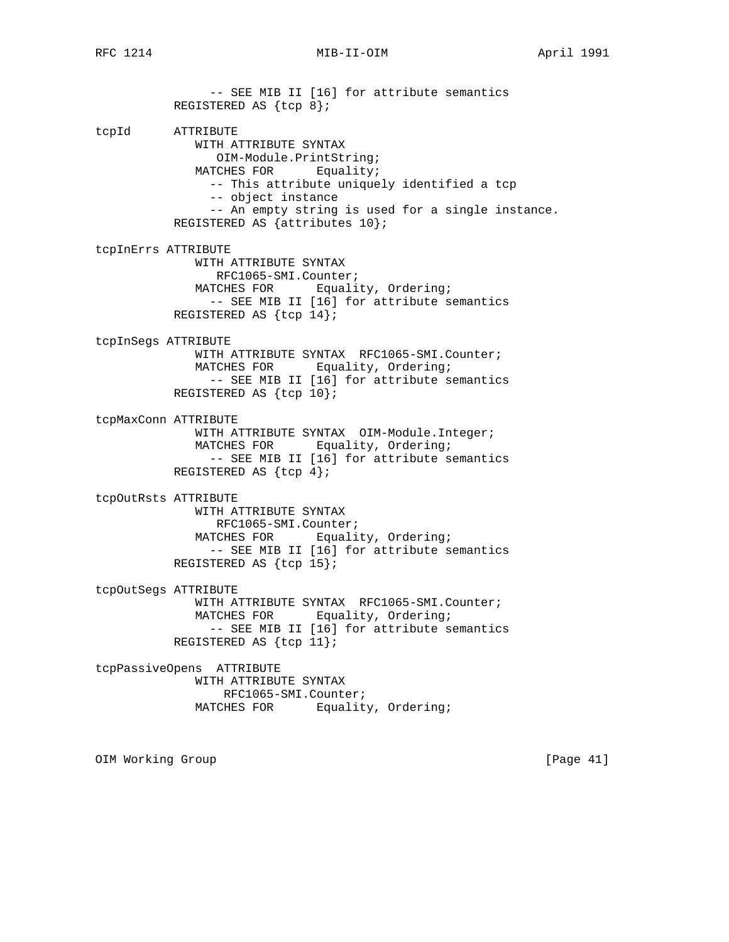RFC 1214 MIB-II-OIM MONTHL April 1991

 -- SEE MIB II [16] for attribute semantics REGISTERED AS {tcp 8}; tcpId ATTRIBUTE WITH ATTRIBUTE SYNTAX OIM-Module.PrintString; MATCHES FOR Equality; -- This attribute uniquely identified a tcp -- object instance -- An empty string is used for a single instance. REGISTERED AS {attributes 10}; tcpInErrs ATTRIBUTE WITH ATTRIBUTE SYNTAX RFC1065-SMI.Counter; MATCHES FOR Equality, Ordering; -- SEE MIB II [16] for attribute semantics REGISTERED AS {tcp 14}; tcpInSegs ATTRIBUTE WITH ATTRIBUTE SYNTAX RFC1065-SMI.Counter; MATCHES FOR Equality, Ordering; -- SEE MIB II [16] for attribute semantics REGISTERED AS {tcp 10}; tcpMaxConn ATTRIBUTE WITH ATTRIBUTE SYNTAX OIM-Module.Integer; MATCHES FOR Equality, Ordering; -- SEE MIB II [16] for attribute semantics REGISTERED AS {tcp 4}; tcpOutRsts ATTRIBUTE WITH ATTRIBUTE SYNTAX RFC1065-SMI.Counter; MATCHES FOR Equality, Ordering; -- SEE MIB II [16] for attribute semantics REGISTERED AS {tcp 15}; tcpOutSegs ATTRIBUTE WITH ATTRIBUTE SYNTAX RFC1065-SMI.Counter; MATCHES FOR Equality, Ordering; -- SEE MIB II [16] for attribute semantics REGISTERED AS {tcp 11}; tcpPassiveOpens ATTRIBUTE WITH ATTRIBUTE SYNTAX RFC1065-SMI.Counter; MATCHES FOR Equality, Ordering;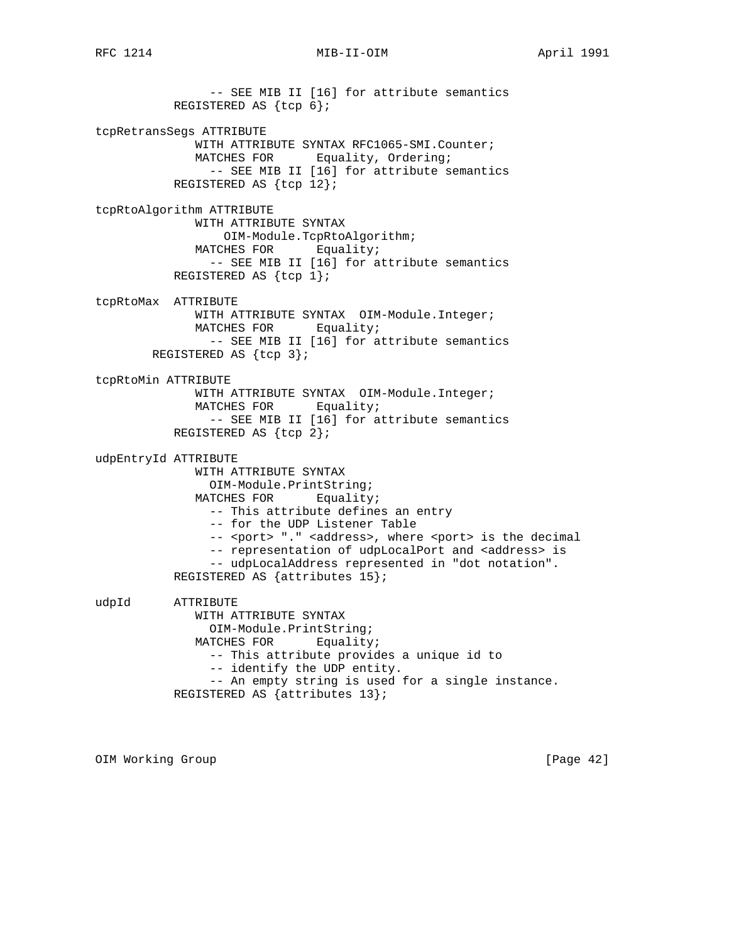-- SEE MIB II [16] for attribute semantics REGISTERED AS {tcp 6}; tcpRetransSegs ATTRIBUTE WITH ATTRIBUTE SYNTAX RFC1065-SMI.Counter; MATCHES FOR Equality, Ordering; -- SEE MIB II [16] for attribute semantics REGISTERED AS {tcp 12}; tcpRtoAlgorithm ATTRIBUTE WITH ATTRIBUTE SYNTAX OIM-Module.TcpRtoAlgorithm; MATCHES FOR Equality; -- SEE MIB II [16] for attribute semantics REGISTERED AS {tcp 1}; tcpRtoMax ATTRIBUTE WITH ATTRIBUTE SYNTAX OIM-Module.Integer; MATCHES FOR Equality; -- SEE MIB II [16] for attribute semantics REGISTERED AS {tcp 3}; tcpRtoMin ATTRIBUTE WITH ATTRIBUTE SYNTAX OIM-Module.Integer; MATCHES FOR Equality; -- SEE MIB II [16] for attribute semantics REGISTERED AS {tcp 2}; udpEntryId ATTRIBUTE WITH ATTRIBUTE SYNTAX OIM-Module.PrintString; MATCHES FOR Equality; -- This attribute defines an entry -- for the UDP Listener Table -- <port> "." <address>, where <port> is the decimal -- representation of udpLocalPort and <address> is -- udpLocalAddress represented in "dot notation". REGISTERED AS {attributes 15}; udpId ATTRIBUTE WITH ATTRIBUTE SYNTAX OIM-Module.PrintString; MATCHES FOR Equality; -- This attribute provides a unique id to -- identify the UDP entity. -- An empty string is used for a single instance. REGISTERED AS {attributes 13};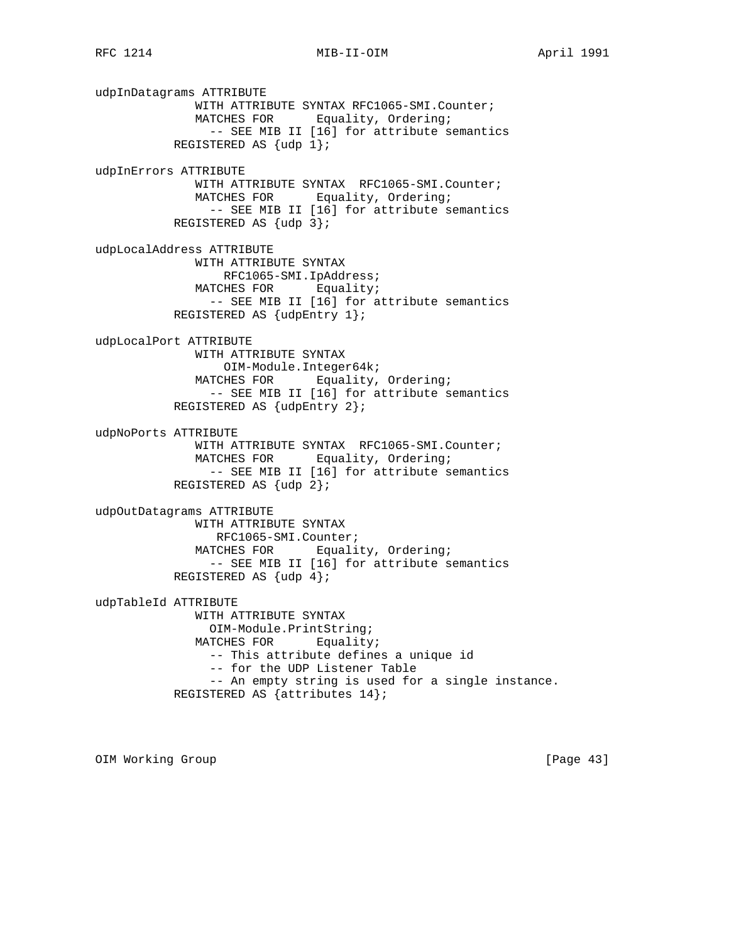udpInDatagrams ATTRIBUTE WITH ATTRIBUTE SYNTAX RFC1065-SMI.Counter; MATCHES FOR Equality, Ordering; -- SEE MIB II [16] for attribute semantics REGISTERED AS {udp 1}; udpInErrors ATTRIBUTE WITH ATTRIBUTE SYNTAX RFC1065-SMI.Counter; MATCHES FOR Equality, Ordering; -- SEE MIB II [16] for attribute semantics REGISTERED AS  $\{udp\}$ ; udpLocalAddress ATTRIBUTE WITH ATTRIBUTE SYNTAX RFC1065-SMI.IpAddress; MATCHES FOR Equality; -- SEE MIB II [16] for attribute semantics REGISTERED AS {udpEntry 1}; udpLocalPort ATTRIBUTE WITH ATTRIBUTE SYNTAX OIM-Module.Integer64k; MATCHES FOR Equality, Ordering; -- SEE MIB II [16] for attribute semantics REGISTERED AS {udpEntry 2}; udpNoPorts ATTRIBUTE WITH ATTRIBUTE SYNTAX RFC1065-SMI.Counter; MATCHES FOR Equality, Ordering; -- SEE MIB II [16] for attribute semantics REGISTERED AS {udp 2}; udpOutDatagrams ATTRIBUTE WITH ATTRIBUTE SYNTAX RFC1065-SMI.Counter; MATCHES FOR Equality, Ordering; -- SEE MIB II [16] for attribute semantics REGISTERED AS  $\{udp 4\}$ ; udpTableId ATTRIBUTE WITH ATTRIBUTE SYNTAX OIM-Module.PrintString; MATCHES FOR Equality; -- This attribute defines a unique id -- for the UDP Listener Table -- An empty string is used for a single instance. REGISTERED AS {attributes 14};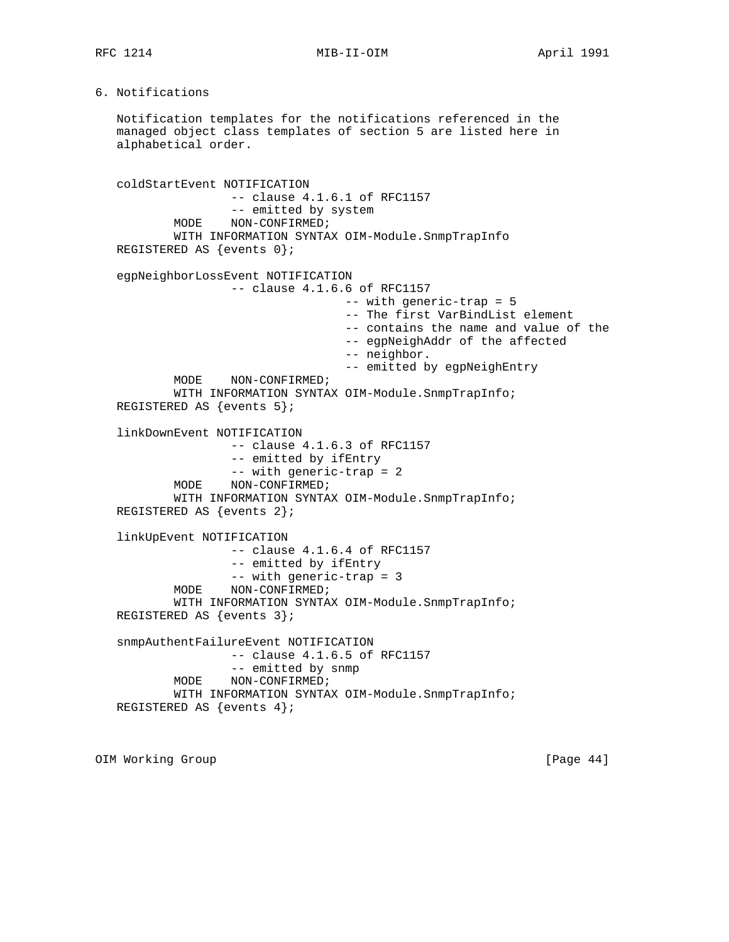# RFC 1214 MIB-II-OIM MONTHL April 1991

# 6. Notifications

 Notification templates for the notifications referenced in the managed object class templates of section 5 are listed here in alphabetical order.

 coldStartEvent NOTIFICATION -- clause 4.1.6.1 of RFC1157 -- emitted by system MODE NON-CONFIRMED; WITH INFORMATION SYNTAX OIM-Module.SnmpTrapInfo REGISTERED AS {events 0}; egpNeighborLossEvent NOTIFICATION -- clause 4.1.6.6 of RFC1157 -- with generic-trap = 5 -- The first VarBindList element -- contains the name and value of the -- egpNeighAddr of the affected -- neighbor. -- emitted by egpNeighEntry MODE NON-CONFIRMED; WITH INFORMATION SYNTAX OIM-Module.SnmpTrapInfo; REGISTERED AS {events 5}; linkDownEvent NOTIFICATION -- clause 4.1.6.3 of RFC1157 -- emitted by ifEntry -- with generic-trap = 2 MODE NON-CONFIRMED; WITH INFORMATION SYNTAX OIM-Module.SnmpTrapInfo; REGISTERED AS {events 2}; linkUpEvent NOTIFICATION -- clause 4.1.6.4 of RFC1157 -- emitted by ifEntry -- with generic-trap = 3 MODE NON-CONFIRMED; WITH INFORMATION SYNTAX OIM-Module.SnmpTrapInfo; REGISTERED AS {events 3}; snmpAuthentFailureEvent NOTIFICATION -- clause 4.1.6.5 of RFC1157 -- emitted by snmp MODE NON-CONFIRMED; WITH INFORMATION SYNTAX OIM-Module.SnmpTrapInfo; REGISTERED AS {events 4};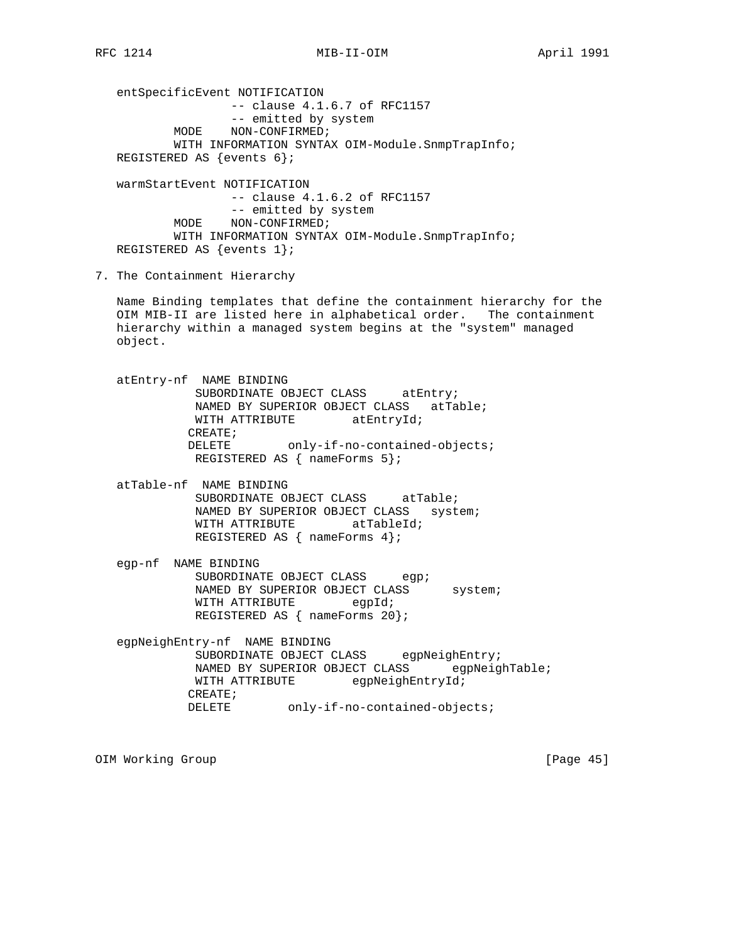entSpecificEvent NOTIFICATION -- clause 4.1.6.7 of RFC1157 -- emitted by system MODE NON-CONFIRMED; WITH INFORMATION SYNTAX OIM-Module.SnmpTrapInfo; REGISTERED AS {events 6};

 warmStartEvent NOTIFICATION -- clause 4.1.6.2 of RFC1157 -- emitted by system MODE NON-CONFIRMED; WITH INFORMATION SYNTAX OIM-Module.SnmpTrapInfo; REGISTERED AS {events 1};

7. The Containment Hierarchy

 Name Binding templates that define the containment hierarchy for the OIM MIB-II are listed here in alphabetical order. The containment hierarchy within a managed system begins at the "system" managed object.

- atEntry-nf NAME BINDING SUBORDINATE OBJECT CLASS atEntry; NAMED BY SUPERIOR OBJECT CLASS atTable; WITH ATTRIBUTE atEntryId; CREATE; DELETE only-if-no-contained-objects; REGISTERED AS { nameForms 5};
- atTable-nf NAME BINDING SUBORDINATE OBJECT CLASS atTable; NAMED BY SUPERIOR OBJECT CLASS system; WITH ATTRIBUTE atTableId; REGISTERED AS { nameForms 4};
- egp-nf NAME BINDING SUBORDINATE OBJECT CLASS egp; NAMED BY SUPERIOR OBJECT CLASS system; WITH ATTRIBUTE egpId; REGISTERED AS { nameForms 20};
- egpNeighEntry-nf NAME BINDING SUBORDINATE OBJECT CLASS egpNeighEntry; NAMED BY SUPERIOR OBJECT CLASS egpNeighTable; WITH ATTRIBUTE egpNeighEntryId; CREATE; DELETE only-if-no-contained-objects;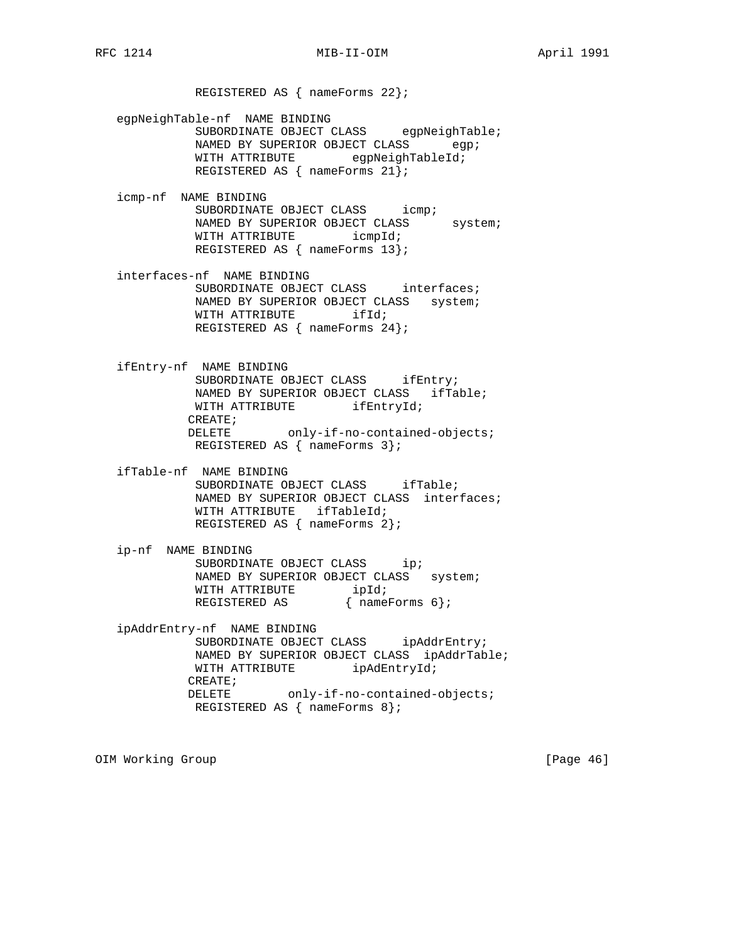REGISTERED AS { nameForms 22};

 egpNeighTable-nf NAME BINDING SUBORDINATE OBJECT CLASS egpNeighTable; NAMED BY SUPERIOR OBJECT CLASS egp; WITH ATTRIBUTE egpNeighTableId; REGISTERED AS { nameForms 21};

 icmp-nf NAME BINDING SUBORDINATE OBJECT CLASS icmp; NAMED BY SUPERIOR OBJECT CLASS system; WITH ATTRIBUTE icmpId; REGISTERED AS { nameForms 13};

 interfaces-nf NAME BINDING SUBORDINATE OBJECT CLASS interfaces; NAMED BY SUPERIOR OBJECT CLASS system; WITH ATTRIBUTE ifId; REGISTERED AS { nameForms 24};

 ifEntry-nf NAME BINDING SUBORDINATE OBJECT CLASS ifEntry; NAMED BY SUPERIOR OBJECT CLASS ifTable; WITH ATTRIBUTE ifEntryId; CREATE; DELETE only-if-no-contained-objects; REGISTERED AS { nameForms 3};

 ifTable-nf NAME BINDING SUBORDINATE OBJECT CLASS ifTable; NAMED BY SUPERIOR OBJECT CLASS interfaces; WITH ATTRIBUTE ifTableId; REGISTERED AS { nameForms 2};

 ip-nf NAME BINDING SUBORDINATE OBJECT CLASS ip; NAMED BY SUPERIOR OBJECT CLASS system; WITH ATTRIBUTE ipId; REGISTERED AS  $\{nameForms 6\};$ 

 ipAddrEntry-nf NAME BINDING SUBORDINATE OBJECT CLASS ipAddrEntry; NAMED BY SUPERIOR OBJECT CLASS ipAddrTable; WITH ATTRIBUTE ipAdEntryId; CREATE;  $\verb|DELETE| = \verb|only-if-no-contained-objects|;$ REGISTERED AS { nameForms 8};

OIM Working Group [Page 46]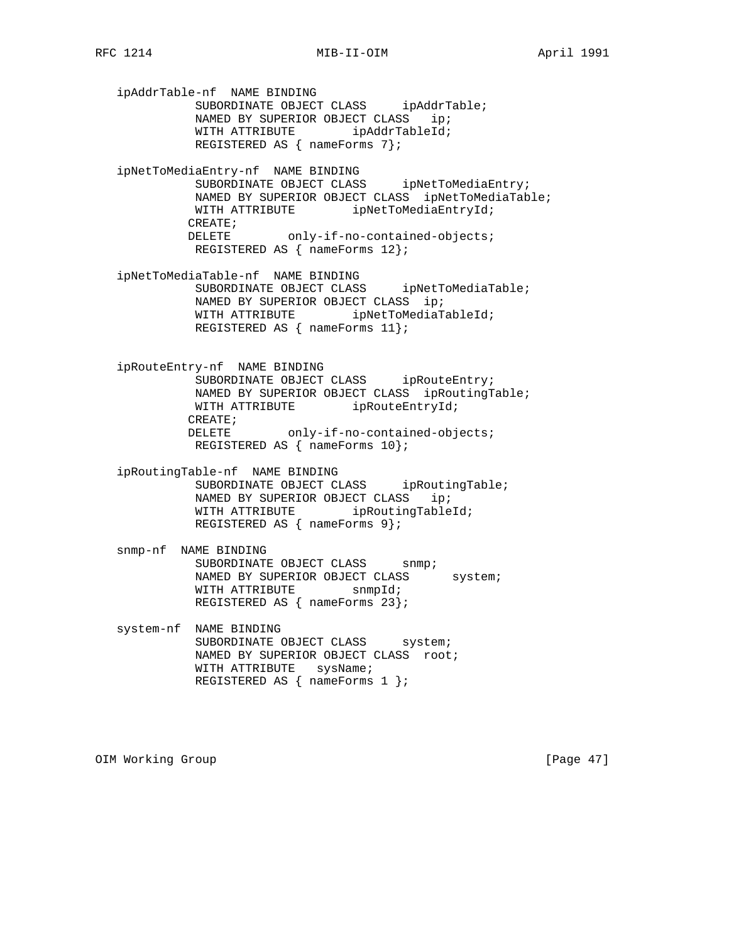ipAddrTable-nf NAME BINDING SUBORDINATE OBJECT CLASS ipAddrTable; NAMED BY SUPERIOR OBJECT CLASS ip; WITH ATTRIBUTE ipAddrTableId; REGISTERED AS { nameForms 7}; ipNetToMediaEntry-nf NAME BINDING SUBORDINATE OBJECT CLASS ipNetToMediaEntry; NAMED BY SUPERIOR OBJECT CLASS ipNetToMediaTable; WITH ATTRIBUTE ipNetToMediaEntryId; CREATE; DELETE only-if-no-contained-objects; REGISTERED AS { nameForms 12}; ipNetToMediaTable-nf NAME BINDING SUBORDINATE OBJECT CLASS ipNetToMediaTable; NAMED BY SUPERIOR OBJECT CLASS ip; WITH ATTRIBUTE ipNetToMediaTableId; REGISTERED AS { nameForms 11}; ipRouteEntry-nf NAME BINDING SUBORDINATE OBJECT CLASS ipRouteEntry; NAMED BY SUPERIOR OBJECT CLASS ipRoutingTable; WITH ATTRIBUTE ipRouteEntryId; CREATE; DELETE only-if-no-contained-objects; REGISTERED AS { nameForms 10}; ipRoutingTable-nf NAME BINDING SUBORDINATE OBJECT CLASS ipRoutingTable; NAMED BY SUPERIOR OBJECT CLASS ip; WITH ATTRIBUTE ipRoutingTableId; REGISTERED AS { nameForms 9}; snmp-nf NAME BINDING SUBORDINATE OBJECT CLASS snmp; NAMED BY SUPERIOR OBJECT CLASS system; WITH ATTRIBUTE snmpId; REGISTERED AS { nameForms 23}; system-nf NAME BINDING SUBORDINATE OBJECT CLASS system; NAMED BY SUPERIOR OBJECT CLASS root; WITH ATTRIBUTE sysName; REGISTERED AS { nameForms 1 };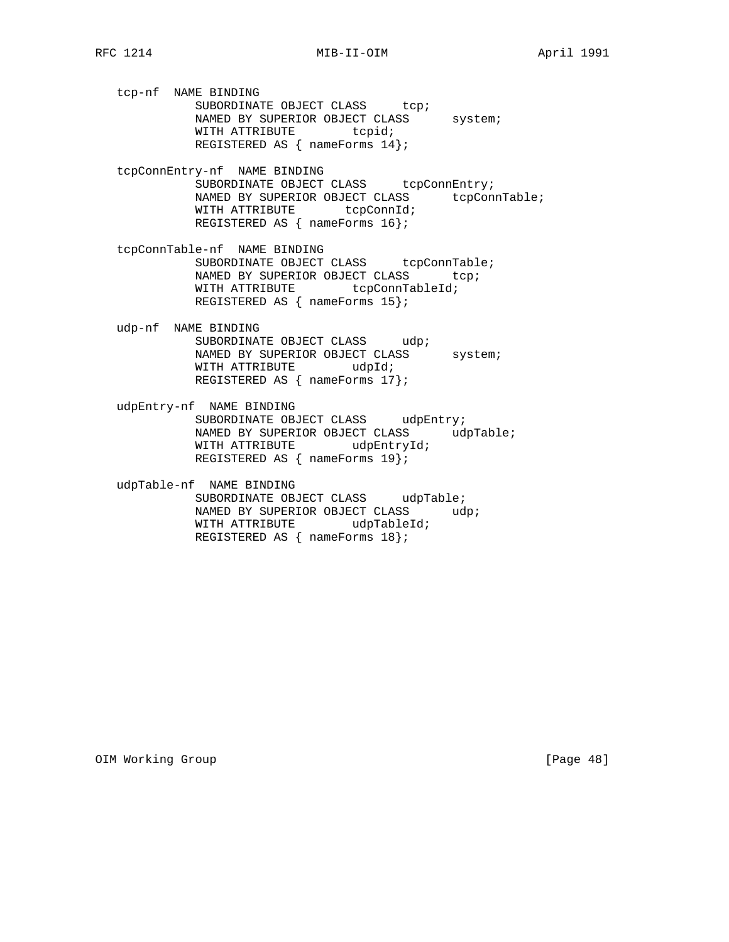tcp-nf NAME BINDING SUBORDINATE OBJECT CLASS tcp; NAMED BY SUPERIOR OBJECT CLASS system; WITH ATTRIBUTE tcpid; REGISTERED AS { nameForms 14};

 tcpConnEntry-nf NAME BINDING SUBORDINATE OBJECT CLASS tcpConnEntry; NAMED BY SUPERIOR OBJECT CLASS tcpConnTable; WITH ATTRIBUTE tcpConnId; REGISTERED AS { nameForms 16};

 tcpConnTable-nf NAME BINDING SUBORDINATE OBJECT CLASS tcpConnTable; NAMED BY SUPERIOR OBJECT CLASS tcp; WITH ATTRIBUTE tcpConnTableId; REGISTERED AS { nameForms 15};

 udp-nf NAME BINDING SUBORDINATE OBJECT CLASS udp; NAMED BY SUPERIOR OBJECT CLASS system; WITH ATTRIBUTE udpId; REGISTERED AS { nameForms 17};

 udpEntry-nf NAME BINDING SUBORDINATE OBJECT CLASS udpEntry; NAMED BY SUPERIOR OBJECT CLASS udpTable; WITH ATTRIBUTE udpEntryId; REGISTERED AS { nameForms 19};

 udpTable-nf NAME BINDING SUBORDINATE OBJECT CLASS udpTable; NAMED BY SUPERIOR OBJECT CLASS udp; WITH ATTRIBUTE udpTableId; REGISTERED AS { nameForms 18};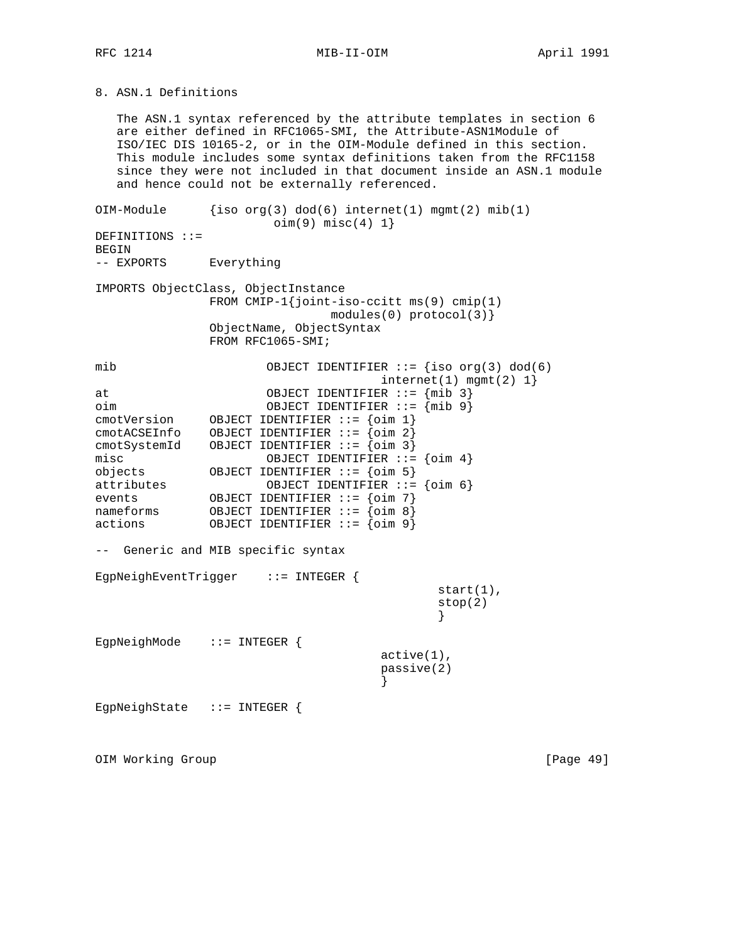8. ASN.1 Definitions

 The ASN.1 syntax referenced by the attribute templates in section 6 are either defined in RFC1065-SMI, the Attribute-ASN1Module of ISO/IEC DIS 10165-2, or in the OIM-Module defined in this section. This module includes some syntax definitions taken from the RFC1158 since they were not included in that document inside an ASN.1 module and hence could not be externally referenced. OIM-Module  ${iso \space org(3) \space dod(6) \space internet(1) \space memt(2) \space mib(1)}$ oim(9) misc(4) 1}

DEFINITIONS ::= BEGIN -- EXPORTS Everything IMPORTS ObjectClass, ObjectInstance FROM CMIP-1{joint-iso-ccitt ms(9) cmip(1) modules(0) protocol(3)} ObjectName, ObjectSyntax FROM RFC1065-SMI; mib OBJECT IDENTIFIER ::= {iso org(3) dod(6)  $internet(1)$  mgmt $(2)$  1} at OBJECT IDENTIFIER ::= {mib 3} oim OBJECT IDENTIFIER ::= {mib 9} cmotVersion OBJECT IDENTIFIER ::= {oim 1} cmotACSEInfo OBJECT IDENTIFIER ::= {oim 2} cmotSystemId OBJECT IDENTIFIER ::= {oim 3} misc OBJECT IDENTIFIER ::= {oim 4} objects OBJECT IDENTIFIER ::= {oim 5} attributes OBJECT IDENTIFIER ::= {oim 6} events OBJECT IDENTIFIER ::= {oim 7} nameforms OBJECT IDENTIFIER ::= {oim 8} actions OBJECT IDENTIFIER ::= {oim 9} -- Generic and MIB specific syntax EgpNeighEventTrigger ::= INTEGER { start(1), stop(2) } EgpNeighMode ::= INTEGER { active(1), passive(2) } EgpNeighState ::= INTEGER {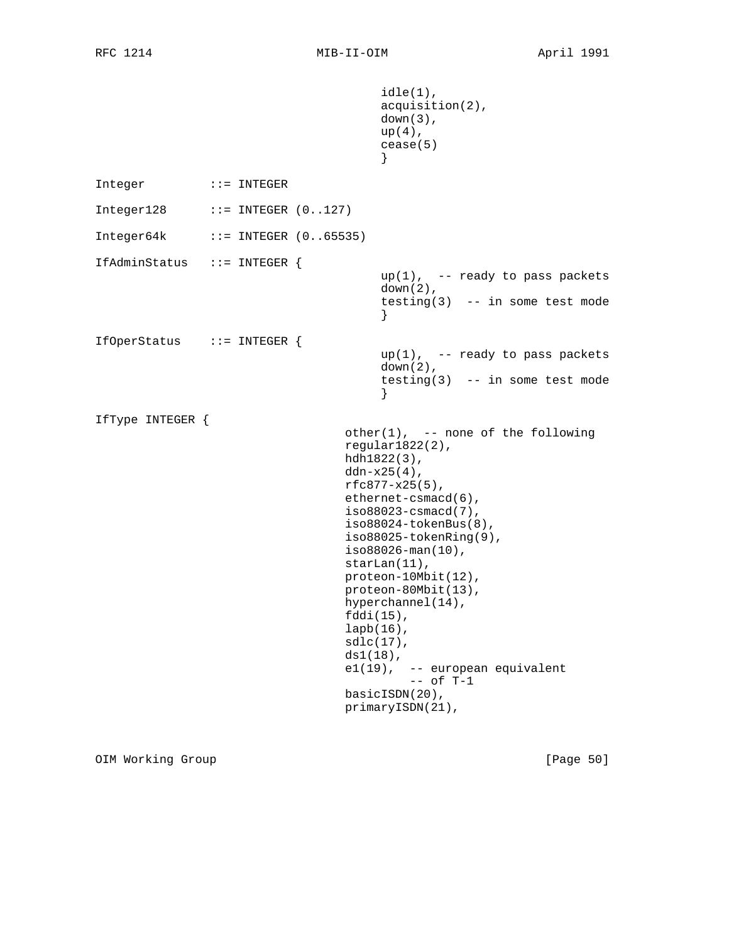```
 idle(1),
                                    acquisition(2),
                                    down(3),
                                    up(4),
                                    cease(5)
 }
Integer ::= INTEGER
Integer128 ::= INTEGER (0..127)Integer64k ::= INTEGER (0..65535)IfAdminStatus ::= INTEGER {
                                   up(1), -- ready to pass packets
                                    down(2),
                                    testing(3) -- in some test mode
 }
IfOperStatus ::= INTEGER {
                                   up(1), -- ready to pass packets
                                    down(2),
                                    testing(3) -- in some test mode
 }
IfType INTEGER {
                              other(1), -- none of the following
                               regular1822(2),
                               hdh1822(3),
                               ddn-x25(4),
                               rfc877-x25(5),
                               ethernet-csmacd(6),
                               iso88023-csmacd(7),
                               iso88024-tokenBus(8),
                                iso88025-tokenRing(9),
                                iso88026-man(10),
                               starLan(11),
                               proteon-10Mbit(12),
                               proteon-80Mbit(13),
                               hyperchannel(14),
                                fddi(15),
                                lapb(16),
                                sdlc(17),
                                ds1(18),
                                e1(19), -- european equivalent
                                       -- of T-1 basicISDN(20),
                               primaryISDN(21),
```
OIM Working Group **business and Community Community** [Page 50]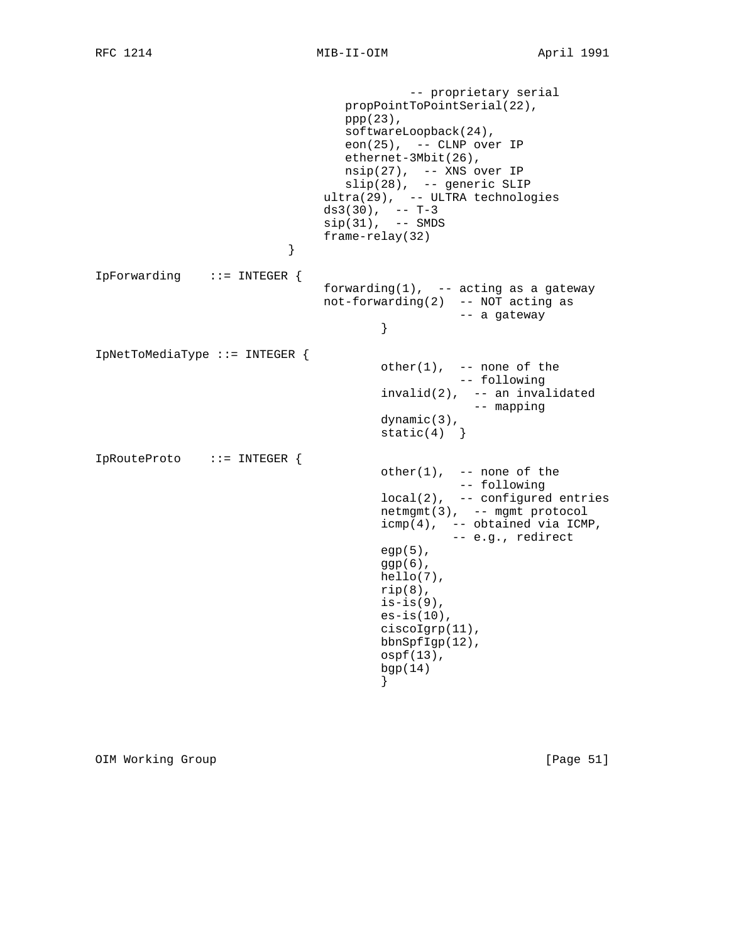```
 -- proprietary serial
                          propPointToPointSerial(22),
                         ppp(23),
                          softwareLoopback(24),
                          eon(25), -- CLNP over IP
                          ethernet-3Mbit(26),
                          nsip(27), -- XNS over IP
 slip(28), -- generic SLIP
 ultra(29), -- ULTRA technologies
ds3(30), -- T-3
 sip(31), -- SMDS
                    frame-relay(32)
 }
IpForwarding ::= INTEGER {
                       forwarding(1), - acting as a gateway
                        not-forwarding(2) -- NOT acting as
                             -- a gateway
 }
IpNetToMediaType ::= INTEGER {
                            other(1), -- none of the
                                     -- following
                             invalid(2), -- an invalidated
                                       -- mapping
                             dynamic(3),
                            static(4)}
IpRouteProto ::= INTEGER {
                            other(1), -- none of the
                                     -- following
                             local(2), -- configured entries
                             netmgmt(3), -- mgmt protocol
 icmp(4), -- obtained via ICMP,
 -- e.g., redirect
                            egp(5),
                             ggp(6),
                             hello(7),
                            rip(8),
                            is-is(9),
                            es-is(10),
                             ciscoIgrp(11),
                             bbnSpfIgp(12),
                             ospf(13),
                             bgp(14)
 }
```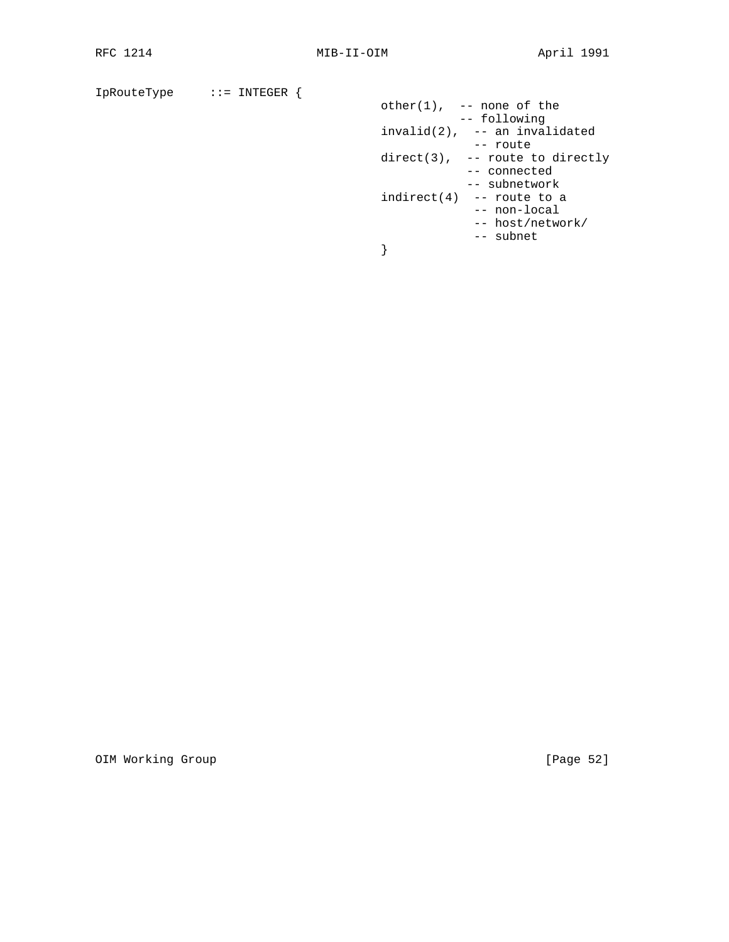```
IpRouteType ::= INTEGER {
other(1), -- none of the
 -- following
 invalid(2), -- an invalidated
 -- route
                     direct(3), -- route to directly
                           -- connected
                           -- subnetwork
                    indirect(4) - route to a
                           -- non-local
                           -- host/network/
                     -- subnet
 }
```
OIM Working Group **business and Community Community** [Page 52]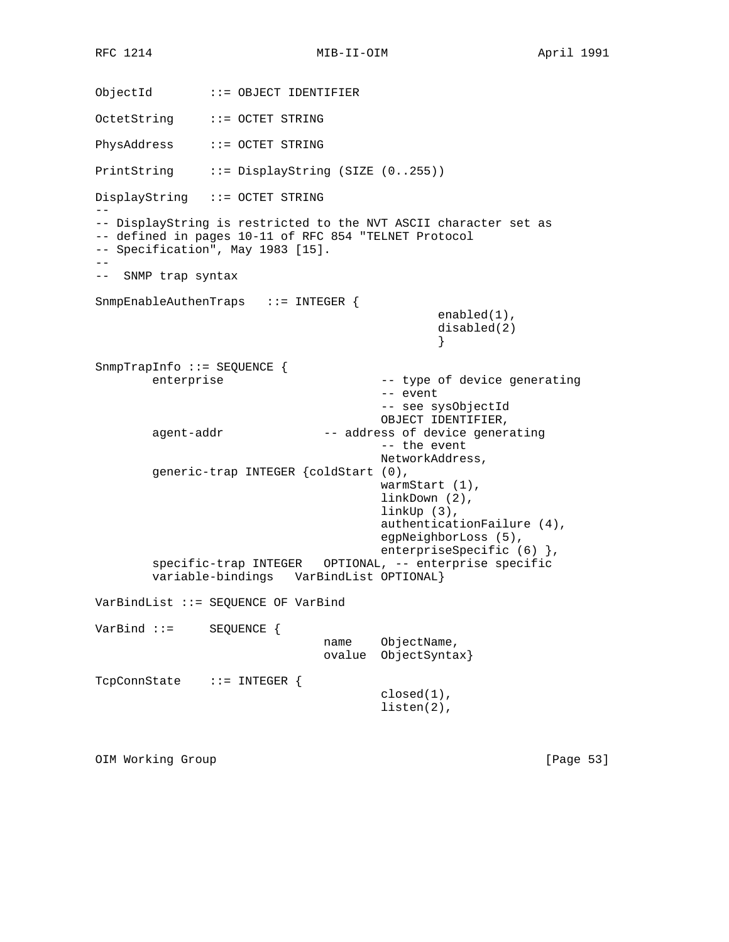RFC 1214 MIB-II-OIM MONTHL April 1991

ObjectId ::= OBJECT IDENTIFIER OctetString ::= OCTET STRING PhysAddress ::= OCTET STRING PrintString ::= DisplayString (SIZE (0..255)) DisplayString ::= OCTET STRING  $-$ -- DisplayString is restricted to the NVT ASCII character set as -- defined in pages 10-11 of RFC 854 "TELNET Protocol -- Specification", May 1983 [15]. -- -- SNMP trap syntax SnmpEnableAuthenTraps ::= INTEGER { enabled(1), disabled(2) } SnmpTrapInfo ::= SEQUENCE { enterprise  $-$  type of device generating -- event -- see sysObjectId OBJECT IDENTIFIER, agent-addr  $-$ - address of device generating -- the event NetworkAddress, generic-trap INTEGER {coldStart (0), warmStart (1), linkDown (2), linkUp (3), authenticationFailure (4), egpNeighborLoss (5), enterpriseSpecific (6) }, specific-trap INTEGER OPTIONAL, -- enterprise specific variable-bindings VarBindList OPTIONAL} VarBindList ::= SEQUENCE OF VarBind VarBind ::= SEQUENCE { name ObjectName, ovalue ObjectSyntax} TcpConnState ::= INTEGER { closed(1), listen(2),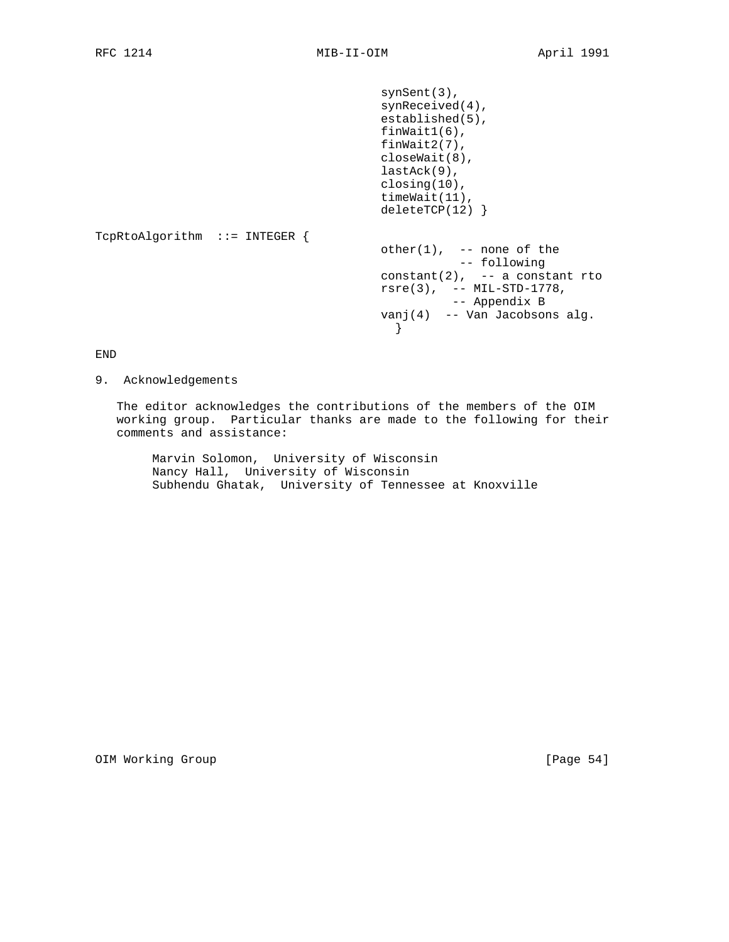```
 synSent(3),
                              synReceived(4),
                              established(5),
                              finWait1(6),
                              finWait2(7),
                              closeWait(8),
                              lastAck(9),
                              closing(10),
                              timeWait(11),
                              deleteTCP(12) }
TcpRtoAlgorithm ::= INTEGER {
                              other(1), -- none of the
 -- following
constant(2), - a constant rto
                              rsre(3), -- MIL-STD-1778,
                                     -- Appendix B
                              vanj(4) -- Van Jacobsons alg.
 }
```
END

9. Acknowledgements

 The editor acknowledges the contributions of the members of the OIM working group. Particular thanks are made to the following for their comments and assistance:

 Marvin Solomon, University of Wisconsin Nancy Hall, University of Wisconsin Subhendu Ghatak, University of Tennessee at Knoxville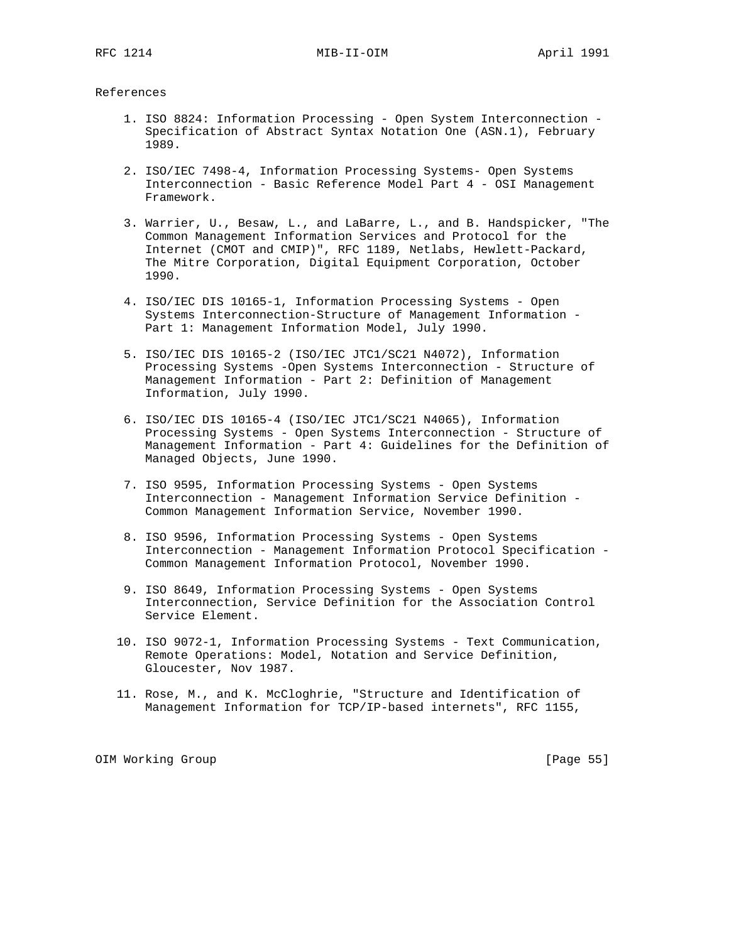#### References

- 1. ISO 8824: Information Processing Open System Interconnection Specification of Abstract Syntax Notation One (ASN.1), February 1989.
- 2. ISO/IEC 7498-4, Information Processing Systems- Open Systems Interconnection - Basic Reference Model Part 4 - OSI Management Framework.
- 3. Warrier, U., Besaw, L., and LaBarre, L., and B. Handspicker, "The Common Management Information Services and Protocol for the Internet (CMOT and CMIP)", RFC 1189, Netlabs, Hewlett-Packard, The Mitre Corporation, Digital Equipment Corporation, October 1990.
- 4. ISO/IEC DIS 10165-1, Information Processing Systems Open Systems Interconnection-Structure of Management Information - Part 1: Management Information Model, July 1990.
- 5. ISO/IEC DIS 10165-2 (ISO/IEC JTC1/SC21 N4072), Information Processing Systems -Open Systems Interconnection - Structure of Management Information - Part 2: Definition of Management Information, July 1990.
- 6. ISO/IEC DIS 10165-4 (ISO/IEC JTC1/SC21 N4065), Information Processing Systems - Open Systems Interconnection - Structure of Management Information - Part 4: Guidelines for the Definition of Managed Objects, June 1990.
- 7. ISO 9595, Information Processing Systems Open Systems Interconnection - Management Information Service Definition - Common Management Information Service, November 1990.
- 8. ISO 9596, Information Processing Systems Open Systems Interconnection - Management Information Protocol Specification - Common Management Information Protocol, November 1990.
- 9. ISO 8649, Information Processing Systems Open Systems Interconnection, Service Definition for the Association Control Service Element.
- 10. ISO 9072-1, Information Processing Systems Text Communication, Remote Operations: Model, Notation and Service Definition, Gloucester, Nov 1987.
- 11. Rose, M., and K. McCloghrie, "Structure and Identification of Management Information for TCP/IP-based internets", RFC 1155,

OIM Working Group **business and Contact Contact Contact Contact Contact Contact Contact Contact Contact Contact Contact Contact Contact Contact Contact Contact Contact Contact Contact Contact Contact Contact Contact Contac**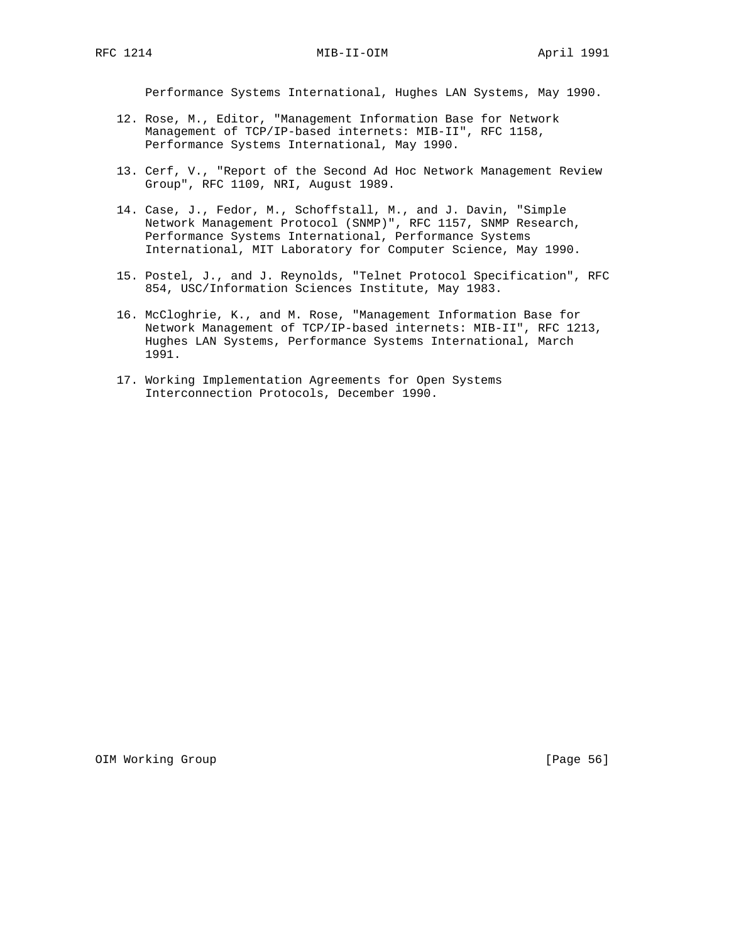Performance Systems International, Hughes LAN Systems, May 1990.

- 12. Rose, M., Editor, "Management Information Base for Network Management of TCP/IP-based internets: MIB-II", RFC 1158, Performance Systems International, May 1990.
- 13. Cerf, V., "Report of the Second Ad Hoc Network Management Review Group", RFC 1109, NRI, August 1989.
- 14. Case, J., Fedor, M., Schoffstall, M., and J. Davin, "Simple Network Management Protocol (SNMP)", RFC 1157, SNMP Research, Performance Systems International, Performance Systems International, MIT Laboratory for Computer Science, May 1990.
- 15. Postel, J., and J. Reynolds, "Telnet Protocol Specification", RFC 854, USC/Information Sciences Institute, May 1983.
- 16. McCloghrie, K., and M. Rose, "Management Information Base for Network Management of TCP/IP-based internets: MIB-II", RFC 1213, Hughes LAN Systems, Performance Systems International, March 1991.
- 17. Working Implementation Agreements for Open Systems Interconnection Protocols, December 1990.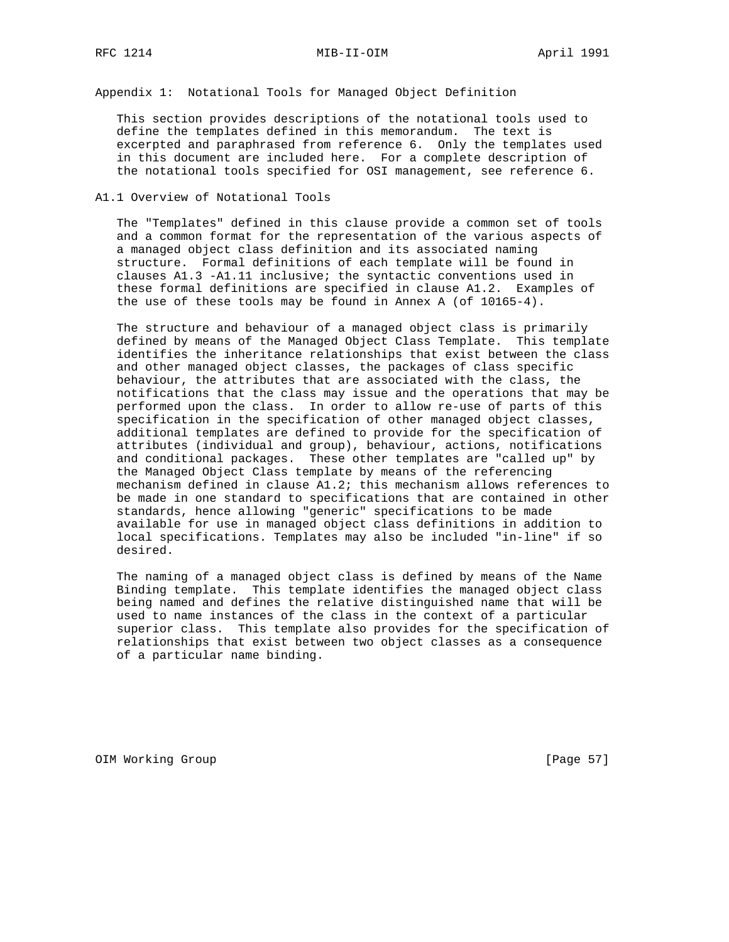Appendix 1: Notational Tools for Managed Object Definition

 This section provides descriptions of the notational tools used to define the templates defined in this memorandum. The text is excerpted and paraphrased from reference 6. Only the templates used in this document are included here. For a complete description of the notational tools specified for OSI management, see reference 6.

#### A1.1 Overview of Notational Tools

 The "Templates" defined in this clause provide a common set of tools and a common format for the representation of the various aspects of a managed object class definition and its associated naming structure. Formal definitions of each template will be found in clauses A1.3 -A1.11 inclusive; the syntactic conventions used in these formal definitions are specified in clause A1.2. Examples of the use of these tools may be found in Annex A (of 10165-4).

 The structure and behaviour of a managed object class is primarily defined by means of the Managed Object Class Template. This template identifies the inheritance relationships that exist between the class and other managed object classes, the packages of class specific behaviour, the attributes that are associated with the class, the notifications that the class may issue and the operations that may be performed upon the class. In order to allow re-use of parts of this specification in the specification of other managed object classes, additional templates are defined to provide for the specification of attributes (individual and group), behaviour, actions, notifications and conditional packages. These other templates are "called up" by the Managed Object Class template by means of the referencing mechanism defined in clause A1.2; this mechanism allows references to be made in one standard to specifications that are contained in other standards, hence allowing "generic" specifications to be made available for use in managed object class definitions in addition to local specifications. Templates may also be included "in-line" if so desired.

 The naming of a managed object class is defined by means of the Name Binding template. This template identifies the managed object class being named and defines the relative distinguished name that will be used to name instances of the class in the context of a particular superior class. This template also provides for the specification of relationships that exist between two object classes as a consequence of a particular name binding.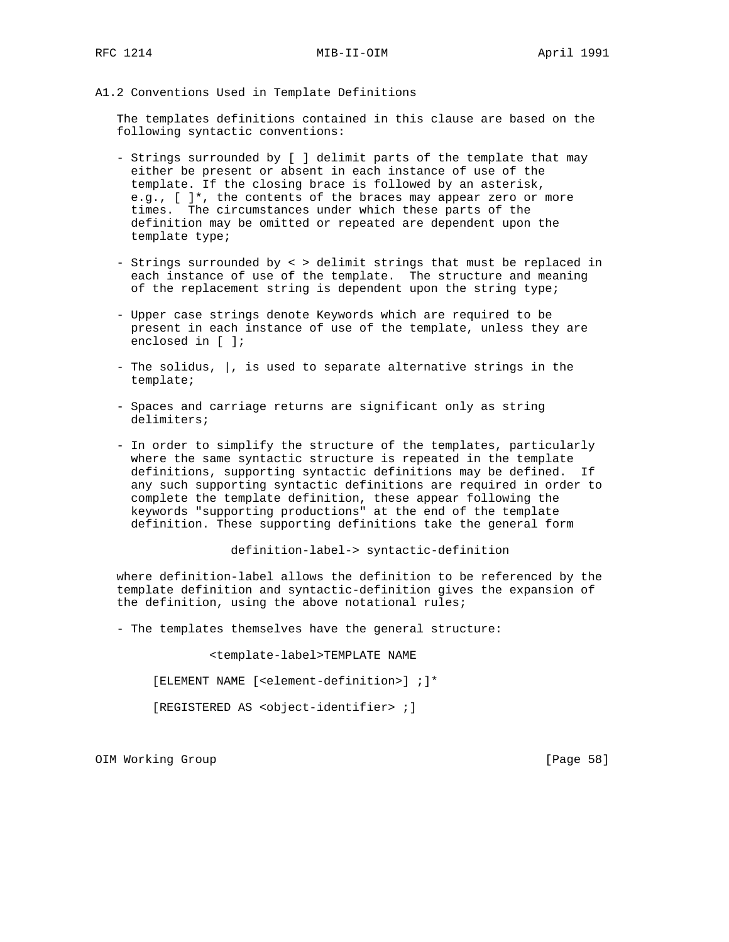A1.2 Conventions Used in Template Definitions

 The templates definitions contained in this clause are based on the following syntactic conventions:

- Strings surrounded by [ ] delimit parts of the template that may either be present or absent in each instance of use of the template. If the closing brace is followed by an asterisk, e.g., [ ]\*, the contents of the braces may appear zero or more times. The circumstances under which these parts of the definition may be omitted or repeated are dependent upon the template type;
- Strings surrounded by < > delimit strings that must be replaced in each instance of use of the template. The structure and meaning of the replacement string is dependent upon the string type;
- Upper case strings denote Keywords which are required to be present in each instance of use of the template, unless they are enclosed in [ ];
- The solidus, |, is used to separate alternative strings in the template;
- Spaces and carriage returns are significant only as string delimiters;
- In order to simplify the structure of the templates, particularly where the same syntactic structure is repeated in the template definitions, supporting syntactic definitions may be defined. If any such supporting syntactic definitions are required in order to complete the template definition, these appear following the keywords "supporting productions" at the end of the template definition. These supporting definitions take the general form

definition-label-> syntactic-definition

 where definition-label allows the definition to be referenced by the template definition and syntactic-definition gives the expansion of the definition, using the above notational rules;

- The templates themselves have the general structure:

<template-label>TEMPLATE NAME

[ELEMENT NAME [<element-definition>] ;]\*

[REGISTERED AS <object-identifier> ;]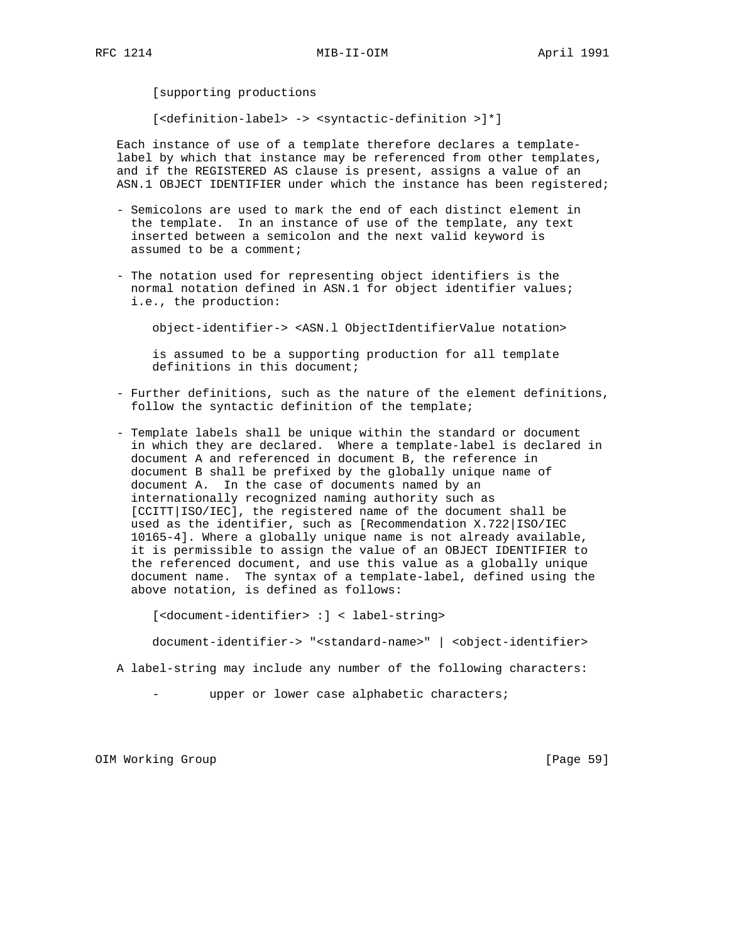[supporting productions

[<definition-label> -> <syntactic-definition >]\*]

 Each instance of use of a template therefore declares a template label by which that instance may be referenced from other templates, and if the REGISTERED AS clause is present, assigns a value of an ASN.1 OBJECT IDENTIFIER under which the instance has been registered;

- Semicolons are used to mark the end of each distinct element in the template. In an instance of use of the template, any text inserted between a semicolon and the next valid keyword is assumed to be a comment;
- The notation used for representing object identifiers is the normal notation defined in ASN.1 for object identifier values; i.e., the production:

object-identifier-> <ASN.l ObjectIdentifierValue notation>

 is assumed to be a supporting production for all template definitions in this document;

- Further definitions, such as the nature of the element definitions, follow the syntactic definition of the template;
- Template labels shall be unique within the standard or document in which they are declared. Where a template-label is declared in document A and referenced in document B, the reference in document B shall be prefixed by the globally unique name of document A. In the case of documents named by an internationally recognized naming authority such as [CCITT|ISO/IEC], the registered name of the document shall be used as the identifier, such as [Recommendation X.722|ISO/IEC 10165-4]. Where a globally unique name is not already available, it is permissible to assign the value of an OBJECT IDENTIFIER to the referenced document, and use this value as a globally unique document name. The syntax of a template-label, defined using the above notation, is defined as follows:

[<document-identifier> :] < label-string>

document-identifier-> "<standard-name>" | <object-identifier>

A label-string may include any number of the following characters:

upper or lower case alphabetic characters;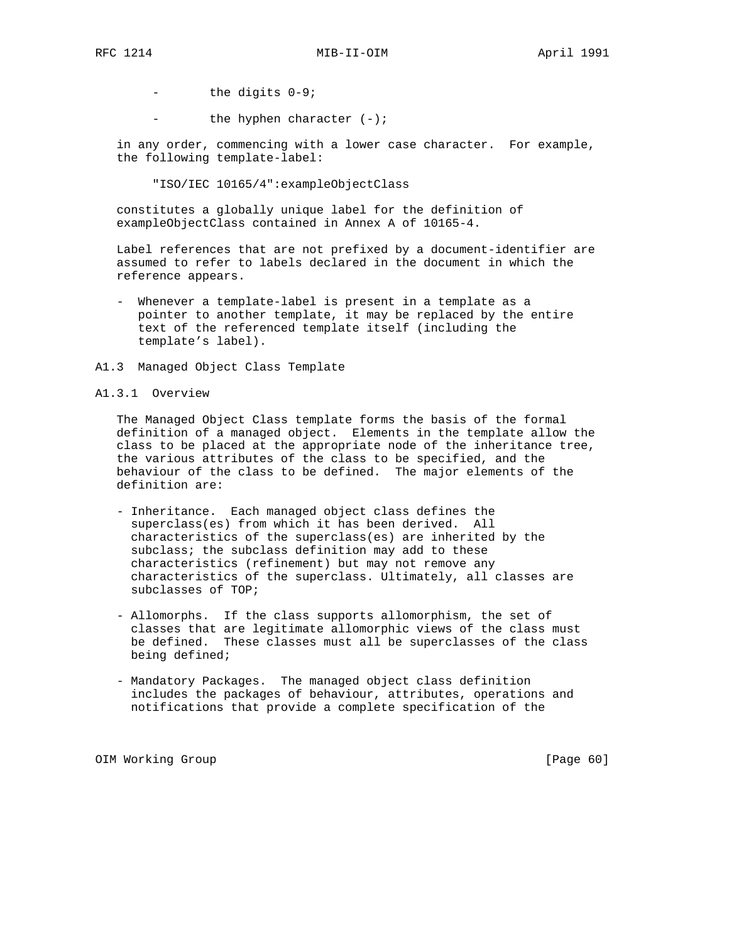- the digits 0-9;

the hyphen character  $(-)$ ;

 in any order, commencing with a lower case character. For example, the following template-label:

"ISO/IEC 10165/4":exampleObjectClass

 constitutes a globally unique label for the definition of exampleObjectClass contained in Annex A of 10165-4.

 Label references that are not prefixed by a document-identifier are assumed to refer to labels declared in the document in which the reference appears.

- Whenever a template-label is present in a template as a pointer to another template, it may be replaced by the entire text of the referenced template itself (including the template's label).
- A1.3 Managed Object Class Template

### A1.3.1 Overview

 The Managed Object Class template forms the basis of the formal definition of a managed object. Elements in the template allow the class to be placed at the appropriate node of the inheritance tree, the various attributes of the class to be specified, and the behaviour of the class to be defined. The major elements of the definition are:

- Inheritance. Each managed object class defines the superclass(es) from which it has been derived. All characteristics of the superclass(es) are inherited by the subclass; the subclass definition may add to these characteristics (refinement) but may not remove any characteristics of the superclass. Ultimately, all classes are subclasses of TOP;
- Allomorphs. If the class supports allomorphism, the set of classes that are legitimate allomorphic views of the class must be defined. These classes must all be superclasses of the class being defined;
- Mandatory Packages. The managed object class definition includes the packages of behaviour, attributes, operations and notifications that provide a complete specification of the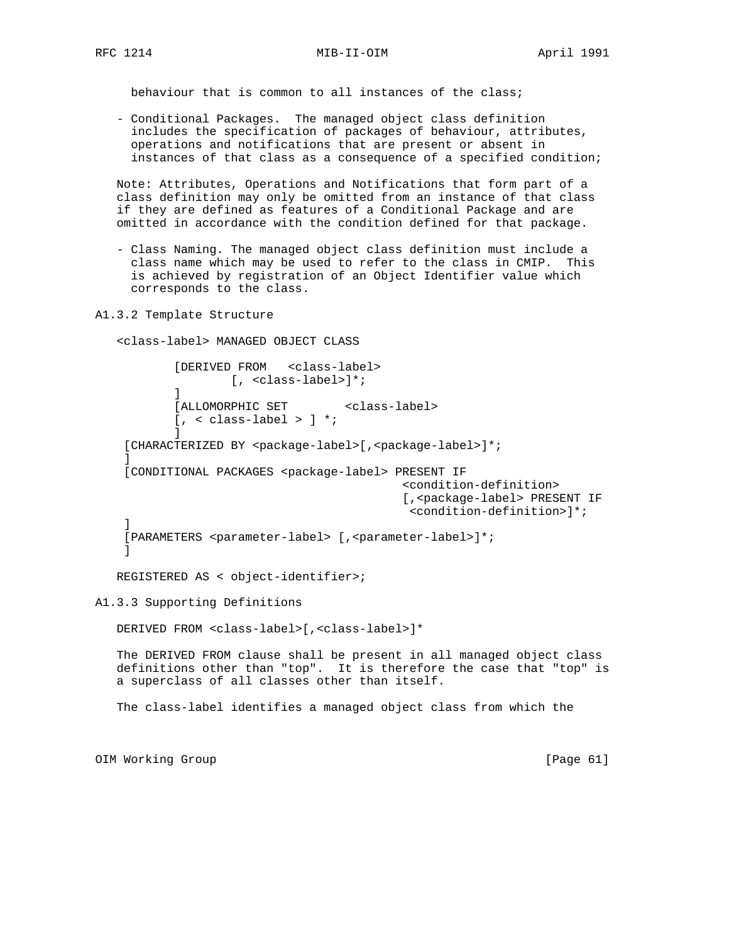behaviour that is common to all instances of the class;

 - Conditional Packages. The managed object class definition includes the specification of packages of behaviour, attributes, operations and notifications that are present or absent in instances of that class as a consequence of a specified condition;

 Note: Attributes, Operations and Notifications that form part of a class definition may only be omitted from an instance of that class if they are defined as features of a Conditional Package and are omitted in accordance with the condition defined for that package.

- Class Naming. The managed object class definition must include a class name which may be used to refer to the class in CMIP. This is achieved by registration of an Object Identifier value which corresponds to the class.
- A1.3.2 Template Structure

<class-label> MANAGED OBJECT CLASS

 [DERIVED FROM <class-label> [, <class-label>]\*; ] [ALLOMORPHIC SET <class-label>  $[ , <$  class-label >  $] *$ ; ] [CHARACTERIZED BY <package-label>[,<package-label>]\*;  $\mathbf{1}$  [CONDITIONAL PACKAGES <package-label> PRESENT IF <condition-definition> [,<package-label> PRESENT IF <condition-definition>]\*; ] [PARAMETERS <parameter-label> [,<parameter-label>]\*; ]

```
 REGISTERED AS < object-identifier>;
```
A1.3.3 Supporting Definitions

DERIVED FROM <class-label>[,<class-label>]\*

 The DERIVED FROM clause shall be present in all managed object class definitions other than "top". It is therefore the case that "top" is a superclass of all classes other than itself.

The class-label identifies a managed object class from which the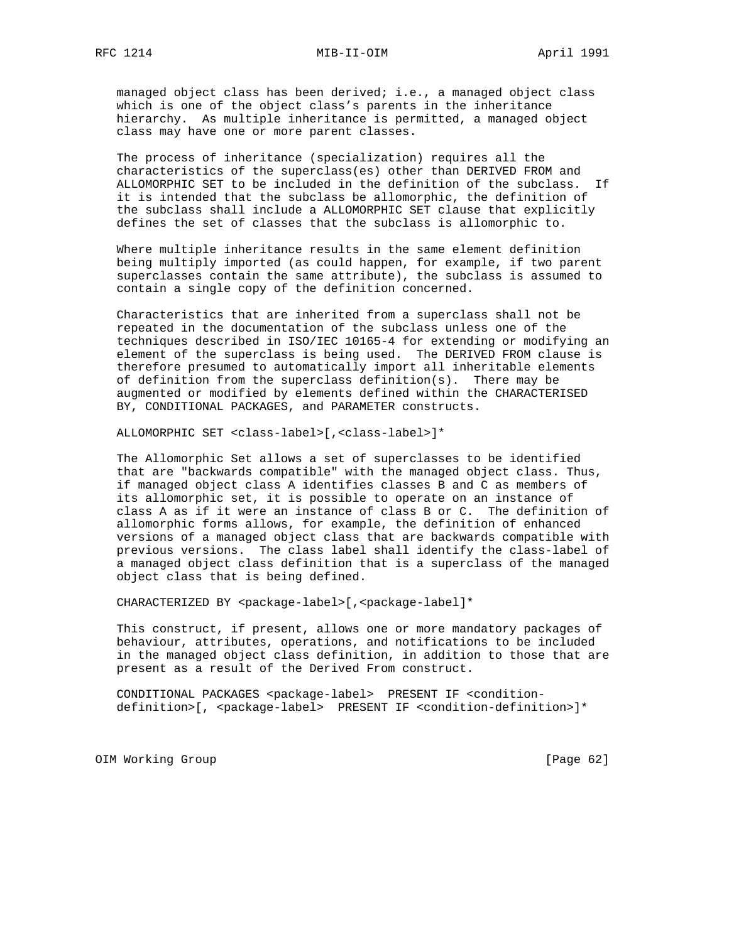managed object class has been derived; i.e., a managed object class which is one of the object class's parents in the inheritance hierarchy. As multiple inheritance is permitted, a managed object class may have one or more parent classes.

 The process of inheritance (specialization) requires all the characteristics of the superclass(es) other than DERIVED FROM and ALLOMORPHIC SET to be included in the definition of the subclass. If it is intended that the subclass be allomorphic, the definition of the subclass shall include a ALLOMORPHIC SET clause that explicitly defines the set of classes that the subclass is allomorphic to.

 Where multiple inheritance results in the same element definition being multiply imported (as could happen, for example, if two parent superclasses contain the same attribute), the subclass is assumed to contain a single copy of the definition concerned.

 Characteristics that are inherited from a superclass shall not be repeated in the documentation of the subclass unless one of the techniques described in ISO/IEC 10165-4 for extending or modifying an element of the superclass is being used. The DERIVED FROM clause is therefore presumed to automatically import all inheritable elements of definition from the superclass definition(s). There may be augmented or modified by elements defined within the CHARACTERISED BY, CONDITIONAL PACKAGES, and PARAMETER constructs.

ALLOMORPHIC SET <class-label>[,<class-label>]\*

 The Allomorphic Set allows a set of superclasses to be identified that are "backwards compatible" with the managed object class. Thus, if managed object class A identifies classes B and C as members of its allomorphic set, it is possible to operate on an instance of class A as if it were an instance of class B or C. The definition of allomorphic forms allows, for example, the definition of enhanced versions of a managed object class that are backwards compatible with previous versions. The class label shall identify the class-label of a managed object class definition that is a superclass of the managed object class that is being defined.

CHARACTERIZED BY <package-label>[,<package-label]\*

 This construct, if present, allows one or more mandatory packages of behaviour, attributes, operations, and notifications to be included in the managed object class definition, in addition to those that are present as a result of the Derived From construct.

 CONDITIONAL PACKAGES <package-label> PRESENT IF <condition definition>[, <package-label> PRESENT IF <condition-definition>]\*

OIM Working Group **business and Community** [Page 62]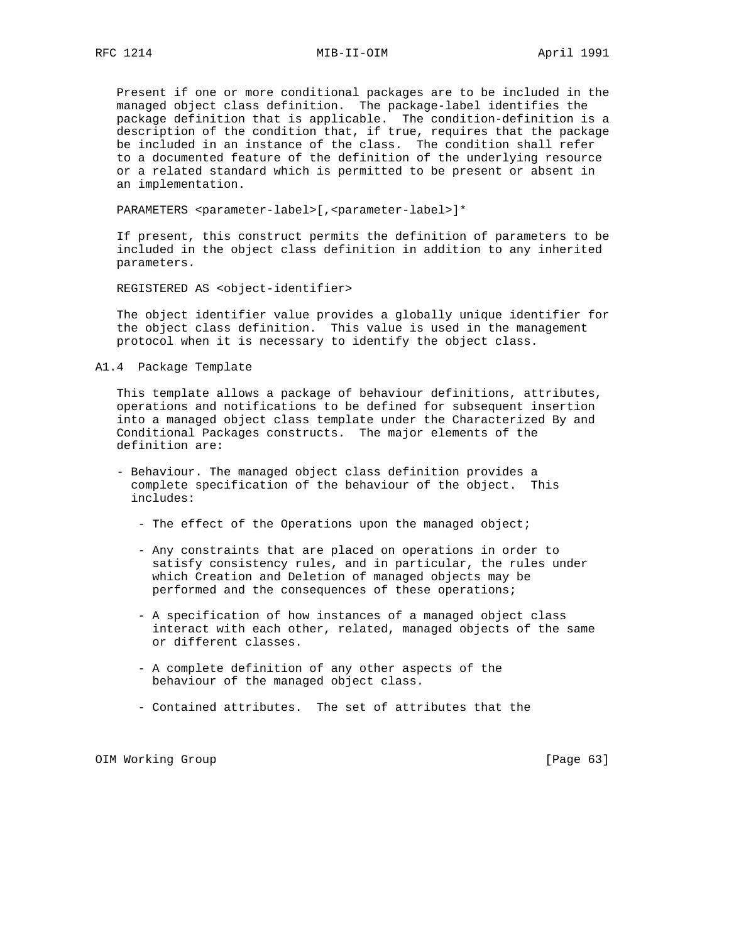Present if one or more conditional packages are to be included in the managed object class definition. The package-label identifies the package definition that is applicable. The condition-definition is a description of the condition that, if true, requires that the package be included in an instance of the class. The condition shall refer to a documented feature of the definition of the underlying resource or a related standard which is permitted to be present or absent in an implementation.

PARAMETERS <parameter-label>[, <parameter-label>]\*

 If present, this construct permits the definition of parameters to be included in the object class definition in addition to any inherited parameters.

REGISTERED AS <object-identifier>

 The object identifier value provides a globally unique identifier for the object class definition. This value is used in the management protocol when it is necessary to identify the object class.

A1.4 Package Template

 This template allows a package of behaviour definitions, attributes, operations and notifications to be defined for subsequent insertion into a managed object class template under the Characterized By and Conditional Packages constructs. The major elements of the definition are:

- Behaviour. The managed object class definition provides a complete specification of the behaviour of the object. This includes:
	- The effect of the Operations upon the managed object;
	- Any constraints that are placed on operations in order to satisfy consistency rules, and in particular, the rules under which Creation and Deletion of managed objects may be performed and the consequences of these operations;
	- A specification of how instances of a managed object class interact with each other, related, managed objects of the same or different classes.
	- A complete definition of any other aspects of the behaviour of the managed object class.
	- Contained attributes. The set of attributes that the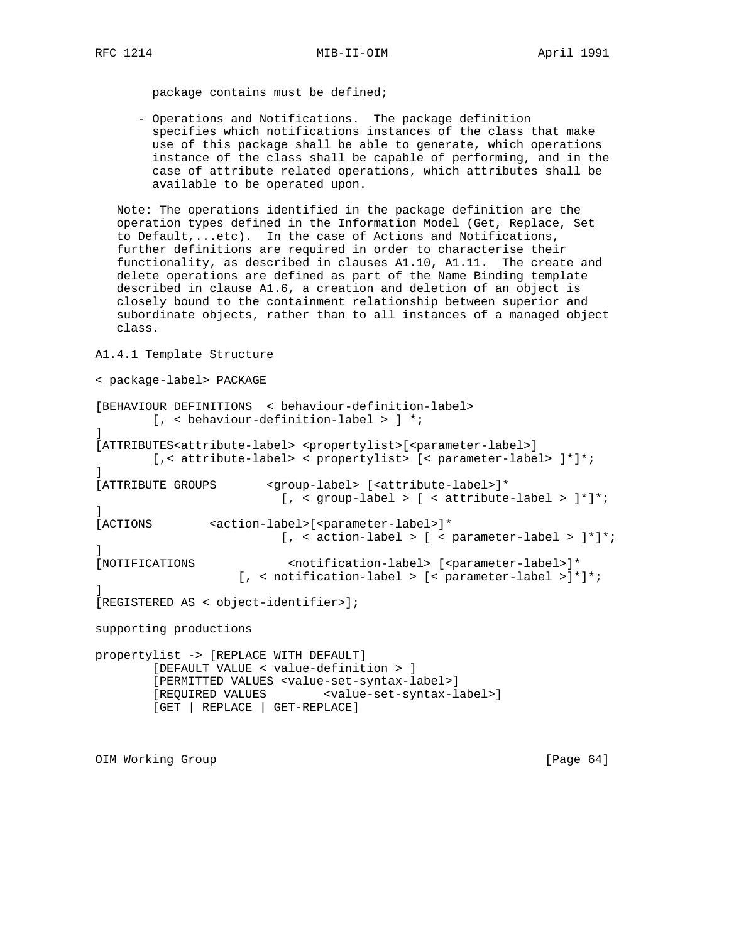package contains must be defined;

 - Operations and Notifications. The package definition specifies which notifications instances of the class that make use of this package shall be able to generate, which operations instance of the class shall be capable of performing, and in the case of attribute related operations, which attributes shall be available to be operated upon.

 Note: The operations identified in the package definition are the operation types defined in the Information Model (Get, Replace, Set to Default,...etc). In the case of Actions and Notifications, further definitions are required in order to characterise their functionality, as described in clauses A1.10, A1.11. The create and delete operations are defined as part of the Name Binding template described in clause A1.6, a creation and deletion of an object is closely bound to the containment relationship between superior and subordinate objects, rather than to all instances of a managed object class.

A1.4.1 Template Structure

```
< package-label> PACKAGE
[BEHAVIOUR DEFINITIONS < behaviour-definition-label>
         [, < behaviour-definition-label > ] *;
]
[ATTRIBUTES<attribute-label> <propertylist>[<parameter-label>]
         [,< attribute-label> < propertylist> [< parameter-label> ]*]*;
]
[ATTRIBUTE GROUPS <group-label> [<attribute-label>]*
                         [ , < group-label > [ < attribute-label > ]*]*;
]
[ACTIONS <action-label>[<parameter-label>]*
                         [ , < action-label > [ < parameter-label > ]^*]^*;]
[NOTIFICATIONS <notification-label> [<parameter-label>]*
                    [, < notification-label > [< parameter-label >]*]*;
]
[REGISTERED AS < object-identifier>];
supporting productions
propertylist -> [REPLACE WITH DEFAULT]
         [DEFAULT VALUE < value-definition > ]
         [PERMITTED VALUES <value-set-syntax-label>]
         [REQUIRED VALUES <value-set-syntax-label>]
         [GET | REPLACE | GET-REPLACE]
```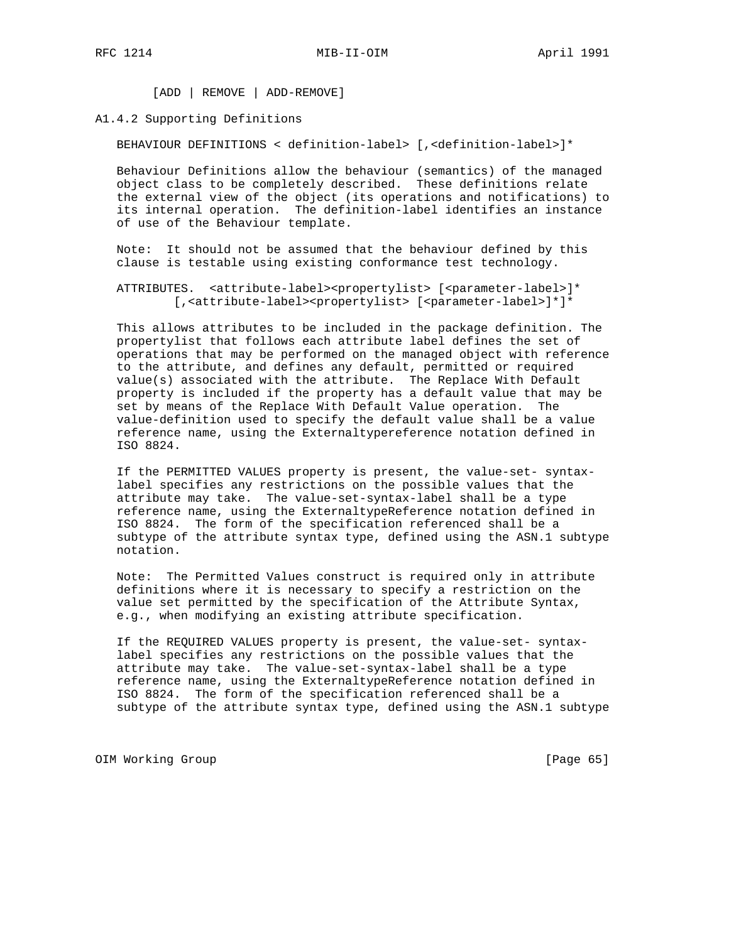[ADD | REMOVE | ADD-REMOVE]

### A1.4.2 Supporting Definitions

BEHAVIOUR DEFINITIONS < definition-label> [,<definition-label>]\*

 Behaviour Definitions allow the behaviour (semantics) of the managed object class to be completely described. These definitions relate the external view of the object (its operations and notifications) to its internal operation. The definition-label identifies an instance of use of the Behaviour template.

 Note: It should not be assumed that the behaviour defined by this clause is testable using existing conformance test technology.

ATTRIBUTES. <attribute-label><propertylist> [<parameter-label>]\* [, <attribute-label><propertylist> [<parameter-label>]\*]\*

 This allows attributes to be included in the package definition. The propertylist that follows each attribute label defines the set of operations that may be performed on the managed object with reference to the attribute, and defines any default, permitted or required value(s) associated with the attribute. The Replace With Default property is included if the property has a default value that may be set by means of the Replace With Default Value operation. The value-definition used to specify the default value shall be a value reference name, using the Externaltypereference notation defined in ISO 8824.

 If the PERMITTED VALUES property is present, the value-set- syntax label specifies any restrictions on the possible values that the attribute may take. The value-set-syntax-label shall be a type reference name, using the ExternaltypeReference notation defined in ISO 8824. The form of the specification referenced shall be a subtype of the attribute syntax type, defined using the ASN.1 subtype notation.

 Note: The Permitted Values construct is required only in attribute definitions where it is necessary to specify a restriction on the value set permitted by the specification of the Attribute Syntax, e.g., when modifying an existing attribute specification.

 If the REQUIRED VALUES property is present, the value-set- syntax label specifies any restrictions on the possible values that the attribute may take. The value-set-syntax-label shall be a type reference name, using the ExternaltypeReference notation defined in ISO 8824. The form of the specification referenced shall be a subtype of the attribute syntax type, defined using the ASN.1 subtype

OIM Working Group **business and Community Community** [Page 65]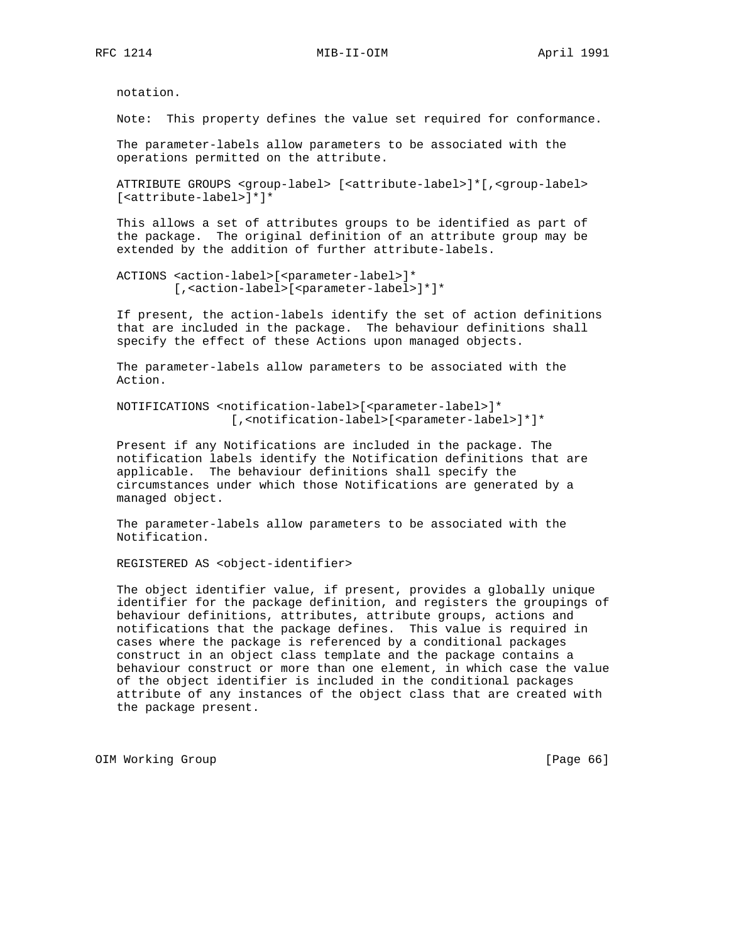notation.

Note: This property defines the value set required for conformance.

 The parameter-labels allow parameters to be associated with the operations permitted on the attribute.

 ATTRIBUTE GROUPS <group-label> [<attribute-label>]\*[,<group-label> [<attribute-label>]\*]\*

 This allows a set of attributes groups to be identified as part of the package. The original definition of an attribute group may be extended by the addition of further attribute-labels.

```
 ACTIONS <action-label>[<parameter-label>]*
         [,<action-label>[<parameter-label>]*]*
```
 If present, the action-labels identify the set of action definitions that are included in the package. The behaviour definitions shall specify the effect of these Actions upon managed objects.

 The parameter-labels allow parameters to be associated with the Action.

 NOTIFICATIONS <notification-label>[<parameter-label>]\* [,<notification-label>[<parameter-label>]\*]\*

 Present if any Notifications are included in the package. The notification labels identify the Notification definitions that are applicable. The behaviour definitions shall specify the circumstances under which those Notifications are generated by a managed object.

 The parameter-labels allow parameters to be associated with the Notification.

REGISTERED AS <object-identifier>

 The object identifier value, if present, provides a globally unique identifier for the package definition, and registers the groupings of behaviour definitions, attributes, attribute groups, actions and notifications that the package defines. This value is required in cases where the package is referenced by a conditional packages construct in an object class template and the package contains a behaviour construct or more than one element, in which case the value of the object identifier is included in the conditional packages attribute of any instances of the object class that are created with the package present.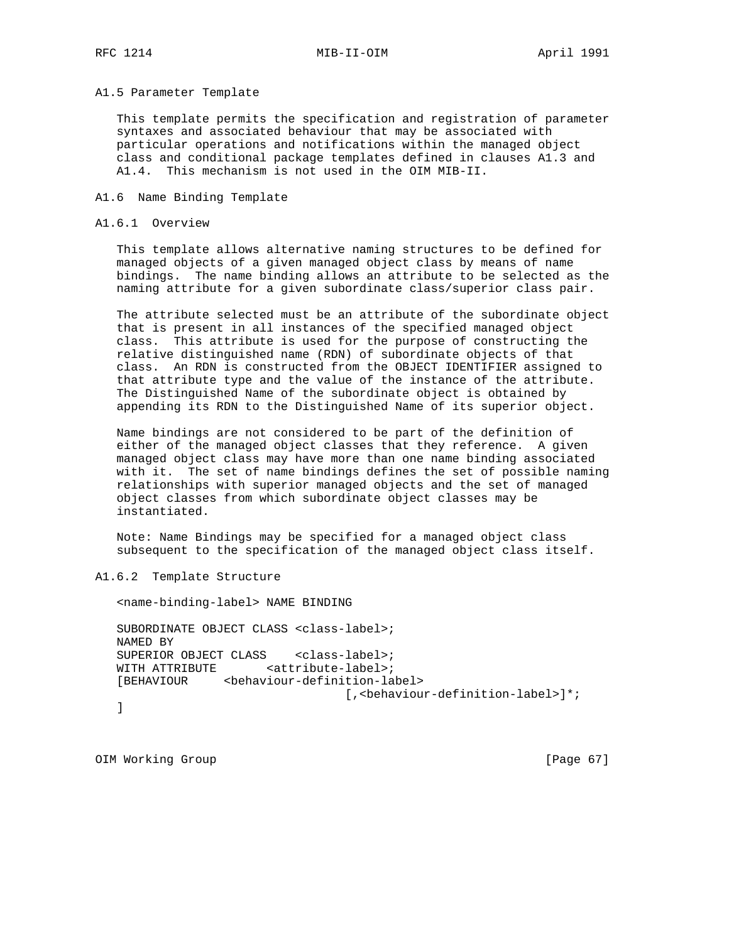A1.5 Parameter Template

 This template permits the specification and registration of parameter syntaxes and associated behaviour that may be associated with particular operations and notifications within the managed object class and conditional package templates defined in clauses A1.3 and A1.4. This mechanism is not used in the OIM MIB-II.

A1.6 Name Binding Template

#### A1.6.1 Overview

 This template allows alternative naming structures to be defined for managed objects of a given managed object class by means of name bindings. The name binding allows an attribute to be selected as the naming attribute for a given subordinate class/superior class pair.

 The attribute selected must be an attribute of the subordinate object that is present in all instances of the specified managed object class. This attribute is used for the purpose of constructing the relative distinguished name (RDN) of subordinate objects of that class. An RDN is constructed from the OBJECT IDENTIFIER assigned to that attribute type and the value of the instance of the attribute. The Distinguished Name of the subordinate object is obtained by appending its RDN to the Distinguished Name of its superior object.

 Name bindings are not considered to be part of the definition of either of the managed object classes that they reference. A given managed object class may have more than one name binding associated with it. The set of name bindings defines the set of possible naming relationships with superior managed objects and the set of managed object classes from which subordinate object classes may be instantiated.

 Note: Name Bindings may be specified for a managed object class subsequent to the specification of the managed object class itself.

A1.6.2 Template Structure

 <name-binding-label> NAME BINDING SUBORDINATE OBJECT CLASS <class-label>; NAMED BY SUPERIOR OBJECT CLASS <class-label>; WITH ATTRIBUTE <attribute-label>; [BEHAVIOUR <behaviour-definition-label> [,<behaviour-definition-label>]\*; ]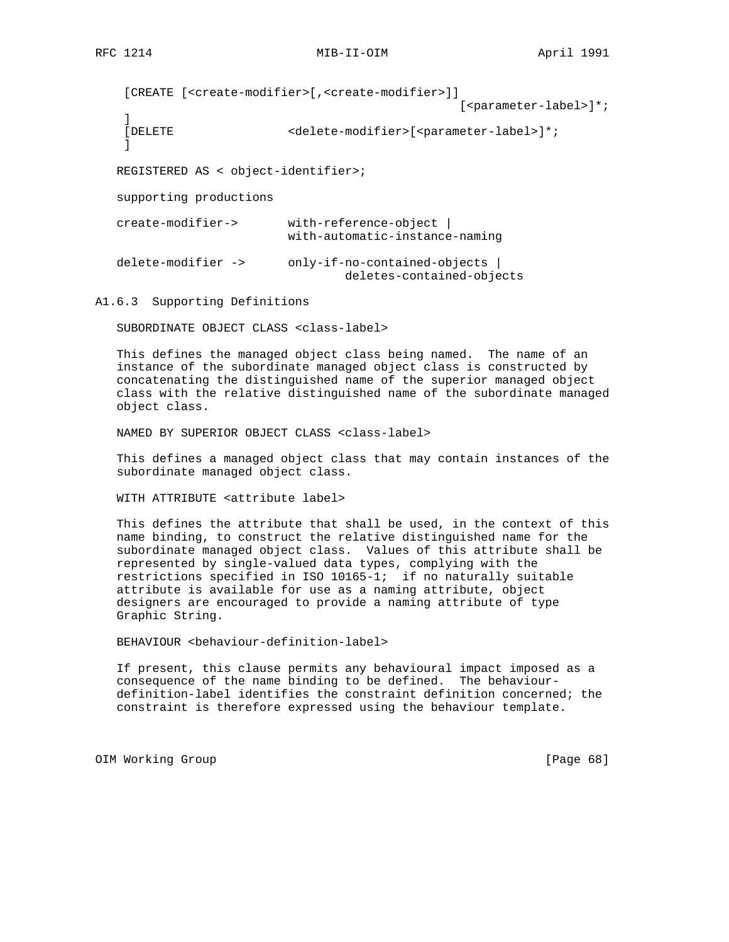```
 [CREATE [<create-modifier>[,<create-modifier>]]
```
 $[$  <parameter-label>]\*;

```
 ]
```

```
[DELETE <delete-modifier>[<parameter-label>]*;
```
 $\mathbf{I}$ 

REGISTERED AS < object-identifier>;

supporting productions

| create-modifier->  | with-reference-object<br>with-automatic-instance-naming   |
|--------------------|-----------------------------------------------------------|
| delete-modifier -> | only-if-no-contained-objects<br>deletes-contained-objects |

A1.6.3 Supporting Definitions

SUBORDINATE OBJECT CLASS <class-label>

 This defines the managed object class being named. The name of an instance of the subordinate managed object class is constructed by concatenating the distinguished name of the superior managed object class with the relative distinguished name of the subordinate managed object class.

NAMED BY SUPERIOR OBJECT CLASS <class-label>

 This defines a managed object class that may contain instances of the subordinate managed object class.

WITH ATTRIBUTE <attribute label>

 This defines the attribute that shall be used, in the context of this name binding, to construct the relative distinguished name for the subordinate managed object class. Values of this attribute shall be represented by single-valued data types, complying with the restrictions specified in ISO 10165-1; if no naturally suitable attribute is available for use as a naming attribute, object designers are encouraged to provide a naming attribute of type Graphic String.

BEHAVIOUR <behaviour-definition-label>

 If present, this clause permits any behavioural impact imposed as a consequence of the name binding to be defined. The behaviour definition-label identifies the constraint definition concerned; the constraint is therefore expressed using the behaviour template.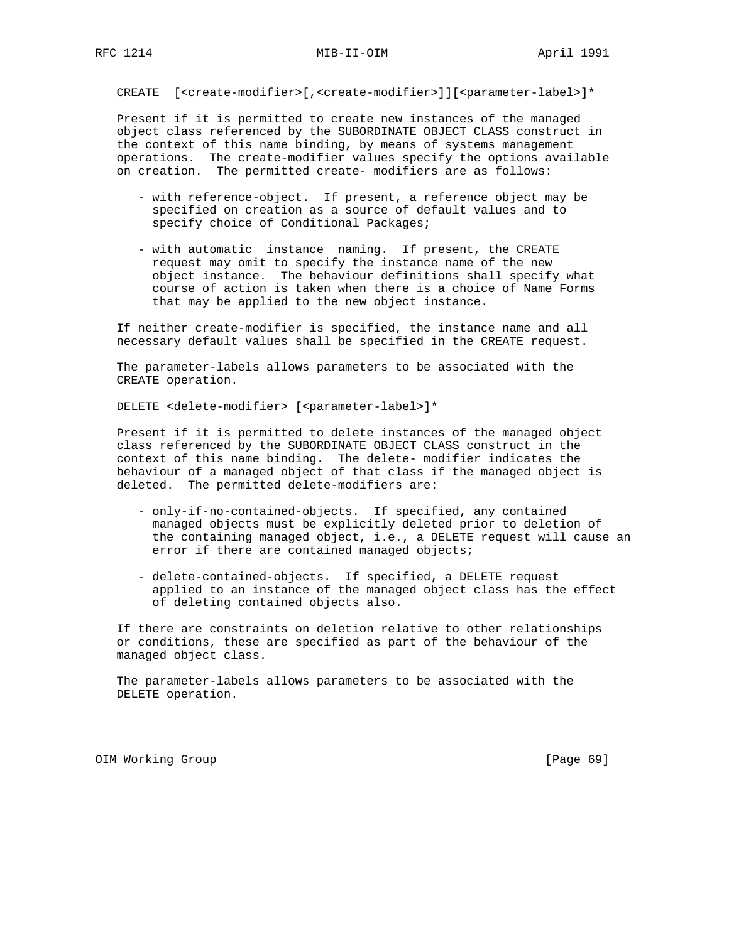CREATE [<create-modifier>[,<create-modifier>]][<parameter-label>]\*

 Present if it is permitted to create new instances of the managed object class referenced by the SUBORDINATE OBJECT CLASS construct in the context of this name binding, by means of systems management operations. The create-modifier values specify the options available on creation. The permitted create- modifiers are as follows:

- with reference-object. If present, a reference object may be specified on creation as a source of default values and to specify choice of Conditional Packages;
- with automatic instance naming. If present, the CREATE request may omit to specify the instance name of the new object instance. The behaviour definitions shall specify what course of action is taken when there is a choice of Name Forms that may be applied to the new object instance.

 If neither create-modifier is specified, the instance name and all necessary default values shall be specified in the CREATE request.

 The parameter-labels allows parameters to be associated with the CREATE operation.

DELETE <delete-modifier> [<parameter-label>]\*

 Present if it is permitted to delete instances of the managed object class referenced by the SUBORDINATE OBJECT CLASS construct in the context of this name binding. The delete- modifier indicates the behaviour of a managed object of that class if the managed object is deleted. The permitted delete-modifiers are:

- only-if-no-contained-objects. If specified, any contained managed objects must be explicitly deleted prior to deletion of the containing managed object, i.e., a DELETE request will cause an error if there are contained managed objects;
- delete-contained-objects. If specified, a DELETE request applied to an instance of the managed object class has the effect of deleting contained objects also.

 If there are constraints on deletion relative to other relationships or conditions, these are specified as part of the behaviour of the managed object class.

 The parameter-labels allows parameters to be associated with the DELETE operation.

OIM Working Group **business and the Community Community** (Page 69)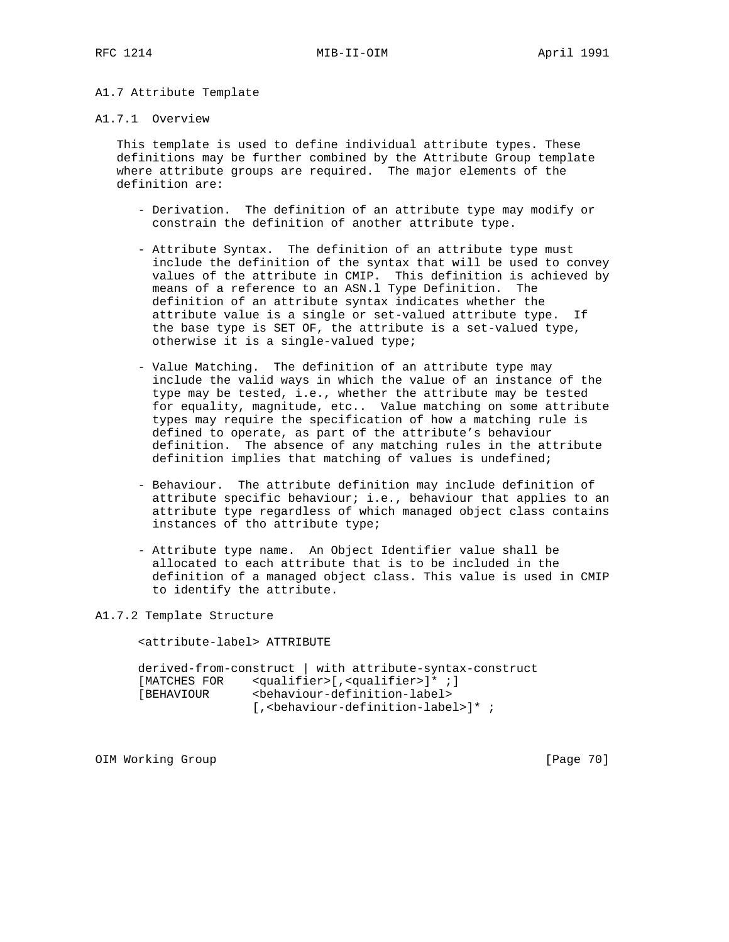# A1.7 Attribute Template

### A1.7.1 Overview

 This template is used to define individual attribute types. These definitions may be further combined by the Attribute Group template where attribute groups are required. The major elements of the definition are:

- Derivation. The definition of an attribute type may modify or constrain the definition of another attribute type.
- Attribute Syntax. The definition of an attribute type must include the definition of the syntax that will be used to convey values of the attribute in CMIP. This definition is achieved by means of a reference to an ASN.l Type Definition. The definition of an attribute syntax indicates whether the attribute value is a single or set-valued attribute type. If the base type is SET OF, the attribute is a set-valued type, otherwise it is a single-valued type;
- Value Matching. The definition of an attribute type may include the valid ways in which the value of an instance of the type may be tested, i.e., whether the attribute may be tested for equality, magnitude, etc.. Value matching on some attribute types may require the specification of how a matching rule is defined to operate, as part of the attribute's behaviour definition. The absence of any matching rules in the attribute definition implies that matching of values is undefined;
- Behaviour. The attribute definition may include definition of attribute specific behaviour; i.e., behaviour that applies to an attribute type regardless of which managed object class contains instances of tho attribute type;
- Attribute type name. An Object Identifier value shall be allocated to each attribute that is to be included in the definition of a managed object class. This value is used in CMIP to identify the attribute.

A1.7.2 Template Structure

<attribute-label> ATTRIBUTE

 derived-from-construct | with attribute-syntax-construct [MATCHES FOR <qualifier>[,<qualifier>]\* ;] [BEHAVIOUR <behaviour-definition-label> [, <br />behaviour-definition-label>]\*;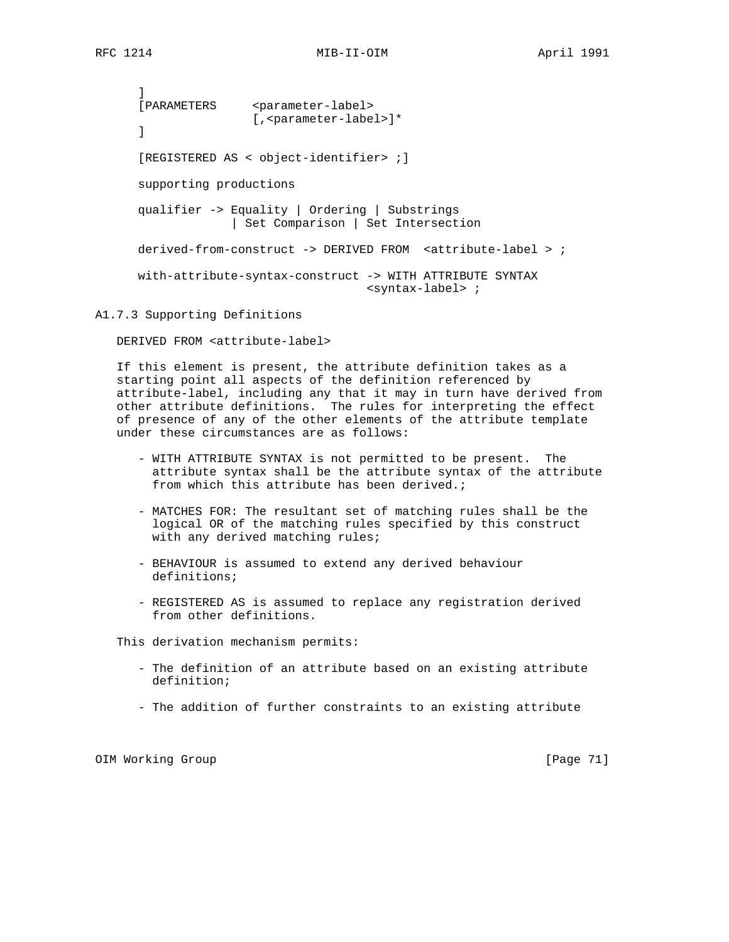] [PARAMETERS <parameter-label> [, <parameter-label>]\* ] [REGISTERED AS < object-identifier> ;] supporting productions qualifier -> Equality | Ordering | Substrings | Set Comparison | Set Intersection derived-from-construct -> DERIVED FROM <attribute-label > ; with-attribute-syntax-construct -> WITH ATTRIBUTE SYNTAX <syntax-label> ;

A1.7.3 Supporting Definitions

DERIVED FROM <attribute-label>

 If this element is present, the attribute definition takes as a starting point all aspects of the definition referenced by attribute-label, including any that it may in turn have derived from other attribute definitions. The rules for interpreting the effect of presence of any of the other elements of the attribute template under these circumstances are as follows:

- WITH ATTRIBUTE SYNTAX is not permitted to be present. The attribute syntax shall be the attribute syntax of the attribute from which this attribute has been derived.;
- MATCHES FOR: The resultant set of matching rules shall be the logical OR of the matching rules specified by this construct with any derived matching rules;
- BEHAVIOUR is assumed to extend any derived behaviour definitions;
- REGISTERED AS is assumed to replace any registration derived from other definitions.

This derivation mechanism permits:

- The definition of an attribute based on an existing attribute definition;
- The addition of further constraints to an existing attribute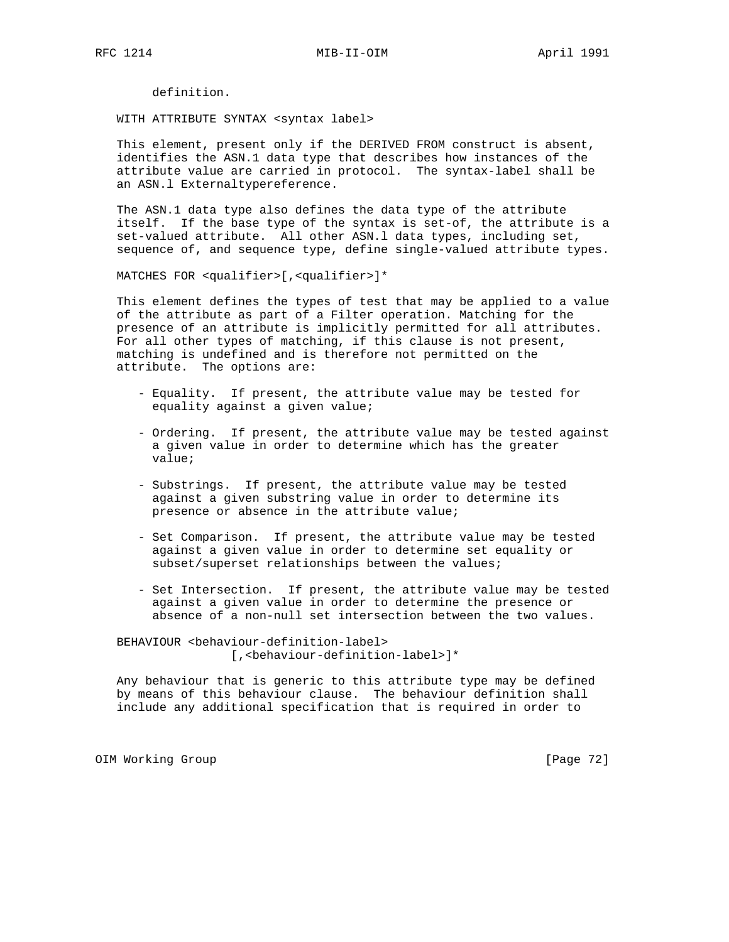definition.

WITH ATTRIBUTE SYNTAX <syntax label>

 This element, present only if the DERIVED FROM construct is absent, identifies the ASN.1 data type that describes how instances of the attribute value are carried in protocol. The syntax-label shall be an ASN.l Externaltypereference.

 The ASN.1 data type also defines the data type of the attribute itself. If the base type of the syntax is set-of, the attribute is a set-valued attribute. All other ASN.l data types, including set, sequence of, and sequence type, define single-valued attribute types.

MATCHES FOR <qualifier>[,<qualifier>]\*

 This element defines the types of test that may be applied to a value of the attribute as part of a Filter operation. Matching for the presence of an attribute is implicitly permitted for all attributes. For all other types of matching, if this clause is not present, matching is undefined and is therefore not permitted on the attribute. The options are:

- Equality. If present, the attribute value may be tested for equality against a given value;
- Ordering. If present, the attribute value may be tested against a given value in order to determine which has the greater value;
- Substrings. If present, the attribute value may be tested against a given substring value in order to determine its presence or absence in the attribute value;
- Set Comparison. If present, the attribute value may be tested against a given value in order to determine set equality or subset/superset relationships between the values;
- Set Intersection. If present, the attribute value may be tested against a given value in order to determine the presence or absence of a non-null set intersection between the two values.

 BEHAVIOUR <behaviour-definition-label> [,<behaviour-definition-label>]\*

 Any behaviour that is generic to this attribute type may be defined by means of this behaviour clause. The behaviour definition shall include any additional specification that is required in order to

OIM Working Group **business and Community Community** [Page 72]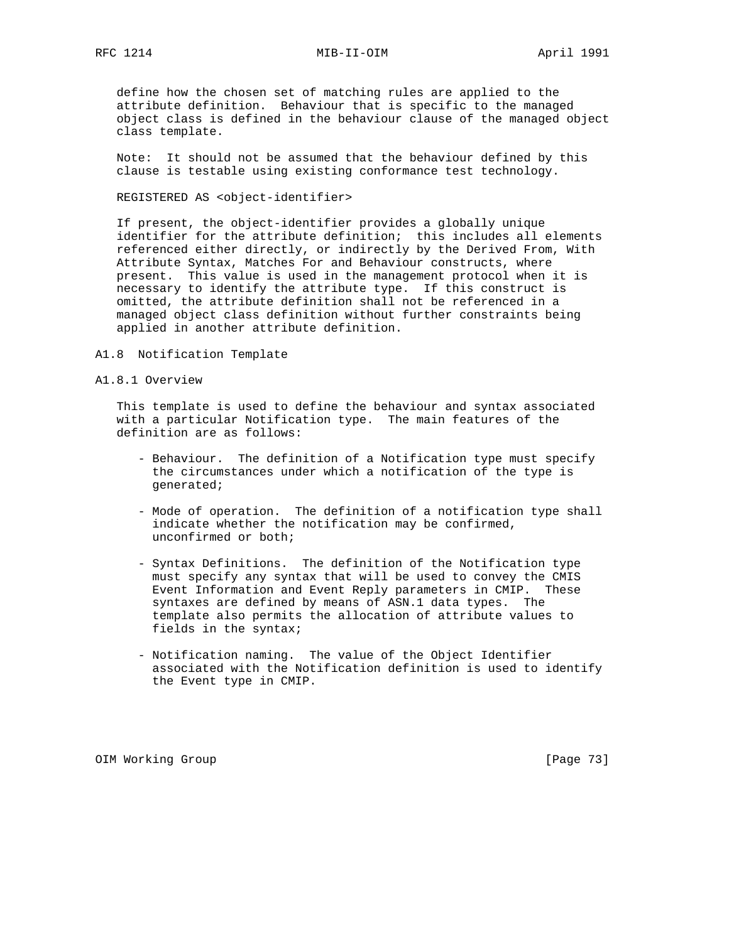RFC 1214 MIB-II-OIM MONTHL April 1991

 define how the chosen set of matching rules are applied to the attribute definition. Behaviour that is specific to the managed object class is defined in the behaviour clause of the managed object class template.

 Note: It should not be assumed that the behaviour defined by this clause is testable using existing conformance test technology.

REGISTERED AS <object-identifier>

 If present, the object-identifier provides a globally unique identifier for the attribute definition; this includes all elements referenced either directly, or indirectly by the Derived From, With Attribute Syntax, Matches For and Behaviour constructs, where present. This value is used in the management protocol when it is necessary to identify the attribute type. If this construct is omitted, the attribute definition shall not be referenced in a managed object class definition without further constraints being applied in another attribute definition.

- A1.8 Notification Template
- A1.8.1 Overview

 This template is used to define the behaviour and syntax associated with a particular Notification type. The main features of the definition are as follows:

- Behaviour. The definition of a Notification type must specify the circumstances under which a notification of the type is generated;
- Mode of operation. The definition of a notification type shall indicate whether the notification may be confirmed, unconfirmed or both;
- Syntax Definitions. The definition of the Notification type must specify any syntax that will be used to convey the CMIS Event Information and Event Reply parameters in CMIP. These syntaxes are defined by means of ASN.1 data types. The template also permits the allocation of attribute values to fields in the syntax;
- Notification naming. The value of the Object Identifier associated with the Notification definition is used to identify the Event type in CMIP.

OIM Working Group **by the Community Community** (Page 73)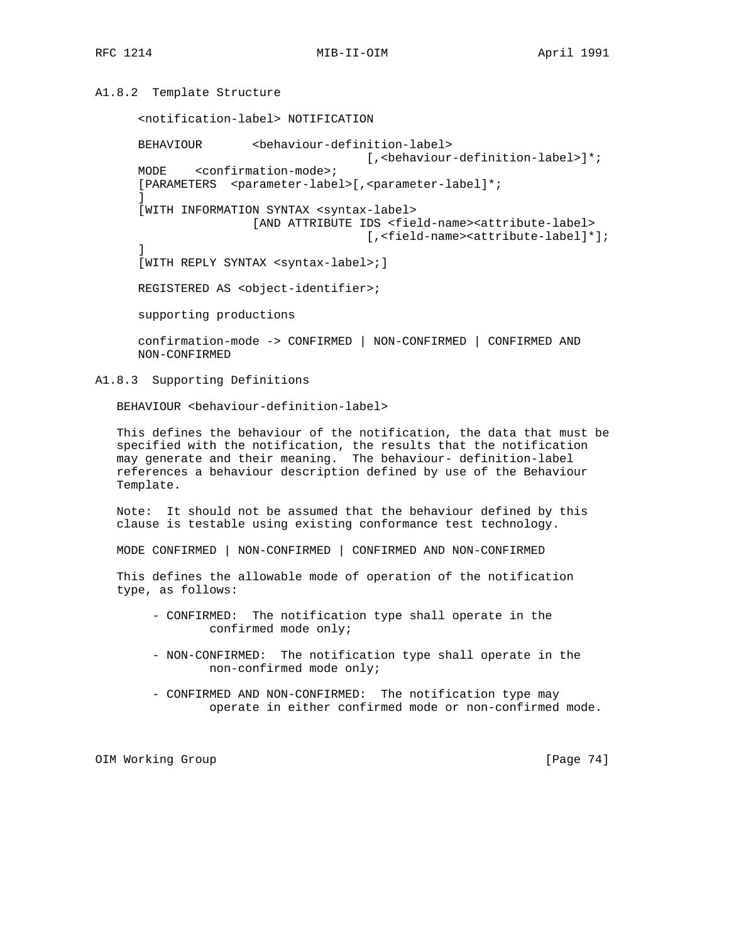## A1.8.2 Template Structure

<notification-label> NOTIFICATION

 BEHAVIOUR <behaviour-definition-label> [, <behaviour-definition-label>]\*; MODE <confirmation-mode>; [PARAMETERS <parameter-label>[,<parameter-label]\*; ] [WITH INFORMATION SYNTAX <syntax-label> [AND ATTRIBUTE IDS <field-name><attribute-label> [,<field-name><attribute-label]\*]; ] [WITH REPLY SYNTAX <syntax-label>;] REGISTERED AS <object-identifier>; supporting productions

 confirmation-mode -> CONFIRMED | NON-CONFIRMED | CONFIRMED AND NON-CONFIRMED

A1.8.3 Supporting Definitions

BEHAVIOUR <behaviour-definition-label>

 This defines the behaviour of the notification, the data that must be specified with the notification, the results that the notification may generate and their meaning. The behaviour- definition-label references a behaviour description defined by use of the Behaviour Template.

 Note: It should not be assumed that the behaviour defined by this clause is testable using existing conformance test technology.

MODE CONFIRMED | NON-CONFIRMED | CONFIRMED AND NON-CONFIRMED

 This defines the allowable mode of operation of the notification type, as follows:

- CONFIRMED: The notification type shall operate in the confirmed mode only;
- NON-CONFIRMED: The notification type shall operate in the non-confirmed mode only;
- CONFIRMED AND NON-CONFIRMED: The notification type may operate in either confirmed mode or non-confirmed mode.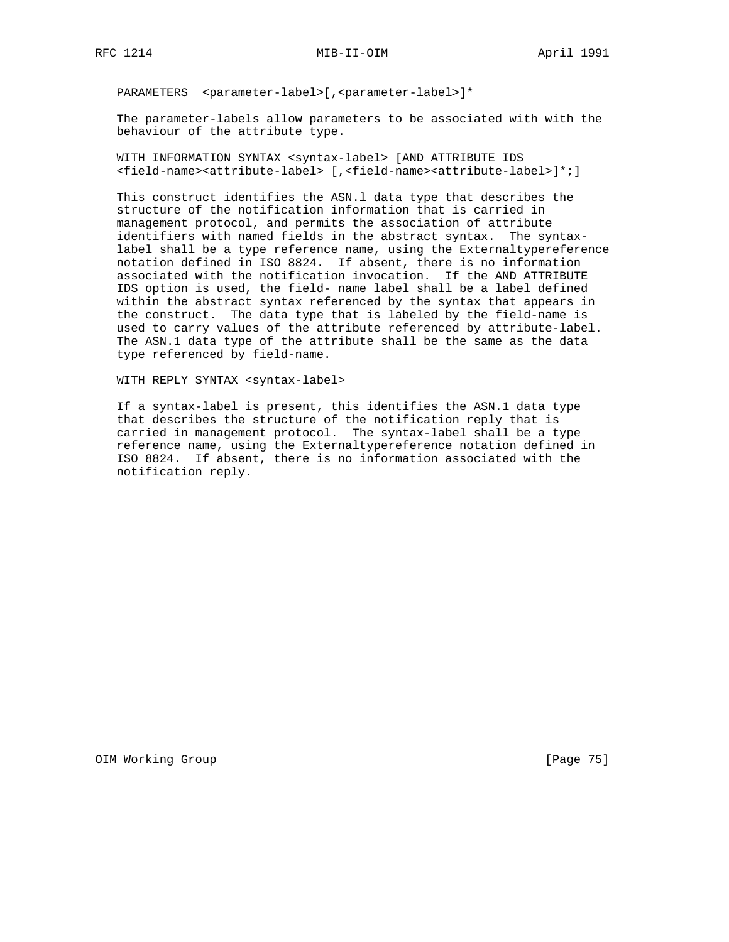PARAMETERS <parameter-label>[, <parameter-label>]\*

 The parameter-labels allow parameters to be associated with with the behaviour of the attribute type.

 WITH INFORMATION SYNTAX <syntax-label> [AND ATTRIBUTE IDS <field-name><attribute-label> [,<field-name><attribute-label>]\*;]

 This construct identifies the ASN.l data type that describes the structure of the notification information that is carried in management protocol, and permits the association of attribute identifiers with named fields in the abstract syntax. The syntax label shall be a type reference name, using the Externaltypereference notation defined in ISO 8824. If absent, there is no information associated with the notification invocation. If the AND ATTRIBUTE IDS option is used, the field- name label shall be a label defined within the abstract syntax referenced by the syntax that appears in the construct. The data type that is labeled by the field-name is used to carry values of the attribute referenced by attribute-label. The ASN.1 data type of the attribute shall be the same as the data type referenced by field-name.

WITH REPLY SYNTAX <syntax-label>

 If a syntax-label is present, this identifies the ASN.1 data type that describes the structure of the notification reply that is carried in management protocol. The syntax-label shall be a type reference name, using the Externaltypereference notation defined in ISO 8824. If absent, there is no information associated with the notification reply.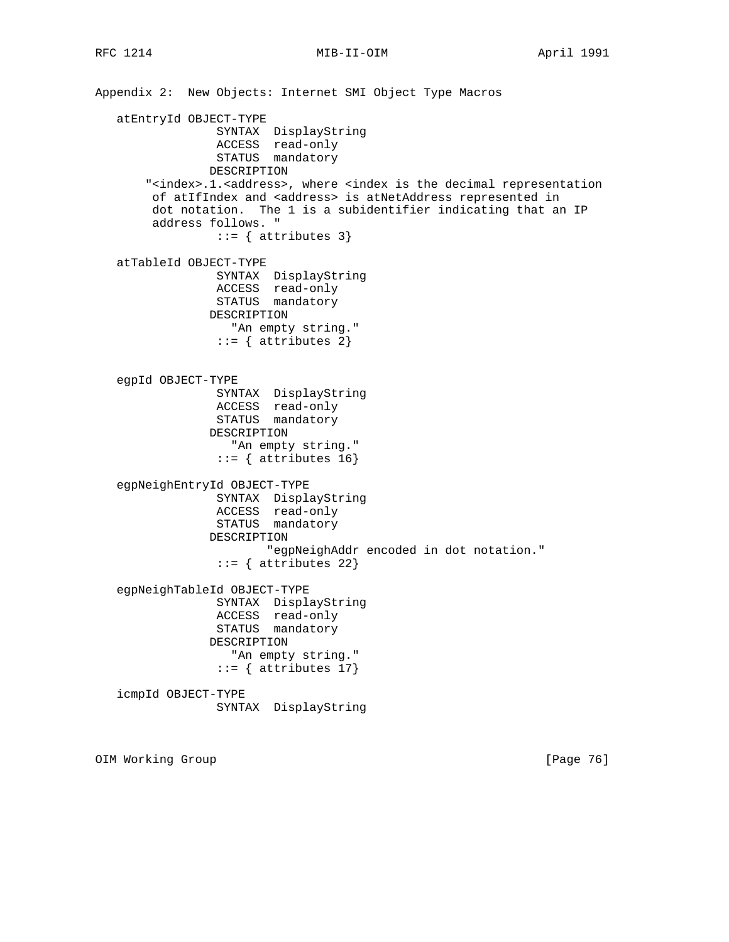Appendix 2: New Objects: Internet SMI Object Type Macros atEntryId OBJECT-TYPE SYNTAX DisplayString ACCESS read-only STATUS mandatory DESCRIPTION "<index>.1.<address>, where <index is the decimal representation of atIfIndex and <address> is atNetAddress represented in dot notation. The 1 is a subidentifier indicating that an IP address follows. "  $::=$  { attributes 3} atTableId OBJECT-TYPE SYNTAX DisplayString ACCESS read-only STATUS mandatory DESCRIPTION "An empty string."  $::=$  { attributes 2} egpId OBJECT-TYPE SYNTAX DisplayString ACCESS read-only STATUS mandatory DESCRIPTION "An empty string."  $::=$  { attributes 16} egpNeighEntryId OBJECT-TYPE SYNTAX DisplayString ACCESS read-only STATUS mandatory DESCRIPTION "egpNeighAddr encoded in dot notation." ::= { attributes 22} egpNeighTableId OBJECT-TYPE SYNTAX DisplayString ACCESS read-only STATUS mandatory DESCRIPTION "An empty string."  $::=$  { attributes 17} icmpId OBJECT-TYPE SYNTAX DisplayString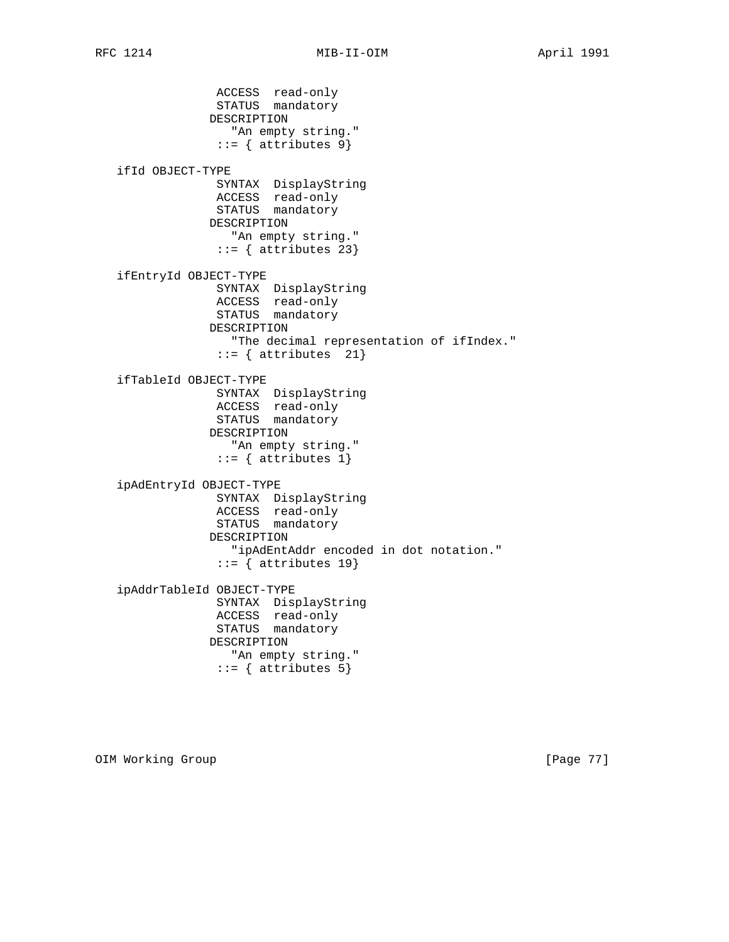ACCESS read-only STATUS mandatory DESCRIPTION "An empty string."  $::=$  { attributes 9} ifId OBJECT-TYPE SYNTAX DisplayString ACCESS read-only STATUS mandatory DESCRIPTION "An empty string."  $::=$  { attributes 23} ifEntryId OBJECT-TYPE SYNTAX DisplayString ACCESS read-only STATUS mandatory DESCRIPTION "The decimal representation of ifIndex."  $::=$  { attributes 21} ifTableId OBJECT-TYPE SYNTAX DisplayString ACCESS read-only STATUS mandatory DESCRIPTION "An empty string."  $::=$  { attributes 1} ipAdEntryId OBJECT-TYPE SYNTAX DisplayString ACCESS read-only STATUS mandatory DESCRIPTION "ipAdEntAddr encoded in dot notation."  $::=$  { attributes 19} ipAddrTableId OBJECT-TYPE SYNTAX DisplayString ACCESS read-only STATUS mandatory DESCRIPTION "An empty string."  $::=$  { attributes 5}

OIM Working Group **business and Community Community** [Page 77]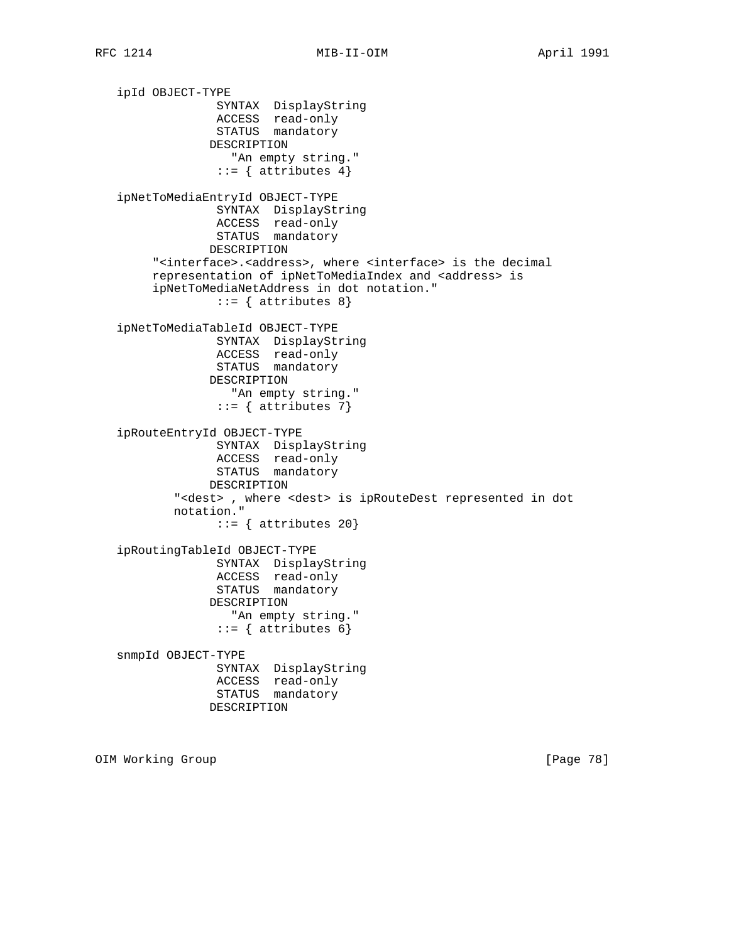ipId OBJECT-TYPE SYNTAX DisplayString ACCESS read-only STATUS mandatory DESCRIPTION "An empty string."  $::=$  { attributes 4} ipNetToMediaEntryId OBJECT-TYPE SYNTAX DisplayString ACCESS read-only STATUS mandatory DESCRIPTION "<interface>.<address>, where <interface> is the decimal representation of ipNetToMediaIndex and <address> is ipNetToMediaNetAddress in dot notation."  $::= \{$  attributes 8} ipNetToMediaTableId OBJECT-TYPE SYNTAX DisplayString ACCESS read-only STATUS mandatory DESCRIPTION "An empty string."  $::=$  { attributes 7} ipRouteEntryId OBJECT-TYPE SYNTAX DisplayString ACCESS read-only STATUS mandatory DESCRIPTION "<dest> , where <dest> is ipRouteDest represented in dot notation."  $::=$  { attributes 20} ipRoutingTableId OBJECT-TYPE SYNTAX DisplayString ACCESS read-only STATUS mandatory DESCRIPTION "An empty string."  $::=$  { attributes 6} snmpId OBJECT-TYPE SYNTAX DisplayString ACCESS read-only STATUS mandatory DESCRIPTION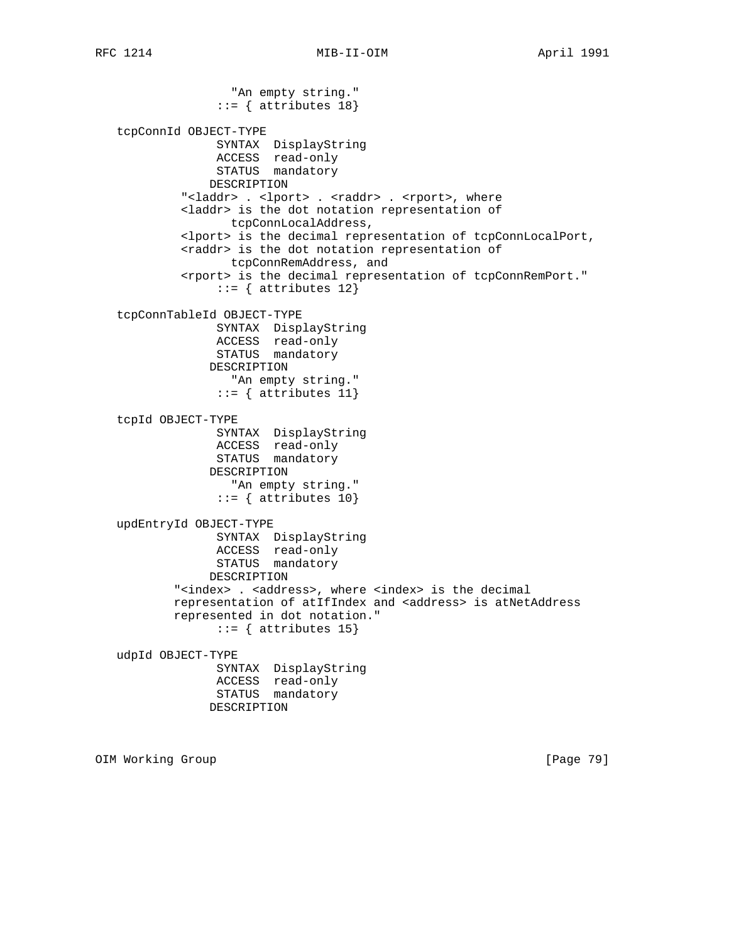"An empty string."  $::=$  { attributes 18} tcpConnId OBJECT-TYPE SYNTAX DisplayString ACCESS read-only STATUS mandatory DESCRIPTION "<laddr> . <lport> . <raddr> . <rport>, where <laddr> is the dot notation representation of tcpConnLocalAddress, <lport> is the decimal representation of tcpConnLocalPort, <raddr> is the dot notation representation of tcpConnRemAddress, and <rport> is the decimal representation of tcpConnRemPort."  $::=$  { attributes 12} tcpConnTableId OBJECT-TYPE SYNTAX DisplayString ACCESS read-only STATUS mandatory DESCRIPTION "An empty string."  $::=$  { attributes 11} tcpId OBJECT-TYPE SYNTAX DisplayString ACCESS read-only STATUS mandatory DESCRIPTION "An empty string."  $::=$  { attributes 10} updEntryId OBJECT-TYPE SYNTAX DisplayString ACCESS read-only STATUS mandatory DESCRIPTION "<index> . <address>, where <index> is the decimal representation of atIfIndex and <address> is atNetAddress represented in dot notation."  $::=$  { attributes 15} udpId OBJECT-TYPE SYNTAX DisplayString ACCESS read-only STATUS mandatory DESCRIPTION

OIM Working Group **by the Community Community** (Page 79)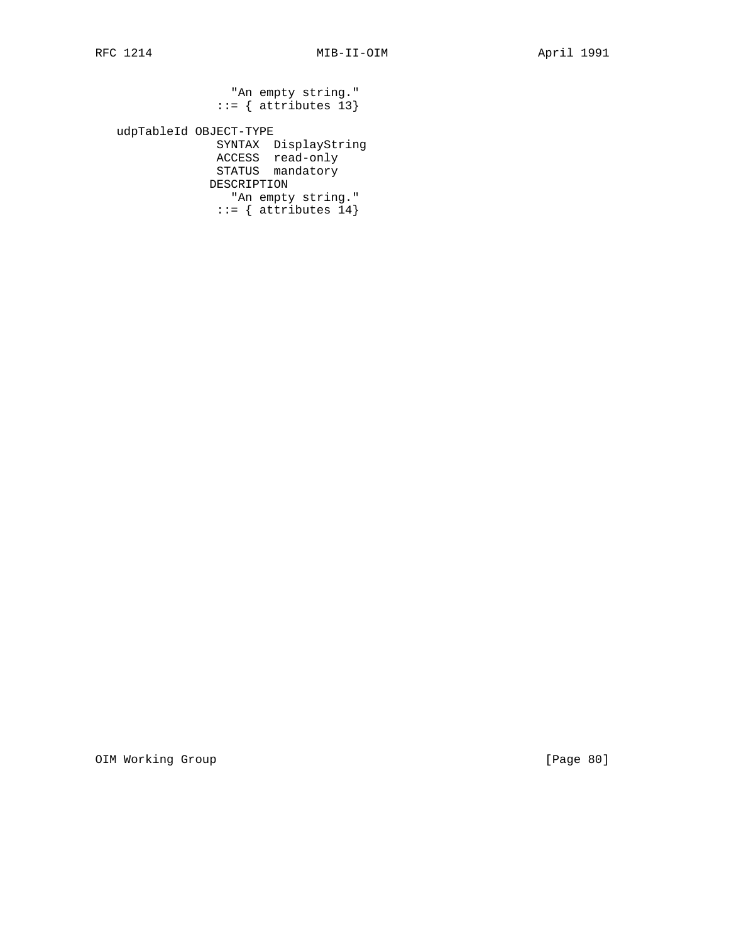"An empty string." ::= { attributes 13}

 udpTableId OBJECT-TYPE SYNTAX DisplayString ACCESS read-only STATUS mandatory DESCRIPTION "An empty string." ::= { attributes 14}

OIM Working Group **compared to the COVID-2014** [Page 80]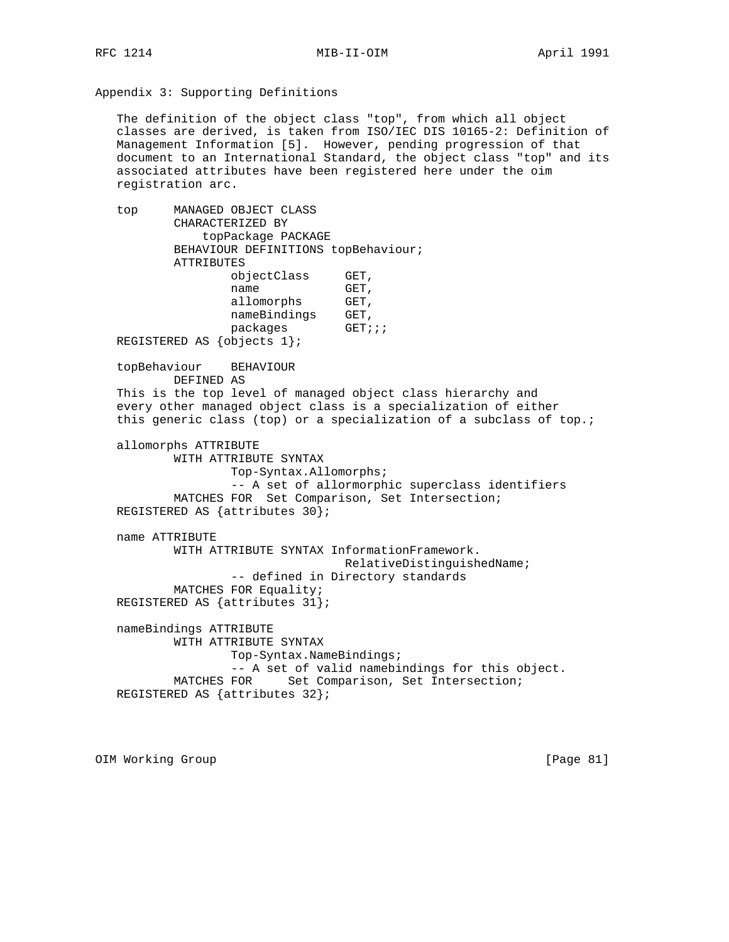RFC 1214 MIB-II-OIM MONTHL April 1991

Appendix 3: Supporting Definitions

 The definition of the object class "top", from which all object classes are derived, is taken from ISO/IEC DIS 10165-2: Definition of Management Information [5]. However, pending progression of that document to an International Standard, the object class "top" and its associated attributes have been registered here under the oim registration arc.

 top MANAGED OBJECT CLASS CHARACTERIZED BY topPackage PACKAGE BEHAVIOUR DEFINITIONS topBehaviour; ATTRIBUTES objectClass GET,<br>name GET, name GET, allomorphs GET, nameBindings GET, packages GET;;; REGISTERED AS {objects 1}; topBehaviour BEHAVIOUR DEFINED AS This is the top level of managed object class hierarchy and every other managed object class is a specialization of either this generic class (top) or a specialization of a subclass of top.; allomorphs ATTRIBUTE WITH ATTRIBUTE SYNTAX Top-Syntax.Allomorphs; -- A set of allormorphic superclass identifiers MATCHES FOR Set Comparison, Set Intersection; REGISTERED AS {attributes 30}; name ATTRIBUTE WITH ATTRIBUTE SYNTAX InformationFramework. RelativeDistinguishedName; -- defined in Directory standards MATCHES FOR Equality; REGISTERED AS {attributes 31}; nameBindings ATTRIBUTE WITH ATTRIBUTE SYNTAX Top-Syntax.NameBindings; -- A set of valid namebindings for this object. MATCHES FOR Set Comparison, Set Intersection; REGISTERED AS {attributes 32};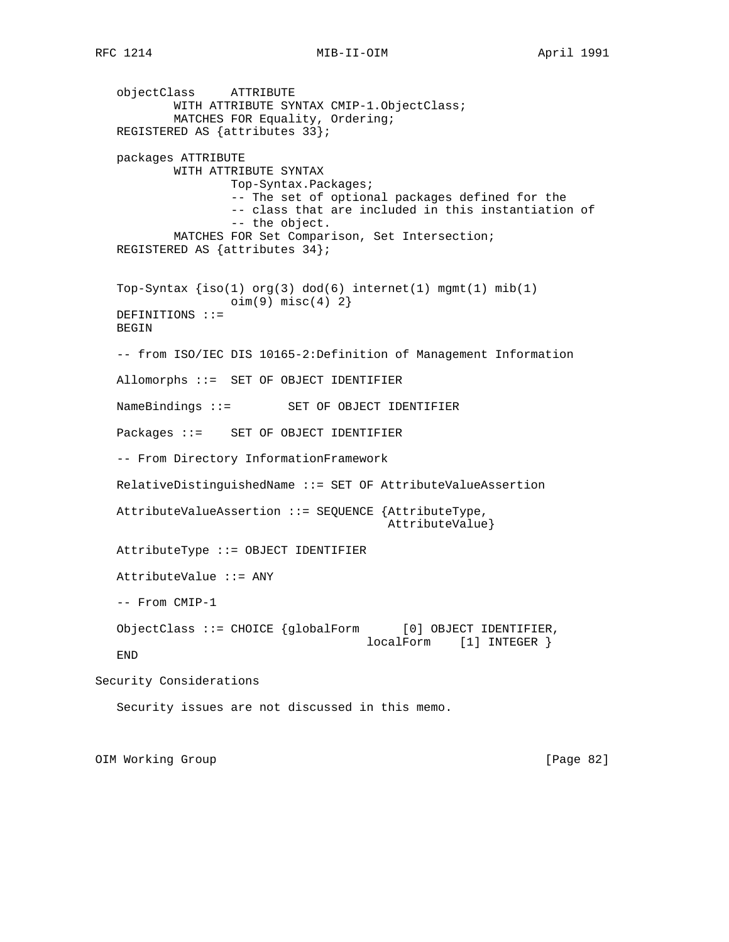objectClass ATTRIBUTE WITH ATTRIBUTE SYNTAX CMIP-1.ObjectClass; MATCHES FOR Equality, Ordering; REGISTERED AS {attributes 33}; packages ATTRIBUTE WITH ATTRIBUTE SYNTAX Top-Syntax.Packages; -- The set of optional packages defined for the -- class that are included in this instantiation of -- the object. MATCHES FOR Set Comparison, Set Intersection; REGISTERED AS {attributes 34}; Top-Syntax  $\{iso(1) \text{ org}(3) \text{ dod}(6) \text{ internet}(1) \text{ mmt}(1) \text{ mib}(1)$  $oim(9) misc(4) 2$  DEFINITIONS ::= BEGIN -- from ISO/IEC DIS 10165-2:Definition of Management Information Allomorphs ::= SET OF OBJECT IDENTIFIER NameBindings ::= SET OF OBJECT IDENTIFIER Packages ::= SET OF OBJECT IDENTIFIER -- From Directory InformationFramework RelativeDistinguishedName ::= SET OF AttributeValueAssertion AttributeValueAssertion ::= SEQUENCE {AttributeType, AttributeValue} AttributeType ::= OBJECT IDENTIFIER AttributeValue ::= ANY -- From CMIP-1 ObjectClass ::= CHOICE {globalForm [0] OBJECT IDENTIFIER, localForm [1] INTEGER } END Security Considerations Security issues are not discussed in this memo.

OIM Working Group **by the Community Community** (Page 82)